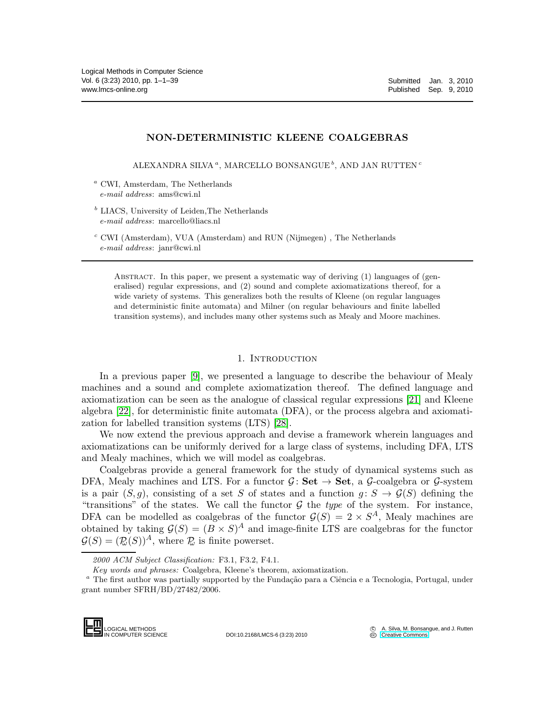## NON-DETERMINISTIC KLEENE COALGEBRAS

ALEXANDRA SILVA $^a,$ MARCELLO BONSANGUE $^b,$ AND JAN RUTTEN $^c$ 

<sup>a</sup> CWI, Amsterdam, The Netherlands *e-mail address*: ams@cwi.nl

- $b$  LIACS, University of Leiden, The Netherlands *e-mail address*: marcello@liacs.nl
- $c$  CWI (Amsterdam), VUA (Amsterdam) and RUN (Nijmegen), The Netherlands *e-mail address*: janr@cwi.nl

Abstract. In this paper, we present a systematic way of deriving (1) languages of (generalised) regular expressions, and (2) sound and complete axiomatizations thereof, for a wide variety of systems. This generalizes both the results of Kleene (on regular languages and deterministic finite automata) and Milner (on regular behaviours and finite labelled transition systems), and includes many other systems such as Mealy and Moore machines.

#### 1. Introduction

In a previous paper [\[9\]](#page-37-0), we presented a language to describe the behaviour of Mealy machines and a sound and complete axiomatization thereof. The defined language and axiomatization can be seen as the analogue of classical regular expressions [\[21\]](#page-38-0) and Kleene algebra [\[22\]](#page-38-1), for deterministic finite automata (DFA), or the process algebra and axiomatization for labelled transition systems (LTS) [\[28\]](#page-38-2).

We now extend the previous approach and devise a framework wherein languages and axiomatizations can be uniformly derived for a large class of systems, including DFA, LTS and Mealy machines, which we will model as coalgebras.

Coalgebras provide a general framework for the study of dynamical systems such as DFA, Mealy machines and LTS. For a functor  $\mathcal{G} \colon \mathbf{Set} \to \mathbf{Set}$ , a  $\mathcal{G}\text{-coalgebra or } \mathcal{G}\text{-system}$ is a pair  $(S, q)$ , consisting of a set S of states and a function  $q: S \to \mathcal{G}(S)$  defining the "transitions" of the states. We call the functor  $\mathcal G$  the *type* of the system. For instance, DFA can be modelled as coalgebras of the functor  $\mathcal{G}(S) = 2 \times S^A$ , Mealy machines are obtained by taking  $\mathcal{G}(S) = (B \times S)^A$  and image-finite LTS are coalgebras for the functor  $\mathcal{G}(S) = (\mathcal{P}_{\omega}(S))^A$ , where  $\mathcal{P}_{\omega}$  is finite powerset.

<sup>&</sup>lt;sup>a</sup> The first author was partially supported by the Fundação para a Ciência e a Tecnologia, Portugal, under grant number SFRH/BD/27482/2006.



DOI:10.2168/LMCS-6 (3:23) 2010

*<sup>2000</sup> ACM Subject Classification:* F3.1, F3.2, F4.1.

*Key words and phrases:* Coalgebra, Kleene's theorem, axiomatization.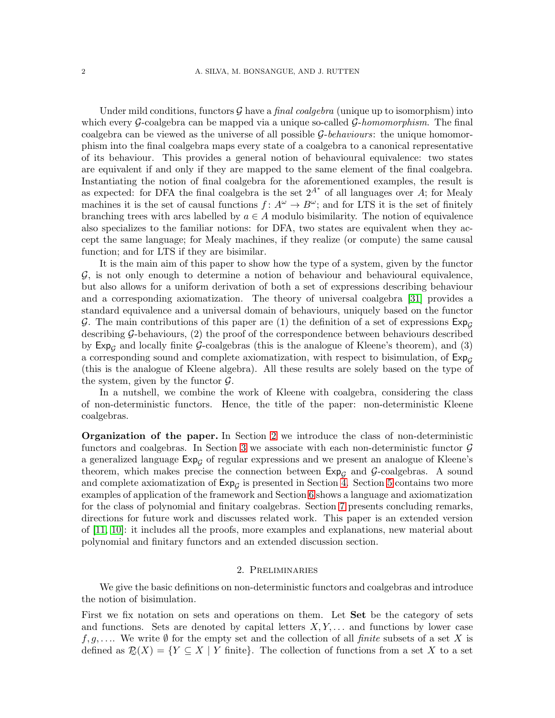Under mild conditions, functors  $\mathcal G$  have a *final coalgebra* (unique up to isomorphism) into which every G-coalgebra can be mapped via a unique so-called G-*homomorphism*. The final coalgebra can be viewed as the universe of all possible G-*behaviours*: the unique homomorphism into the final coalgebra maps every state of a coalgebra to a canonical representative of its behaviour. This provides a general notion of behavioural equivalence: two states are equivalent if and only if they are mapped to the same element of the final coalgebra. Instantiating the notion of final coalgebra for the aforementioned examples, the result is as expected: for DFA the final coalgebra is the set  $2^{A^*}$  of all languages over A; for Mealy machines it is the set of causal functions  $f: A^{\omega} \to B^{\omega}$ ; and for LTS it is the set of finitely branching trees with arcs labelled by  $a \in A$  modulo bisimilarity. The notion of equivalence also specializes to the familiar notions: for DFA, two states are equivalent when they accept the same language; for Mealy machines, if they realize (or compute) the same causal function; and for LTS if they are bisimilar.

It is the main aim of this paper to show how the type of a system, given by the functor  $G$ , is not only enough to determine a notion of behaviour and behavioural equivalence, but also allows for a uniform derivation of both a set of expressions describing behaviour and a corresponding axiomatization. The theory of universal coalgebra [\[31\]](#page-38-3) provides a standard equivalence and a universal domain of behaviours, uniquely based on the functor G. The main contributions of this paper are (1) the definition of a set of expressions  $Exp<sub>G</sub>$ describing G-behaviours, (2) the proof of the correspondence between behaviours described by  $Exp_G$  and locally finite G-coalgebras (this is the analogue of Kleene's theorem), and (3) a corresponding sound and complete axiomatization, with respect to bisimulation, of  $Exp<sub>G</sub>$ (this is the analogue of Kleene algebra). All these results are solely based on the type of the system, given by the functor  $\mathcal{G}$ .

In a nutshell, we combine the work of Kleene with coalgebra, considering the class of non-deterministic functors. Hence, the title of the paper: non-deterministic Kleene coalgebras.

Organization of the paper. In Section [2](#page-1-0) we introduce the class of non-deterministic functors and coalgebras. In Section [3](#page-4-0) we associate with each non-deterministic functor  $\mathcal G$ a generalized language  $Exp_{G}$  of regular expressions and we present an analogue of Kleene's theorem, which makes precise the connection between  $Exp<sub>G</sub>$  and  $G$ -coalgebras. A sound and complete axiomatization of  $\text{Exp}_{\mathcal{G}}$  is presented in Section [4.](#page-19-0) Section [5](#page-29-0) contains two more examples of application of the framework and Section [6](#page-31-0) shows a language and axiomatization for the class of polynomial and finitary coalgebras. Section [7](#page-34-0) presents concluding remarks, directions for future work and discusses related work. This paper is an extended version of [\[11,](#page-37-1) [10\]](#page-37-2): it includes all the proofs, more examples and explanations, new material about polynomial and finitary functors and an extended discussion section.

#### 2. Preliminaries

<span id="page-1-0"></span>We give the basic definitions on non-deterministic functors and coalgebras and introduce the notion of bisimulation.

First we fix notation on sets and operations on them. Let **Set** be the category of sets and functions. Sets are denoted by capital letters  $X, Y, \ldots$  and functions by lower case f, g,.... We write  $\emptyset$  for the empty set and the collection of all *finite* subsets of a set X is defined as  $\mathcal{R}(X) = \{ Y \subseteq X \mid Y \text{ finite} \}.$  The collection of functions from a set X to a set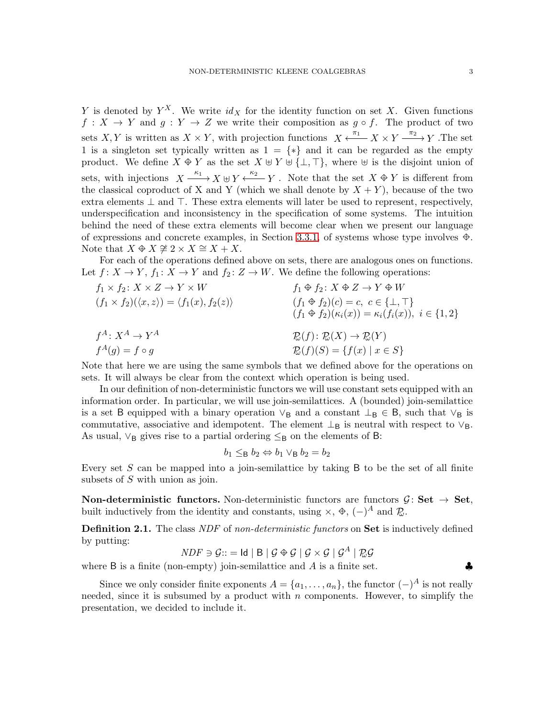Y is denoted by  $Y^X$ . We write  $id_X$  for the identity function on set X. Given functions  $f: X \to Y$  and  $g: Y \to Z$  we write their composition as  $g \circ f$ . The product of two sets X, Y is written as  $X \times Y$ , with projection functions  $X \xleftarrow{\pi_1} X \times Y \xrightarrow{\pi_2} Y$ . The set 1 is a singleton set typically written as  $1 = \{*\}$  and it can be regarded as the empty product. We define  $X \oplus Y$  as the set  $X \oplus Y \oplus {\perp, \top}$ , where  $\oplus$  is the disjoint union of sets, with injections  $X \xrightarrow{\kappa_1} X \oplus Y \xleftarrow{\kappa_2} Y$ . Note that the set  $X \oplus Y$  is different from the classical coproduct of X and Y (which we shall denote by  $X + Y$ ), because of the two extra elements  $\perp$  and  $\top$ . These extra elements will later be used to represent, respectively, underspecification and inconsistency in the specification of some systems. The intuition behind the need of these extra elements will become clear when we present our language of expressions and concrete examples, in Section [3.3.1,](#page-18-0) of systems whose type involves  $\oplus$ . Note that  $X \oplus X \ncong 2 \times X \cong X + X$ .

For each of the operations defined above on sets, there are analogous ones on functions. Let  $f: X \to Y$ ,  $f_1: X \to Y$  and  $f_2: Z \to W$ . We define the following operations:

$$
f_1 \times f_2 \colon X \times Z \to Y \times W
$$
  
\n
$$
(f_1 \times f_2)(\langle x, z \rangle) = \langle f_1(x), f_2(z) \rangle
$$
  
\n
$$
f_1 \oplus f_2 \colon X \oplus Z \to Y \oplus W
$$
  
\n
$$
(f_1 \oplus f_2)(c) = c, c \in \{\bot, \top\}
$$
  
\n
$$
(f_1 \oplus f_2)(c) = c, c \in \{\bot, \top\}
$$
  
\n
$$
(f_1 \oplus f_2)(c) = c, c \in \{\bot, \top\}
$$
  
\n
$$
(f_1 \oplus f_2)(c) = c, c \in \{\bot, \top\}
$$
  
\n
$$
(f_1 \oplus f_2)(c) = c, c \in \{\bot, \top\}
$$
  
\n
$$
(f_1 \oplus f_2)(c) = c, c \in \{\bot, \top\}
$$
  
\n
$$
(f_1 \oplus f_2)(c) = c, c \in \{\bot, \top\}
$$
  
\n
$$
(f_1 \oplus f_2)(c) = c, c \in \{\bot, \top\}
$$
  
\n
$$
(f_1 \oplus f_2)(c) = c, c \in \{\bot, \top\}
$$
  
\n
$$
(f_1 \oplus f_2)(c) = c, c \in \{\bot, \top\}
$$
  
\n
$$
(f_1 \oplus f_2)(c) = c, c \in \{\bot, \top\}
$$

Note that here we are using the same symbols that we defined above for the operations on sets. It will always be clear from the context which operation is being used.

In our definition of non-deterministic functors we will use constant sets equipped with an information order. In particular, we will use join-semilattices. A (bounded) join-semilattice is a set B equipped with a binary operation  $\vee_B$  and a constant  $\perp_B \in B$ , such that  $\vee_B$  is commutative, associative and idempotent. The element  $\perp_B$  is neutral with respect to  $\vee_B$ . As usual,  $\vee_B$  gives rise to a partial ordering  $\leq_B$  on the elements of B:

$$
b_1 \leq_\mathsf{B} b_2 \Leftrightarrow b_1 \vee_\mathsf{B} b_2 = b_2
$$

Every set  $S$  can be mapped into a join-semilattice by taking  $B$  to be the set of all finite subsets of S with union as join.

**Non-deterministic functors.** Non-deterministic functors are functors  $\mathcal{G}$ : Set  $\rightarrow$  Set, built inductively from the identity and constants, using  $\times$ ,  $\oplus$ ,  $(-)^A$  and  $\mathcal{D}$ .

Definition 2.1. The class *NDF* of *non-deterministic functors* on Set is inductively defined by putting:

$$
NDF \ni \mathcal{G} ::= \mathsf{Id} \mid \mathsf{B} \mid \mathcal{G} \oplus \mathcal{G} \mid \mathcal{G} \times \mathcal{G} \mid \mathcal{G}^A \mid \mathcal{RG}
$$

where B is a finite (non-empty) join-semilattice and A is a finite set.  $\clubsuit$ 

Since we only consider finite exponents  $A = \{a_1, \ldots, a_n\}$ , the functor  $(-)^A$  is not really needed, since it is subsumed by a product with  $n$  components. However, to simplify the presentation, we decided to include it.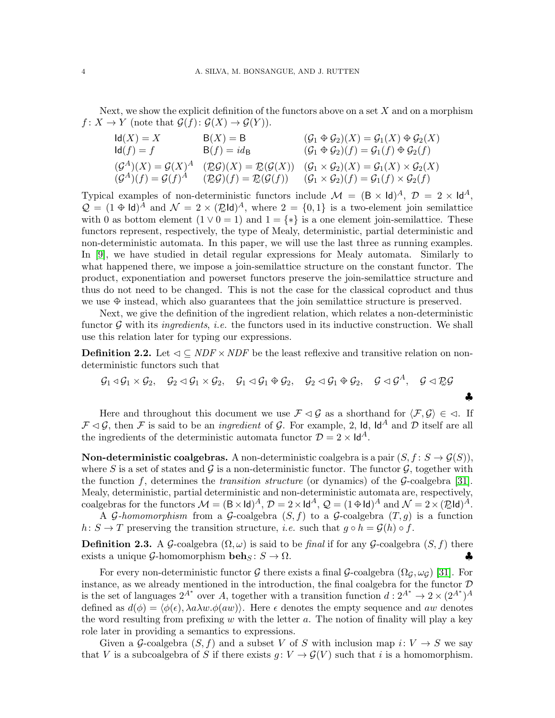Next, we show the explicit definition of the functors above on a set  $X$  and on a morphism  $f: X \to Y$  (note that  $\mathcal{G}(f): \mathcal{G}(X) \to \mathcal{G}(Y)$ ).

$$
d(A) = X
$$
\n
$$
d(A) = f
$$
\n
$$
d(A) = f
$$
\n
$$
d(A) = f
$$
\n
$$
d(A) = f
$$
\n
$$
d(A) = f
$$
\n
$$
d(A) = f
$$
\n
$$
d(A) = f
$$
\n
$$
d(A) = f
$$
\n
$$
d(A) = f
$$
\n
$$
d(A) = f
$$
\n
$$
d(A) = f
$$
\n
$$
d(A) = f
$$
\n
$$
d(A) = f
$$
\n
$$
d(A) = f
$$
\n
$$
d(A) = f
$$
\n
$$
d(A) = f
$$
\n
$$
d(A) = f
$$
\n
$$
d(A) = f
$$
\n
$$
d(A) = f
$$
\n
$$
d(A) = f
$$
\n
$$
d(A) = f
$$
\n
$$
d(A) = f
$$
\n
$$
d(A) = f
$$
\n
$$
d(A) = f
$$
\n
$$
d(A) = f
$$
\n
$$
d(A) = f
$$
\n
$$
d(A) = f
$$
\n
$$
d(A) = f
$$
\n
$$
d(A) = f
$$
\n
$$
d(A) = f
$$
\n
$$
d(A) = f
$$
\n
$$
d(A) = f
$$
\n
$$
d(A) = f
$$
\n
$$
d(A) = f
$$
\n
$$
d(A) = f
$$
\n
$$
d(A) = f
$$
\n
$$
d(A) = f
$$
\n
$$
d(A) = f
$$
\n
$$
d(A) = f
$$
\n
$$
d(A) = f
$$
\n
$$
d(A) = f
$$
\n
$$
d(A) = f
$$
\n
$$
d(A) = f
$$
\n
$$
d(A) = f
$$
\n
$$
d(A) = f
$$
\n
$$
d(A) = f
$$
\n
$$
d(A) = f
$$
\n
$$
d(A) = f
$$
\n
$$
d(A) = f
$$
\n
$$
d(A) = f
$$
\n

Typical examples of non-deterministic functors include  $\mathcal{M} = (\mathsf{B} \times \mathsf{Id})^A$ ,  $\mathcal{D} = 2 \times \mathsf{Id}^A$ ,  $\mathcal{Q} = (1 \oplus \text{Id})^A$  and  $\mathcal{N} = 2 \times (\mathcal{Q} \text{Id})^A$ , where  $2 = \{0, 1\}$  is a two-element join semilattice with 0 as bottom element  $(1 \vee 0 = 1)$  and  $1 = \{*\}$  is a one element join-semilattice. These functors represent, respectively, the type of Mealy, deterministic, partial deterministic and non-deterministic automata. In this paper, we will use the last three as running examples. In [\[9\]](#page-37-0), we have studied in detail regular expressions for Mealy automata. Similarly to what happened there, we impose a join-semilattice structure on the constant functor. The product, exponentiation and powerset functors preserve the join-semilattice structure and thus do not need to be changed. This is not the case for the classical coproduct and thus we use  $\hat{\Phi}$  instead, which also guarantees that the join semilattice structure is preserved.

Next, we give the definition of the ingredient relation, which relates a non-deterministic functor G with its *ingredients*, *i.e.* the functors used in its inductive construction. We shall use this relation later for typing our expressions.

**Definition 2.2.** Let  $\triangleleft \subseteq NDF \times NDF$  be the least reflexive and transitive relation on nondeterministic functors such that

$$
\mathcal{G}_1 \triangleleft \mathcal{G}_1 \times \mathcal{G}_2, \quad \mathcal{G}_2 \triangleleft \mathcal{G}_1 \times \mathcal{G}_2, \quad \mathcal{G}_1 \triangleleft \mathcal{G}_1 \oplus \mathcal{G}_2, \quad \mathcal{G}_2 \triangleleft \mathcal{G}_1 \oplus \mathcal{G}_2, \quad \mathcal{G} \triangleleft \mathcal{G}^A, \quad \mathcal{G} \triangleleft \mathbb{R} \mathcal{G}
$$

♣

Here and throughout this document we use  $\mathcal{F} \lhd \mathcal{G}$  as a shorthand for  $\langle \mathcal{F}, \mathcal{G} \rangle \in \lhd$ . If  $\mathcal{F} \lhd \mathcal{G}$ , then  $\mathcal F$  is said to be an *ingredient* of  $\mathcal G$ . For example, 2, 1d, 1d<sup>A</sup> and  $\mathcal D$  itself are all the ingredients of the deterministic automata functor  $\mathcal{D} = 2 \times \mathsf{Id}^A$ .

**Non-deterministic coalgebras.** A non-deterministic coalgebra is a pair  $(S, f : S \to \mathcal{G}(S))$ , where S is a set of states and G is a non-deterministic functor. The functor  $\mathcal{G}$ , together with the function f, determines the *transition structure* (or dynamics) of the G-coalgebra [\[31\]](#page-38-3). Mealy, deterministic, partial deterministic and non-deterministic automata are, respectively, coalgebras for the functors  $\mathcal{M} = (\mathsf{B} \times \mathsf{Id})^A$ ,  $\mathcal{D} = 2 \times \mathsf{Id}^A$ ,  $\mathcal{Q} = (1 \oplus \mathsf{Id})^A$  and  $\mathcal{N} = 2 \times (\mathcal{R} \mathsf{Id})^A$ .

A  $\mathcal G$ -homomorphism from a  $\mathcal G$ -coalgebra  $(S, f)$  to a  $\mathcal G$ -coalgebra  $(T, q)$  is a function  $h: S \to T$  preserving the transition structure, *i.e.* such that  $g \circ h = \mathcal{G}(h) \circ f$ .

**Definition 2.3.** A G-coalgebra  $(\Omega, \omega)$  is said to be *final* if for any G-coalgebra  $(S, f)$  there exists a unique G-homomorphism **beh**<sub>S</sub>:  $S \to \Omega$ . exists a unique G-homomorphism beh<sub>S</sub>:  $S \to \Omega$ .

For every non-deterministic functor G there exists a final G-coalgebra  $(\Omega_G, \omega_G)$  [\[31\]](#page-38-3). For instance, as we already mentioned in the introduction, the final coalgebra for the functor  $D$ is the set of languages  $2^{A^*}$  over A, together with a transition function  $d: 2^{A^*} \to 2 \times (2^{A^*})^A$ defined as  $d(\phi) = \langle \phi(\epsilon), \lambda a \lambda w \phi(aw) \rangle$ . Here  $\epsilon$  denotes the empty sequence and aw denotes the word resulting from prefixing w with the letter a. The notion of finality will play a key role later in providing a semantics to expressions.

Given a G-coalgebra  $(S, f)$  and a subset V of S with inclusion map  $i: V \to S$  we say that V is a subcoalgebra of S if there exists  $q: V \to \mathcal{G}(V)$  such that i is a homomorphism.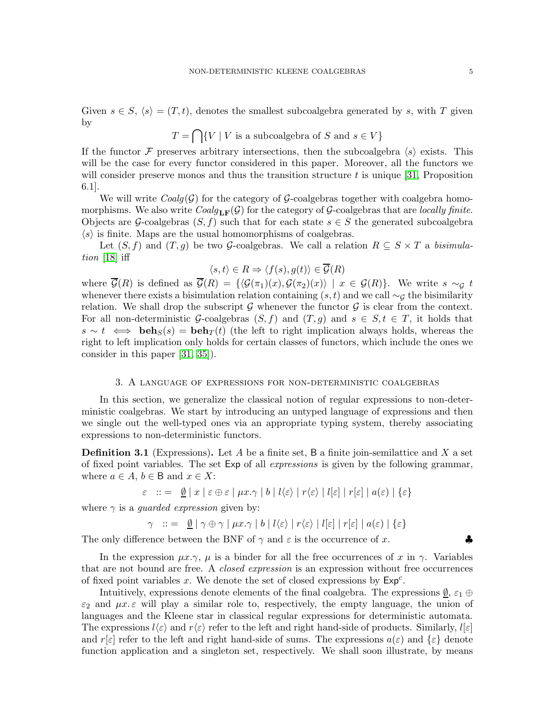Given  $s \in S$ ,  $\langle s \rangle = (T, t)$ , denotes the smallest subcoalgebra generated by s, with T given by

$$
T = \bigcap \{ V \mid V \text{ is a subcoalgebra of } S \text{ and } s \in V \}
$$

If the functor F preserves arbitrary intersections, then the subcoalgebra  $\langle s \rangle$  exists. This will be the case for every functor considered in this paper. Moreover, all the functors we will consider preserve monos and thus the transition structure  $t$  is unique [\[31,](#page-38-3) Proposition 6.1].

We will write  $Coalg(\mathcal{G})$  for the category of  $\mathcal{G}\text{-coalgebras together with coalgebra homo-}$ morphisms. We also write  $Coalg_{LF}(\mathcal{G})$  for the category of  $\mathcal{G}$ -coalgebras that are *locally finite*. Objects are G-coalgebras  $(S, f)$  such that for each state  $s \in S$  the generated subcoalgebra  $\langle s \rangle$  is finite. Maps are the usual homomorphisms of coalgebras.

Let  $(S, f)$  and  $(T, g)$  be two G-coalgebras. We call a relation  $R \subseteq S \times T$  a *bisimulation* [\[18\]](#page-38-4) iff

$$
\langle s, t \rangle \in R \Rightarrow \langle f(s), g(t) \rangle \in \overline{\mathcal{G}}(R)
$$

where  $\overline{\mathcal{G}}(R)$  is defined as  $\overline{\mathcal{G}}(R) = {\{\langle \mathcal{G}(\pi_1)(x), \mathcal{G}(\pi_2)(x) \rangle | x \in \mathcal{G}(R)\}}$ . We write  $s \sim_{\mathcal{G}} t$ whenever there exists a bisimulation relation containing  $(s, t)$  and we call  $\sim_G$  the bisimilarity relation. We shall drop the subscript  $\mathcal G$  whenever the functor  $\mathcal G$  is clear from the context. For all non-deterministic G-coalgebras  $(S, f)$  and  $(T, g)$  and  $s \in S, t \in T$ , it holds that  $s \sim t \iff \textbf{beh}_{S}(s) = \textbf{beh}_{T}(t)$  (the left to right implication always holds, whereas the right to left implication only holds for certain classes of functors, which include the ones we consider in this paper [\[31,](#page-38-3) [35\]](#page-38-5)).

#### 3. A language of expressions for non-deterministic coalgebras

<span id="page-4-0"></span>In this section, we generalize the classical notion of regular expressions to non-deterministic coalgebras. We start by introducing an untyped language of expressions and then we single out the well-typed ones via an appropriate typing system, thereby associating expressions to non-deterministic functors.

**Definition 3.1** (Expressions). Let A be a finite set, B a finite join-semilattice and X a set of fixed point variables. The set Exp of all *expressions* is given by the following grammar, where  $a \in A$ ,  $b \in B$  and  $x \in X$ :

$$
\varepsilon \quad ::= \quad \underline{\emptyset} \mid x \mid \varepsilon \oplus \varepsilon \mid \mu x. \gamma \mid b \mid l \langle \varepsilon \rangle \mid r \langle \varepsilon \rangle \mid l[\varepsilon] \mid r[\varepsilon] \mid a(\varepsilon) \mid \{\varepsilon\}
$$

where  $\gamma$  is a *guarded expression* given by:

$$
\gamma \ :: = \ \underline{\emptyset} \mid \gamma \oplus \gamma \mid \mu x. \gamma \mid b \mid l \langle \varepsilon \rangle \mid r \langle \varepsilon \rangle \mid l [\varepsilon] \mid r[\varepsilon] \mid a(\varepsilon) \mid \{\varepsilon\}
$$

The only difference between the BNF of  $\gamma$  and  $\varepsilon$  is the occurrence of x.

In the expression  $\mu x.\gamma$ ,  $\mu$  is a binder for all the free occurrences of x in  $\gamma$ . Variables that are not bound are free. A *closed expression* is an expression without free occurrences of fixed point variables  $x$ . We denote the set of closed expressions by  $Exp<sup>c</sup>$ .

Intuitively, expressions denote elements of the final coalgebra. The expressions  $\emptyset$ ,  $\varepsilon_1 \oplus$  $\varepsilon_2$  and  $\mu x \in \mathcal{E}$  will play a similar role to, respectively, the empty language, the union of languages and the Kleene star in classical regular expressions for deterministic automata. The expressions  $l\langle \varepsilon \rangle$  and  $r\langle \varepsilon \rangle$  refer to the left and right hand-side of products. Similarly,  $l[\varepsilon]$ and  $r[\varepsilon]$  refer to the left and right hand-side of sums. The expressions  $a(\varepsilon)$  and  $\{\varepsilon\}$  denote function application and a singleton set, respectively. We shall soon illustrate, by means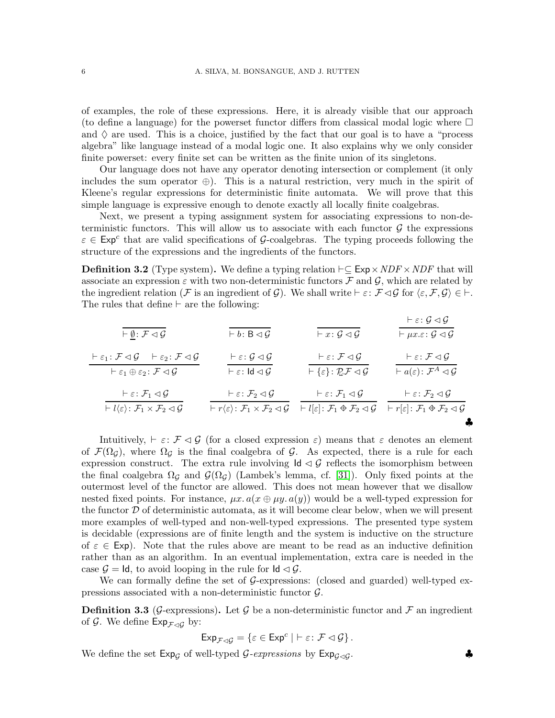of examples, the role of these expressions. Here, it is already visible that our approach (to define a language) for the powerset functor differs from classical modal logic where  $\Box$ and  $\Diamond$  are used. This is a choice, justified by the fact that our goal is to have a "process" algebra" like language instead of a modal logic one. It also explains why we only consider finite powerset: every finite set can be written as the finite union of its singletons.

Our language does not have any operator denoting intersection or complement (it only includes the sum operator  $\oplus$ ). This is a natural restriction, very much in the spirit of Kleene's regular expressions for deterministic finite automata. We will prove that this simple language is expressive enough to denote exactly all locally finite coalgebras.

Next, we present a typing assignment system for associating expressions to non-deterministic functors. This will allow us to associate with each functor  $\mathcal G$  the expressions  $\varepsilon \in \text{Exp}^c$  that are valid specifications of G-coalgebras. The typing proceeds following the structure of the expressions and the ingredients of the functors.

**Definition 3.2** (Type system). We define a typing relation  $\vdash ⊆$  Exp  $\times$  *NDF*  $\times$  *NDF* that will associate an expression  $\varepsilon$  with two non-deterministic functors  $\mathcal F$  and  $\mathcal G$ , which are related by the ingredient relation (F is an ingredient of G). We shall write  $\vdash \varepsilon : \mathcal{F} \triangleleft \mathcal{G}$  for  $\langle \varepsilon, \mathcal{F}, \mathcal{G} \rangle \in \vdash$ . The rules that define ⊢ are the following:

$$
\frac{\vdash \varrho_{\vdash} \mathcal{F} \triangleleft \mathcal{G}}{\vdash \varepsilon_{1} : \mathcal{F} \triangleleft \mathcal{G} \qquad \vdash \varepsilon_{2} : \mathcal{F} \triangleleft \mathcal{G}} \qquad \frac{\vdash \varepsilon : \mathcal{G} \triangleleft \mathcal{G}}{\vdash \varepsilon_{1} \oplus \varepsilon_{2} : \mathcal{F} \triangleleft \mathcal{G}} \qquad \frac{\vdash \varepsilon : \mathcal{G} \triangleleft \mathcal{G}}{\vdash \varepsilon : \mathsf{Id} \triangleleft \mathcal{G}} \qquad \frac{\vdash \varepsilon : \mathcal{G} \triangleleft \mathcal{G}}{\vdash \{\varepsilon\} : \mathcal{R} \mathcal{F} \triangleleft \mathcal{G}} \qquad \frac{\vdash \varepsilon : \mathcal{F} \triangleleft \mathcal{G}}{\vdash \mathsf{Id} \{\varepsilon\} : \mathcal{R} \mathcal{F} \triangleleft \mathcal{G}} \qquad \frac{\vdash \varepsilon : \mathcal{F} \triangleleft \mathcal{G}}{\vdash \mathsf{Id} \{\varepsilon\} : \mathcal{R} \mathcal{F} \triangleleft \mathcal{G}} \qquad \frac{\vdash \varepsilon : \mathcal{F} \triangleleft \mathcal{G}}{\vdash \mathsf{Id} \{\varepsilon\} : \mathcal{F} \triangleleft \mathcal{G}} \qquad \frac{\vdash \varepsilon : \mathcal{F} \triangleleft \mathcal{G}}{\vdash \mathsf{Id} \{\varepsilon\} : \mathcal{F} \triangleleft \mathcal{G}} \qquad \frac{\vdash \varepsilon : \mathcal{F}_1 \triangleleft \mathcal{G}}{\vdash \mathsf{Id} \{\varepsilon\} : \mathcal{F}_1 \triangleleft \mathcal{G}} \qquad \frac{\vdash \varepsilon : \mathcal{F}_1 \triangleleft \mathcal{G}}{\vdash \mathsf{Id} \{\varepsilon\} : \mathcal{F}_1 \triangleleft \mathcal{G}} \qquad \frac{\vdash \varepsilon : \mathcal{F}_1 \triangleleft \mathcal{G}}{\vdash \mathsf{Id} \{\varepsilon\} : \mathcal{F}_1 \triangleleft \mathcal{G}} \qquad \frac{\vdash \varepsilon : \mathcal{F}_1 \triangleleft \mathcal{G}}{\vdash \mathsf{Id} \{\varepsilon\} : \mathcal{F}_1 \triangleleft \mathcal{G}} \q
$$

Intuitively,  $\vdash \varepsilon : \mathcal{F} \lhd \mathcal{G}$  (for a closed expression  $\varepsilon$ ) means that  $\varepsilon$  denotes an element of  $\mathcal{F}(\Omega_{G})$ , where  $\Omega_{G}$  is the final coalgebra of G. As expected, there is a rule for each expression construct. The extra rule involving  $\mathsf{Id} \lhd \mathcal{G}$  reflects the isomorphism between the final coalgebra  $\Omega_{\mathcal{G}}$  and  $\mathcal{G}(\Omega_{\mathcal{G}})$  (Lambek's lemma, cf. [\[31\]](#page-38-3)). Only fixed points at the outermost level of the functor are allowed. This does not mean however that we disallow nested fixed points. For instance,  $\mu x \cdot a(x \oplus \mu y \cdot a(y))$  would be a well-typed expression for the functor  $\mathcal D$  of deterministic automata, as it will become clear below, when we will present more examples of well-typed and non-well-typed expressions. The presented type system is decidable (expressions are of finite length and the system is inductive on the structure of  $\varepsilon \in \text{Exp}$ . Note that the rules above are meant to be read as an inductive definition rather than as an algorithm. In an eventual implementation, extra care is needed in the case  $\mathcal{G} = \mathsf{Id}$ , to avoid looping in the rule for  $\mathsf{Id} \triangleleft \mathcal{G}$ .

We can formally define the set of G-expressions: (closed and guarded) well-typed expressions associated with a non-deterministic functor  $\mathcal{G}$ .

**Definition 3.3** (G-expressions). Let G be a non-deterministic functor and F an ingredient of G. We define  $Exp_{\mathcal{F}\triangleleft\mathcal{G}}$  by:

$$
\text{Exp}_{\mathcal{F}\triangleleft\mathcal{G}}=\left\{\varepsilon\in\text{Exp}^c\mid\;\vdash\varepsilon\colon\mathcal{F}\lhd\mathcal{G}\right\}.
$$

We define the set  $Exp_G$  of well-typed  $\mathcal{G}$ -expressions by  $Exp_{G \lhd G}$ .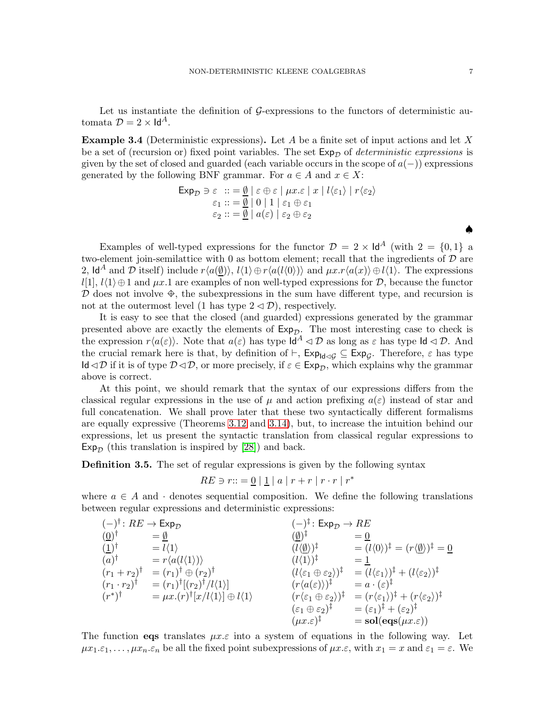Let us instantiate the definition of  $G$ -expressions to the functors of deterministic automata  $\mathcal{D} = 2 \times \mathsf{Id}^A$ .

**Example 3.4** (Deterministic expressions). Let A be a finite set of input actions and let X be a set of (recursion or) fixed point variables. The set  $Exp_{\mathcal{D}}$  of *deterministic expressions* is given by the set of closed and guarded (each variable occurs in the scope of  $a(-)$ ) expressions generated by the following BNF grammar. For  $a \in A$  and  $x \in X$ :

$$
\begin{aligned} \mathsf{Exp}_{\mathcal{D}} \ni \varepsilon &:: = \underline{\emptyset} \mid \varepsilon \oplus \varepsilon \mid \mu x. \varepsilon \mid x \mid l \langle \varepsilon_1 \rangle \mid r \langle \varepsilon_2 \rangle \\ \varepsilon_1 &:: = \underline{\emptyset} \mid 0 \mid 1 \mid \varepsilon_1 \oplus \varepsilon_1 \\ \varepsilon_2 &:: = \underline{\emptyset} \mid a(\varepsilon) \mid \varepsilon_2 \oplus \varepsilon_2 \end{aligned}
$$

Examples of well-typed expressions for the functor  $\mathcal{D} = 2 \times \mathsf{Id}^A$  (with  $2 = \{0, 1\}$  a two-element join-semilattice with 0 as bottom element; recall that the ingredients of  $D$  are 2, Id<sup>A</sup> and D itself) include  $r\langle a(\emptyset)\rangle$ ,  $l\langle 1\rangle \oplus r\langle a(l\langle 0\rangle)\rangle$  and  $\mu x.r\langle a(x)\rangle \oplus l\langle 1\rangle$ . The expressions l[1],  $l(1) \oplus 1$  and  $\mu x.1$  are examples of non well-typed expressions for  $\mathcal{D}$ , because the functor  $\mathcal D$  does not involve  $\oplus$ , the subexpressions in the sum have different type, and recursion is not at the outermost level (1 has type  $2 \triangleleft \mathcal{D}$ ), respectively.

It is easy to see that the closed (and guarded) expressions generated by the grammar presented above are exactly the elements of  $Exp_{\mathcal{D}}$ . The most interesting case to check is the expression  $r\langle a(\varepsilon)\rangle$ . Note that  $a(\varepsilon)$  has type  $\mathsf{Id}^A \lhd \mathcal{D}$  as long as  $\varepsilon$  has type  $\mathsf{Id} \lhd \mathcal{D}$ . And the crucial remark here is that, by definition of  $\vdash$ ,  $\text{Exp}_{\mathsf{Id}\lhd\mathcal{G}}\subseteq \text{Exp}_{\mathcal{G}}$ . Therefore,  $\varepsilon$  has type Id $\triangleleft\mathcal{D}$  if it is of type  $\mathcal{D}\triangleleft\mathcal{D}$ , or more precisely, if  $\varepsilon \in \text{Exp}_{\mathcal{D}}$ , which explains why the grammar above is correct.

At this point, we should remark that the syntax of our expressions differs from the classical regular expressions in the use of  $\mu$  and action prefixing  $a(\varepsilon)$  instead of star and full concatenation. We shall prove later that these two syntactically different formalisms are equally expressive (Theorems [3.12](#page-10-0) and [3.14\)](#page-16-0), but, to increase the intuition behind our expressions, let us present the syntactic translation from classical regular expressions to  $Exp_{\mathcal{D}}$  (this translation is inspired by [\[28\]](#page-38-2)) and back.

<span id="page-6-0"></span>Definition 3.5. The set of regular expressions is given by the following syntax

$$
RE \ni r::={\underline{0}} \mid {\underline{1}} \mid a \mid r+r \mid r\cdot r \mid r^*
$$

where  $a \in A$  and  $\cdot$  denotes sequential composition. We define the following translations between regular expressions and deterministic expressions:

$$
(\begin{array}{cccc}\n(-)^{\dagger}: RE \rightarrow Exp_{\mathcal{D}} & (-)^{\dagger}: Exp_{\mathcal{D}} \rightarrow RE \\
(\underline{0})^{\dagger} & = \underline{\emptyset} & (\underline{\emptyset})^{\dagger} & = \underline{0} \\
(\underline{1})^{\dagger} & = l \langle 1 \rangle & (l \langle \underline{\emptyset} \rangle)^{\dagger} & = \underline{0} \\
(a)^{\dagger} & = r \langle a(l \langle 1 \rangle) \rangle & (l \langle 1 \rangle)^{\dagger} & = \underline{1} \\
(r_1 + r_2)^{\dagger} & = (r_1)^{\dagger} \oplus (r_2)^{\dagger} & (l \langle \varepsilon_1 \oplus \varepsilon_2 \rangle)^{\dagger} & = (l \langle \varepsilon_1 \rangle)^{\dagger} + (l \langle \varepsilon_2 \rangle)^{\dagger} \\
(r_1 \cdot r_2)^{\dagger} & = (r_1)^{\dagger} [(r_2)^{\dagger} / l \langle 1 \rangle] & (r \langle a(\varepsilon) \rangle)^{\dagger} & = a \cdot (\varepsilon)^{\dagger} \\
(r^*)^{\dagger} & = \mu x.(r)^{\dagger} [x/l \langle 1 \rangle] \oplus l \langle 1 \rangle & (r \langle \varepsilon_1 \oplus \varepsilon_2 \rangle)^{\dagger} & = (r \langle \varepsilon_1 \rangle)^{\dagger} + (r \langle \varepsilon_2 \rangle)^{\dagger} \\
(r^*)^{\dagger} & = \mu x.(r)^{\dagger} [x/l \langle 1 \rangle] \oplus l \langle 1 \rangle & (r \langle \varepsilon_1 \oplus \varepsilon_2 \rangle)^{\dagger} & = (r \langle \varepsilon_1 \rangle)^{\dagger} + (r \langle \varepsilon_2 \rangle)^{\dagger} \\
(r \langle \varepsilon_1 \oplus \varepsilon_2 \rangle)^{\dagger} & = (r \langle \varepsilon_1 \rangle)^{\dagger} + (r \langle \varepsilon_2 \rangle)^{\dagger} \\
(r \langle \varepsilon_1 \oplus \varepsilon_2 \rangle)^{\dagger} & = \text{sol}(\text{eq}(\mu x. \varepsilon))\n\end{array}
$$

The function eqs translates  $\mu x \in \mathcal{E}$  into a system of equations in the following way. Let  $\mu x_1 \in \mathcal{E}_1, \ldots, \mu x_n \in \mathcal{E}_n$  be all the fixed point subexpressions of  $\mu x \in \mathcal{E}$ , with  $x_1 = x$  and  $\varepsilon_1 = \varepsilon$ . We

♠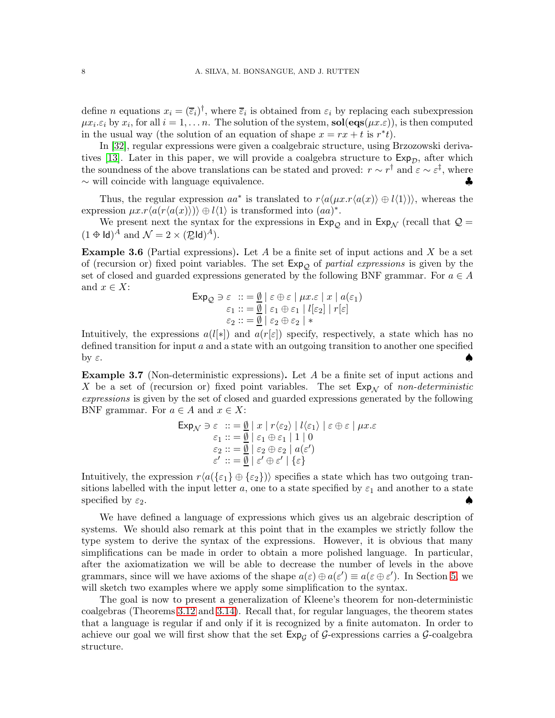define *n* equations  $x_i = (\bar{\varepsilon}_i)^{\dagger}$ , where  $\bar{\varepsilon}_i$  is obtained from  $\varepsilon_i$  by replacing each subexpression  $\mu x_i.\varepsilon_i$  by  $x_i$ , for all  $i = 1, \ldots n$ . The solution of the system,  $sol(\text{eqs}(\mu x.\varepsilon))$ , is then computed in the usual way (the solution of an equation of shape  $x = rx + t$  is  $r^*t$ ).

In [\[32\]](#page-38-6), regular expressions were given a coalgebraic structure, using Brzozowski deriva-tives [\[13\]](#page-37-3). Later in this paper, we will provide a coalgebra structure to  $Exp_{\mathcal{D}}$ , after which the soundness of the above translations can be stated and proved:  $r \sim r^{\dagger}$  and  $\varepsilon \sim \varepsilon^{\ddagger}$ , where  $\sim$  will coincide with language equivalence.

Thus, the regular expression  $aa^*$  is translated to  $r\langle a(\mu x.r\langle a(x)\rangle \oplus l\langle 1\rangle)\rangle$ , whereas the expression  $\mu x.r\langle a(r\langle a(x)\rangle)\rangle \oplus l\langle 1\rangle$  is transformed into  $(aa)^*$ .

We present next the syntax for the expressions in  $Exp_{\mathcal{O}}$  and in  $Exp_{\mathcal{N}}$  (recall that  $\mathcal{Q} =$  $(1 \oplus \mathsf{Id})^A$  and  $\mathcal{N} = 2 \times (\mathbb{Z} \mathsf{Id})^A$ ).

**Example 3.6** (Partial expressions). Let A be a finite set of input actions and X be a set of (recursion or) fixed point variables. The set Exp<sup>Q</sup> of *partial expressions* is given by the set of closed and guarded expressions generated by the following BNF grammar. For  $a \in A$ and  $x \in X$ :

$$
\begin{aligned} \text{Exp}_{\mathcal{Q}} &\ni \varepsilon \; \dots = \frac{\emptyset}{\mathcal{Q}} \mid \varepsilon \oplus \varepsilon \mid \mu x. \varepsilon \mid x \mid a(\varepsilon_1) \\ \varepsilon_1 &\,: := \frac{\emptyset}{\mathcal{Q}} \mid \varepsilon_1 \oplus \varepsilon_1 \mid l[\varepsilon_2] \mid r[\varepsilon] \\ \varepsilon_2 &\,: := \frac{\emptyset}{\mathcal{Q}} \mid \varepsilon_2 \oplus \varepsilon_2 \mid * \end{aligned}
$$

Intuitively, the expressions  $a(l[*])$  and  $a(r[\varepsilon])$  specify, respectively, a state which has no defined transition for input a and a state with an outgoing transition to another one specified by  $\varepsilon$ .

**Example 3.7** (Non-deterministic expressions). Let  $A$  be a finite set of input actions and X be a set of (recursion or) fixed point variables. The set  $Exp_{\mathcal{N}}$  of *non-deterministic expressions* is given by the set of closed and guarded expressions generated by the following BNF grammar. For  $a \in A$  and  $x \in X$ :

$$
\begin{array}{ll}\n\mathsf{Exp}_{\mathcal{N}} \ni \varepsilon &:: = \underline{\emptyset} \mid x \mid r \langle \varepsilon_2 \rangle \mid l \langle \varepsilon_1 \rangle \mid \varepsilon \oplus \varepsilon \mid \mu x. \varepsilon \\
& \varepsilon_1 :: = \underline{\emptyset} \mid \varepsilon_1 \oplus \varepsilon_1 \mid 1 \mid 0 \\
& \varepsilon_2 :: = \underline{\emptyset} \mid \varepsilon_2 \oplus \varepsilon_2 \mid a(\varepsilon') \\
& \varepsilon' :: = \underline{\emptyset} \mid \varepsilon' \oplus \varepsilon' \mid \{\varepsilon\}\n\end{array}
$$

Intuitively, the expression  $r\langle a({\{\varepsilon_1\}\oplus {\{\varepsilon_2\}}})\rangle$  specifies a state which has two outgoing transitions labelled with the input letter a, one to a state specified by  $\varepsilon_1$  and another to a state specified by  $\varepsilon_2$ .

We have defined a language of expressions which gives us an algebraic description of systems. We should also remark at this point that in the examples we strictly follow the type system to derive the syntax of the expressions. However, it is obvious that many simplifications can be made in order to obtain a more polished language. In particular, after the axiomatization we will be able to decrease the number of levels in the above grammars, since will we have axioms of the shape  $a(\varepsilon) \oplus a(\varepsilon') \equiv a(\varepsilon \oplus \varepsilon')$ . In Section [5,](#page-29-0) we will sketch two examples where we apply some simplification to the syntax.

The goal is now to present a generalization of Kleene's theorem for non-deterministic coalgebras (Theorems [3.12](#page-10-0) and [3.14\)](#page-16-0). Recall that, for regular languages, the theorem states that a language is regular if and only if it is recognized by a finite automaton. In order to achieve our goal we will first show that the set  $Exp<sub>G</sub>$  of G-expressions carries a G-coalgebra structure.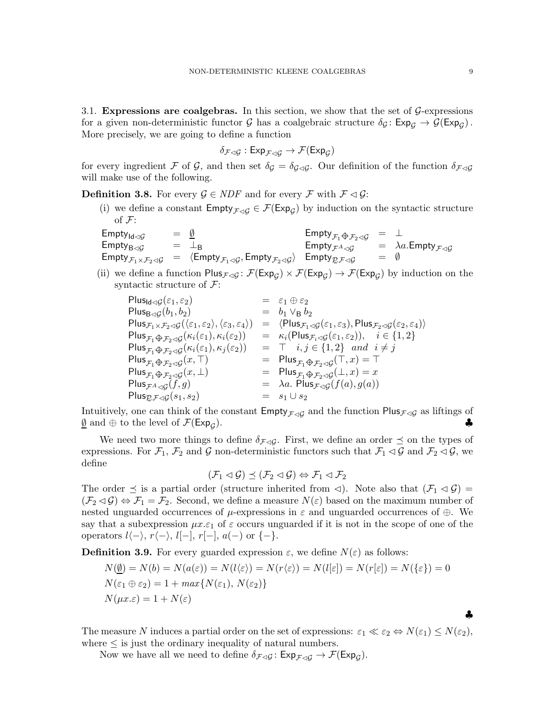<span id="page-8-0"></span>3.1. Expressions are coalgebras. In this section, we show that the set of  $\mathcal{G}$ -expressions for a given non-deterministic functor  $G$  has a coalgebraic structure  $\delta_G : \mathsf{Exp}_G \to \mathcal{G}(\mathsf{Exp}_G)$ . More precisely, we are going to define a function

$$
\delta_{\mathcal{F}\lhd\mathcal{G}}:\mathsf{Exp}_{\mathcal{F}\lhd\mathcal{G}}\to\mathcal{F}(\mathsf{Exp}_\mathcal{G})
$$

for every ingredient F of G, and then set  $\delta_{\mathcal{G}} = \delta_{\mathcal{G}\lhd\mathcal{G}}$ . Our definition of the function  $\delta_{\mathcal{F}\lhd\mathcal{G}}$ will make use of the following.

**Definition 3.8.** For every  $\mathcal{G} \in \text{NDF}$  and for every  $\mathcal{F}$  with  $\mathcal{F} \lhd \mathcal{G}$ :

(i) we define a constant  $\text{Empty}_{\mathcal{F}\lhd\mathcal{G}} \in \mathcal{F}(\text{Exp}_{\mathcal{G}})$  by induction on the syntactic structure of  $\mathcal{F}$ :

 $\mathsf{Empty}_{\mathsf{Id}\lhd\mathcal{G}} = \emptyset$  $\begin{array}{ccc} \text{Empty}_{B\lhd}G & = & \perp_B \\ - & \end{array}$  $\mathsf{Empty}_{\mathcal{F}_1 \times \mathcal{F}_2 \lhd \mathcal{G}} \;\; = \;\; \langle \mathsf{Empty}_{\mathcal{F}_1 \lhd \mathcal{G}}, \mathsf{Empty}_{\mathcal{F}_2 \lhd \mathcal{G}} \rangle$  $\mathsf{Empty}_{\mathcal{F}_1 \oplus \mathcal{F}_2 \lhd \mathcal{G}} = \perp$  $\mathsf{Empty}_{\mathcal{F}^A\lhd\mathcal{G}}\qquad=\quad \lambda a.\mathsf{Empty}_{\mathcal{F}\lhd\mathcal{G}}$  $\mathsf{Empty}_{\mathcal{RF}\lhd\mathcal{G}} \qquad \equiv \; \emptyset$ 

(ii) we define a function  $\text{Plus}_{\mathcal{F}\lhd\mathcal{G}}\colon \mathcal{F}(\text{Exp}_{\mathcal{G}}) \times \mathcal{F}(\text{Exp}_{\mathcal{G}}) \to \mathcal{F}(\text{Exp}_{\mathcal{G}})$  by induction on the syntactic structure of  $\mathcal{F}$ :

$$
\begin{array}{lllllll} \mathsf{Plus}_{\mathsf{Id}\lhd\mathcal{G}}(\varepsilon_1,\varepsilon_2) & = & \varepsilon_1\oplus\varepsilon_2\\ \mathsf{Plus}_{\mathsf{Eq}\lhd\mathcal{G}}(b_1,b_2) & = & b_1\vee_\mathsf{B}b_2\\ \mathsf{Plus}_{\mathcal{F}_1\times\mathcal{F}_2\lhd\mathcal{G}}(\langle\varepsilon_1,\varepsilon_2\rangle,\langle\varepsilon_3,\varepsilon_4\rangle) & = & \langle \mathsf{Plus}_{\mathcal{F}_1\lhd\mathcal{G}}(\varepsilon_1,\varepsilon_3),\mathsf{Plus}_{\mathcal{F}_2\lhd\mathcal{G}}(\varepsilon_2,\varepsilon_4)\rangle\\ \mathsf{Plus}_{\mathcal{F}_1\biguplus\mathcal{F}_2\lhd\mathcal{G}}(\kappa_i(\varepsilon_1),\kappa_i(\varepsilon_2)) & = & \kappa_i(\mathsf{Plus}_{\mathcal{F}_i\lhd\mathcal{G}}(\varepsilon_1,\varepsilon_2)), & i\in\{1,2\}\\ \mathsf{Plus}_{\mathcal{F}_1\biguplus\mathcal{F}_2\lhd\mathcal{G}}(\kappa_i(\varepsilon_1),\kappa_j(\varepsilon_2)) & = & \top & i,j\in\{1,2\} \ \ \text{and} \ \ i\neq j\\ \mathsf{Plus}_{\mathcal{F}_1\biguplus\mathcal{F}_2\lhd\mathcal{G}}(\kappa,\top) & = & \mathsf{Plus}_{\mathcal{F}_1\biguplus\mathcal{F}_2\lhd\mathcal{G}}(\top,x) = \top\\ \mathsf{Plus}_{\mathcal{F}_1\biguplus\mathcal{F}_2\lhd\mathcal{G}}(x,\bot) & = & \mathsf{Plus}_{\mathcal{F}_1\biguplus\mathcal{F}_2\lhd\mathcal{G}}(\bot,x) = x\\ \mathsf{Plus}_{\mathcal{F}\lhd\mathcal{G}}(f,g) & = & \lambda a. \ \mathsf{Plus}_{\mathcal{F}\lhd\mathcal{G}}(f(a),g(a))\\ \mathsf{Plus}_{\mathcal{E}\mathcal{F}\lhd\mathcal{G}}(s_1,s_2) & = & s_1\cup s_2 \end{array}
$$

Intuitively, one can think of the constant  $\text{Empty}_{\mathcal{F}\lhd\mathcal{G}}$  and the function  $\text{Plus}_{\mathcal{F}\lhd\mathcal{G}}$  as liftings of  $\emptyset$  and  $\oplus$  to the level of  $\mathcal{F}(\text{Exp}_G)$ .  $\underline{\emptyset}$  and  $\oplus$  to the level of  $\mathcal{F}(\mathsf{Exp}_G)$ .  $\bullet$ 

We need two more things to define  $\delta_{\mathcal{F}\lhd G}$ . First, we define an order  $\preceq$  on the types of expressions. For  $\mathcal{F}_1, \mathcal{F}_2$  and G non-deterministic functors such that  $\mathcal{F}_1 \lhd \mathcal{G}$  and  $\mathcal{F}_2 \lhd \mathcal{G}$ , we define

$$
(\mathcal{F}_1 \lhd \mathcal{G}) \preceq (\mathcal{F}_2 \lhd \mathcal{G}) \Leftrightarrow \mathcal{F}_1 \lhd \mathcal{F}_2
$$

The order  $\leq$  is a partial order (structure inherited from  $\triangleleft$ ). Note also that  $(\mathcal{F}_1 \triangleleft \mathcal{G})$  $(\mathcal{F}_2 \triangleleft \mathcal{G}) \Leftrightarrow \mathcal{F}_1 = \mathcal{F}_2$ . Second, we define a measure  $N(\varepsilon)$  based on the maximum number of nested unguarded occurrences of  $\mu$ -expressions in  $\varepsilon$  and unguarded occurrences of  $\oplus$ . We say that a subexpression  $\mu x.\varepsilon_1$  of  $\varepsilon$  occurs unguarded if it is not in the scope of one of the operators  $l\langle -\rangle$ ,  $r\langle -\rangle$ ,  $l[-, r[-], a(-)$  or  $\{-\}.$ 

**Definition 3.9.** For every guarded expression  $\varepsilon$ , we define  $N(\varepsilon)$  as follows:

$$
N(\underline{\emptyset}) = N(b) = N(a(\varepsilon)) = N(l(\varepsilon)) = N(r(\varepsilon)) = N(l[\varepsilon]) = N(r[\varepsilon]) = N(\{\varepsilon\}) = 0
$$
  

$$
N(\varepsilon_1 \oplus \varepsilon_2) = 1 + \max\{N(\varepsilon_1), N(\varepsilon_2)\}
$$
  

$$
N(\mu x.\varepsilon) = 1 + N(\varepsilon)
$$

The measure N induces a partial order on the set of expressions:  $\varepsilon_1 \ll \varepsilon_2 \Leftrightarrow N(\varepsilon_1) \leq N(\varepsilon_2)$ , where  $\leq$  is just the ordinary inequality of natural numbers.

Now we have all we need to define  $\delta_{\mathcal{F}\lhd\mathcal{G}}\colon \mathsf{Exp}_{\mathcal{F}\lhd\mathcal{G}} \to \mathcal{F}(\mathsf{Exp}_\mathcal{G}).$ 

♣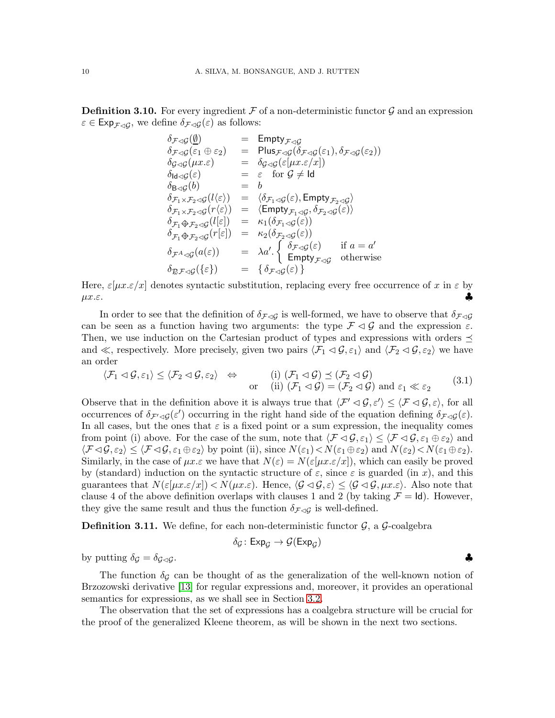**Definition 3.10.** For every ingredient  $\mathcal F$  of a non-deterministic functor  $\mathcal G$  and an expression  $\varepsilon \in \text{Exp}_{\mathcal{F} \lhd \mathcal{G}}$ , we define  $\delta_{\mathcal{F} \lhd \mathcal{G}}(\varepsilon)$  as follows:

$$
\delta_{\mathcal{F}\lhd\mathcal{G}}(\underline{\emptyset}) = \text{Empty}_{\mathcal{F}\lhd\mathcal{G}} \n\delta_{\mathcal{F}\lhd\mathcal{G}}(\varepsilon_1 \oplus \varepsilon_2) = \text{Plus}_{\mathcal{F}\lhd\mathcal{G}}(\delta_{\mathcal{F}\lhd\mathcal{G}}(\varepsilon_1), \delta_{\mathcal{F}\lhd\mathcal{G}}(\varepsilon_2)) \n\delta_{\mathcal{G}\lhd\mathcal{G}}(\mu x.\varepsilon) = \delta_{\mathcal{G}\lhd\mathcal{G}}(\varepsilon[\mu x.\varepsilon/x]) \n\delta_{\text{Id}\lhd\mathcal{G}}(\varepsilon) = \varepsilon \text{ for } \mathcal{G} \neq \text{Id} \n\delta_{\text{B}\lhd\mathcal{G}}(b) = b \n\delta_{\mathcal{F}_1 \times \mathcal{F}_2 \prec\mathcal{G}}(l\langle \varepsilon \rangle) = \langle \delta_{\mathcal{F}_1 \prec\mathcal{G}}(\varepsilon), \text{Empty}_{\mathcal{F}_2 \prec\mathcal{G}} \rangle \n\delta_{\mathcal{F}_1 \times \mathcal{F}_2 \prec\mathcal{G}}(r\langle \varepsilon \rangle) = \langle \text{Empty}_{\mathcal{F}_1 \prec\mathcal{G}} \delta_{\mathcal{F}_2 \prec\mathcal{G}}(\varepsilon) \rangle \n\delta_{\mathcal{F}_1 \Leftrightarrow \mathcal{F}_2 \prec\mathcal{G}}(l[\varepsilon]) = \kappa_1(\delta_{\mathcal{F}_1 \prec\mathcal{G}}(\varepsilon)) \n\delta_{\mathcal{F}_1 \Leftrightarrow \mathcal{F}_2 \prec\mathcal{G}}(r[\varepsilon]) = \kappa_2(\delta_{\mathcal{F}_2 \prec\mathcal{G}}(\varepsilon)) \n\delta_{\mathcal{F}^A \prec\mathcal{G}}(a(\varepsilon)) = \lambda a' \cdot \begin{cases} \delta_{\mathcal{F}\lhd\mathcal{G}}(\varepsilon) & \text{if } a = a' \\ \text{Empty}_{\mathcal{F}\lhd\mathcal{G}} & \text{otherwise} \end{cases} \n\delta_{\mathcal{R}\mathcal{F}\lhd\mathcal{G}}(\{\varepsilon\}) = \{\delta_{\mathcal{F}\lhd\mathcal{G}}(\
$$

Here,  $\varepsilon[\mu x.\varepsilon/x]$  denotes syntactic substitution, replacing every free occurrence of x in  $\varepsilon$  by  $\mu x.\varepsilon.$ 

In order to see that the definition of  $\delta_{\mathcal{F}\lhd G}$  is well-formed, we have to observe that  $\delta_{\mathcal{F}\lhd G}$ can be seen as a function having two arguments: the type  $\mathcal{F} \lhd \mathcal{G}$  and the expression  $\varepsilon$ . Then, we use induction on the Cartesian product of types and expressions with orders  $\preceq$ and ≪, respectively. More precisely, given two pairs  $\langle \mathcal{F}_1 \prec \mathcal{G}, \varepsilon_1 \rangle$  and  $\langle \mathcal{F}_2 \prec \mathcal{G}, \varepsilon_2 \rangle$  we have an order

<span id="page-9-0"></span>
$$
\langle \mathcal{F}_1 \triangleleft \mathcal{G}, \varepsilon_1 \rangle \leq \langle \mathcal{F}_2 \triangleleft \mathcal{G}, \varepsilon_2 \rangle \quad \Leftrightarrow \quad \text{(i) } (\mathcal{F}_1 \triangleleft \mathcal{G}) \preceq (\mathcal{F}_2 \triangleleft \mathcal{G})
$$
  
or (ii)  $(\mathcal{F}_1 \triangleleft \mathcal{G}) = (\mathcal{F}_2 \triangleleft \mathcal{G}) \text{ and } \varepsilon_1 \ll \varepsilon_2$  (3.1)

Observe that in the definition above it is always true that  $\langle \mathcal{F}' \prec \mathcal{G}, \varepsilon' \rangle \leq \langle \mathcal{F} \prec \mathcal{G}, \varepsilon \rangle$ , for all occurrences of  $\delta_{\mathcal{F}'\triangleleft\mathcal{G}}(\varepsilon')$  occurring in the right hand side of the equation defining  $\delta_{\mathcal{F}\triangleleft\mathcal{G}}(\varepsilon)$ . In all cases, but the ones that  $\varepsilon$  is a fixed point or a sum expression, the inequality comes from point (i) above. For the case of the sum, note that  $\langle \mathcal{F} \lhd \mathcal{G}, \varepsilon_1 \rangle \leq \langle \mathcal{F} \lhd \mathcal{G}, \varepsilon_1 \oplus \varepsilon_2 \rangle$  and  $\langle \mathcal{F} \triangleleft \mathcal{G}, \varepsilon_2 \rangle \leq \langle \mathcal{F} \triangleleft \mathcal{G}, \varepsilon_1 \oplus \varepsilon_2 \rangle$  by point (ii), since  $N(\varepsilon_1) < N(\varepsilon_1 \oplus \varepsilon_2)$  and  $N(\varepsilon_2) < N(\varepsilon_1 \oplus \varepsilon_2)$ . Similarly, in the case of  $\mu x.\varepsilon$  we have that  $N(\varepsilon) = N(\varepsilon[\mu x.\varepsilon/x])$ , which can easily be proved by (standard) induction on the syntactic structure of  $\varepsilon$ , since  $\varepsilon$  is guarded (in x), and this guarantees that  $N(\varepsilon[\mu x.\varepsilon/x]) < N(\mu x.\varepsilon)$ . Hence,  $\langle \mathcal{G} \triangleleft \mathcal{G}, \varepsilon \rangle \leq \langle \mathcal{G} \triangleleft \mathcal{G}, \mu x.\varepsilon \rangle$ . Also note that clause 4 of the above definition overlaps with clauses 1 and 2 (by taking  $\mathcal{F} = \mathsf{Id}$ ). However, they give the same result and thus the function  $\delta_{\mathcal{F}\lhd\mathcal{G}}$  is well-defined.

**Definition 3.11.** We define, for each non-deterministic functor  $\mathcal{G}$ , a  $\mathcal{G}$ -coalgebra

$$
\delta_{\mathcal{G}}\colon \mathsf{Exp}_{\mathcal{G}} \to \mathcal{G}(\mathsf{Exp}_{\mathcal{G}})
$$

by putting  $\delta_{\mathcal{G}} = \delta_{\mathcal{G}\lhd\mathcal{G}}$ .

The function  $\delta_{\mathcal{G}}$  can be thought of as the generalization of the well-known notion of Brzozowski derivative [\[13\]](#page-37-3) for regular expressions and, moreover, it provides an operational semantics for expressions, as we shall see in Section [3.2.](#page-10-1)

The observation that the set of expressions has a coalgebra structure will be crucial for the proof of the generalized Kleene theorem, as will be shown in the next two sections.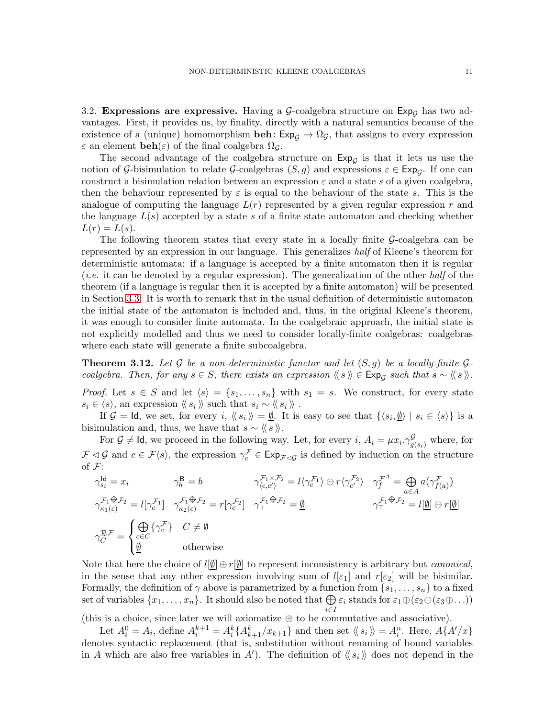<span id="page-10-1"></span>3.2. Expressions are expressive. Having a  $\mathcal{G}\text{-coalgebra structure on } \text{Exp}_\mathcal{G}$  has two advantages. First, it provides us, by finality, directly with a natural semantics because of the existence of a (unique) homomorphism **beh**:  $Exp<sub>G</sub> \rightarrow \Omega<sub>G</sub>$ , that assigns to every expression  $\varepsilon$  an element  $\mathbf{beh}(\varepsilon)$  of the final coalgebra  $\Omega_{\mathcal{G}}$ .

The second advantage of the coalgebra structure on  $Exp_{\mathcal{G}}$  is that it lets us use the notion of G-bisimulation to relate G-coalgebras  $(S, g)$  and expressions  $\varepsilon \in \text{Exp}_{\mathcal{G}}$ . If one can construct a bisimulation relation between an expression  $\varepsilon$  and a state s of a given coalgebra, then the behaviour represented by  $\varepsilon$  is equal to the behaviour of the state s. This is the analogue of computing the language  $L(r)$  represented by a given regular expression r and the language  $L(s)$  accepted by a state s of a finite state automaton and checking whether  $L(r) = L(s)$ .

The following theorem states that every state in a locally finite  $\mathcal{G}\text{-coalgebra}$  can be represented by an expression in our language. This generalizes *half* of Kleene's theorem for deterministic automata: if a language is accepted by a finite automaton then it is regular (*i.e.* it can be denoted by a regular expression). The generalization of the other *half* of the theorem (if a language is regular then it is accepted by a finite automaton) will be presented in Section [3.3.](#page-13-0) It is worth to remark that in the usual definition of deterministic automaton the initial state of the automaton is included and, thus, in the original Kleene's theorem, it was enough to consider finite automata. In the coalgebraic approach, the initial state is not explicitly modelled and thus we need to consider locally-finite coalgebras: coalgebras where each state will generate a finite subcoalgebra.

<span id="page-10-0"></span>**Theorem 3.12.** Let  $\mathcal G$  be a non-deterministic functor and let  $(S, g)$  be a locally-finite  $\mathcal G$ *coalgebra. Then, for any*  $s \in S$ *, there exists an expression*  $\langle \langle s \rangle \rangle \in \text{Exp}_S$  such that  $s \sim \langle \langle s \rangle \rangle$ *.* 

*Proof.* Let  $s \in S$  and let  $\langle s \rangle = \{s_1, \ldots, s_n\}$  with  $s_1 = s$ . We construct, for every state  $s_i \in \langle s \rangle$ , an expression  $\langle s_i \rangle$  such that  $s_i \sim \langle s_i \rangle$ .

If  $\mathcal{G} = \mathsf{Id}$ , we set, for every  $i, \langle\langle s_i \rangle\rangle = \underline{\emptyset}$ . It is easy to see that  $\{\langle s_i, \underline{\emptyset} \rangle \mid s_i \in \langle s \rangle\}$  is a bisimulation and, thus, we have that  $s \sim \langle \langle s \rangle \rangle$ .

For  $\mathcal{G} \neq \mathsf{Id}$ , we proceed in the following way. Let, for every i,  $A_i = \mu x_i \cdot \gamma_{g(s_i)}^{\mathcal{G}}$  where, for  $\mathcal{F} \triangleleft \mathcal{G}$  and  $c \in \mathcal{F}\langle s \rangle$ , the expression  $\gamma_c^{\mathcal{F}} \in \text{Exp}_{\mathcal{F} \triangleleft \mathcal{G}}$  is defined by induction on the structure of  $\mathcal{F}$ :

$$
\gamma_{s_i}^{\mathsf{Id}} = x_i \qquad \qquad \gamma_b^{\mathsf{B}} = b \qquad \qquad \gamma_{\langle c, c' \rangle}^{\mathcal{F}_1 \times \mathcal{F}_2} = l \langle \gamma_c^{\mathcal{F}_1} \rangle \oplus r \langle \gamma_{c'}^{\mathcal{F}_2} \rangle \quad \gamma_f^{\mathcal{F}^A} = \bigoplus_{a \in A} a(\gamma_{f(a)}^{\mathcal{F}})
$$
\n
$$
\gamma_{\kappa_1(c)}^{\mathcal{F}_1 \oplus \mathcal{F}_2} = l[\gamma_c^{\mathcal{F}_1}] \quad \gamma_{\kappa_2(c)}^{\mathcal{F}_1 \oplus \mathcal{F}_2} = r[\gamma_c^{\mathcal{F}_2}] \quad \gamma_{\perp}^{\mathcal{F}_1 \oplus \mathcal{F}_2} = \underbrace{\emptyset}_{\gamma_{\perp}^{\mathcal{F}_1 \oplus \mathcal{F}_2}} \qquad \qquad \gamma_{\perp}^{\mathcal{F}_1 \oplus \mathcal{F}_2} = l[\underbrace{\emptyset}_{\gamma_{\perp}^{\mathcal{F}_1 \oplus \mathcal{F}_2}} = l[\underbrace{\emptyset}_{\emptyset}] \oplus r[\underbrace{\emptyset}_{\emptyset}]
$$
\n
$$
\gamma_C^{\mathcal{F}_2 \oplus \mathcal{F}_2} = \begin{cases} \bigoplus_{c \in C} \{\gamma_c^{\mathcal{F}}\} & C \neq \emptyset \\ \underbrace{\emptyset}_{\emptyset} & \text{otherwise} \end{cases}
$$

Note that here the choice of  $l[\emptyset] \oplus r[\emptyset]$  to represent inconsistency is arbitrary but *canonical*, in the sense that any other expression involving sum of  $l[\epsilon_1]$  and  $r[\epsilon_2]$  will be bisimilar. Formally, the definition of  $\gamma$  above is parametrized by a function from  $\{s_1, \ldots, s_n\}$  to a fixed set of variables  $\{x_1, \ldots, x_n\}$ . It should also be noted that  $\bigoplus \varepsilon_i$  stands for  $\varepsilon_1 \oplus (\varepsilon_2 \oplus (\varepsilon_3 \oplus \ldots))$ i∈I

(this is a choice, since later we will axiomatize  $\oplus$  to be commutative and associative).

Let  $A_i^0 = A_i$ , define  $A_i^{k+1} = A_i^k \{A_{k+1}^k / x_{k+1}\}\$  and then set  $\langle \langle s_i \rangle \rangle = A_i^n$ . Here,  $A\{A'/x\}\$ denotes syntactic replacement (that is, substitution without renaming of bound variables in A which are also free variables in A'). The definition of  $\langle s_i \rangle$  does not depend in the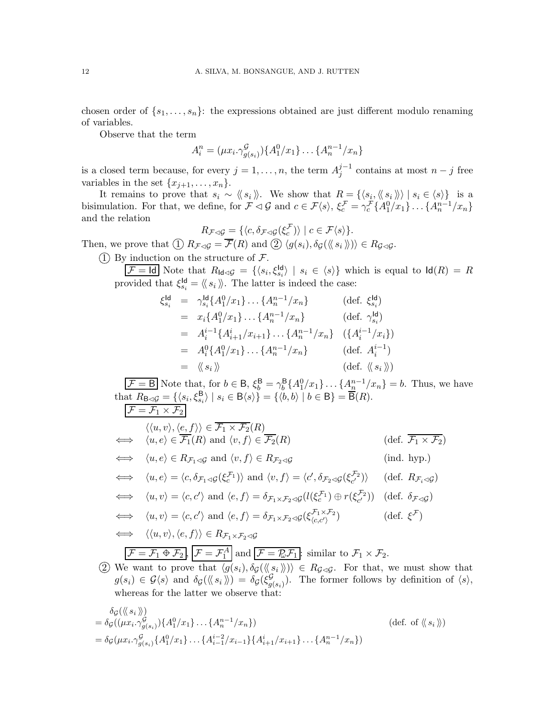chosen order of  $\{s_1, \ldots, s_n\}$ : the expressions obtained are just different modulo renaming of variables.

Observe that the term

$$
A_i^n = (\mu x_i \cdot \gamma_{g(s_i)}^{\mathcal{G}}) \{ A_1^0 / x_1 \} \dots \{ A_n^{n-1} / x_n \}
$$

is a closed term because, for every  $j = 1, \ldots, n$ , the term  $A_j^{j-1}$  $j^{j-1}$  contains at most  $n-j$  free variables in the set  $\{x_{j+1}, \ldots, x_n\}.$ 

It remains to prove that  $s_i \sim \langle\!\langle s_i \rangle\!\rangle$ . We show that  $R = {\langle\langle s_i, \langle\!\langle s_i \rangle\rangle\rangle | s_i \in \langle s \rangle\rangle}$  is a bisimulation. For that, we define, for  $\mathcal{F} \triangleleft \mathcal{G}$  and  $c \in \mathcal{F}\langle s \rangle$ ,  $\xi_c^{\mathcal{F}} = \gamma_c^{\mathcal{F}} \{A_1^0/x_1\} \dots \{A_n^{n-1}/x_n\}$ and the relation

$$
R_{\mathcal{F}\triangleleft\mathcal{G}} = \{ \langle c, \delta_{\mathcal{F}\triangleleft\mathcal{G}}(\xi_c^{\mathcal{F}}) \rangle \mid c \in \mathcal{F}\langle s \rangle \}.
$$

Then, we prove that  $( \text{I}) R_{\mathcal{F}\lhd \mathcal{G}} = \overline{\mathcal{F}}(R)$  and  $( \text{I}) \langle g(s_i), \delta_{\mathcal{G}}(\langle \langle s_i \rangle \rangle) \rangle \in R_{\mathcal{G}\lhd \mathcal{G}}$ .

(1) By induction on the structure of  $\mathcal{F}$ .

 $\overline{\mathcal{F}} = \text{Id}$  Note that  $R_{\text{Id}\lhd\mathcal{G}} = \{ \langle s_i, \xi_{s_i}^{\text{Id}} \rangle \mid s_i \in \langle s \rangle \}$  which is equal to  $\text{Id}(R) = R$ provided that  $\xi_{s_i}^{\mathsf{Id}} = \langle \n \langle s_i \rangle \rangle$ . The latter is indeed the case:

$$
\xi_{s_i}^{\mathsf{ld}} = \gamma_{s_i}^{\mathsf{ld}} \{ A_1^0 / x_1 \} \dots \{ A_n^{n-1} / x_n \} \qquad (\text{def. } \xi_{s_i}^{\mathsf{ld}})
$$
\n
$$
= x_i \{ A_1^0 / x_1 \} \dots \{ A_n^{n-1} / x_n \} \qquad (\text{def. } \gamma_{s_i}^{\mathsf{ld}})
$$
\n
$$
= A_i^{i-1} \{ A_{i+1}^i / x_{i+1} \} \dots \{ A_n^{n-1} / x_n \} \qquad (\{ A_i^{i-1} / x_i \})
$$
\n
$$
= A_i^0 \{ A_1^0 / x_1 \} \dots \{ A_n^{n-1} / x_n \} \qquad (\text{def. } A_i^{i-1})
$$
\n
$$
= \langle \langle s_i \rangle \rangle \qquad (\text{def. } \langle \langle s_i \rangle \rangle)
$$

 $\overline{\mathcal{F}} = \mathsf{B}$  Note that, for  $b \in \mathsf{B}$ ,  $\xi_b^{\mathsf{B}} = \gamma_b^{\mathsf{B}} \{A_1^0/x_1\} \dots \{A_n^{n-1}/x_n\} = b$ . Thus, we have that  $R_{\mathbf{B}\triangleleft\mathcal{G}} = \{ \langle s_i, \xi_{s_i}^{\mathbf{B}} \rangle \mid s_i \in \mathbf{B}\langle s \rangle \} = \{ \langle b, b \rangle \mid b \in \mathbf{B} \} = \overline{\mathbf{B}}(R).$ 

$$
\mathcal{F} = \mathcal{F}_1 \times \mathcal{F}_2
$$
\n
$$
\langle \langle u, v \rangle, \langle e, f \rangle \rangle \in \overline{\mathcal{F}_1 \times \mathcal{F}_2}(R)
$$
\n
$$
\iff \langle u, e \rangle \in \overline{\mathcal{F}_1}(R) \text{ and } \langle v, f \rangle \in \overline{\mathcal{F}_2}(R)
$$
\n
$$
\iff \langle u, e \rangle \in R_{\mathcal{F}_1 \lhd \mathcal{G}} \text{ and } \langle v, f \rangle \in R_{\mathcal{F}_2 \lhd \mathcal{G}} \qquad \text{(ind. hyp.)}
$$
\n
$$
\iff \langle u, e \rangle = \langle c, \delta_{\mathcal{F}_1 \lhd \mathcal{G}}(\xi_c^{\mathcal{F}_1}) \rangle \text{ and } \langle v, f \rangle = \langle c', \delta_{\mathcal{F}_2 \lhd \mathcal{G}}(\xi_c^{\mathcal{F}_2}) \rangle \quad \text{(def. } R_{\mathcal{F}_i \lhd \mathcal{G}})
$$
\n
$$
\iff \langle u, v \rangle = \langle c, c' \rangle \text{ and } \langle e, f \rangle = \delta_{\mathcal{F}_1 \times \mathcal{F}_2 \lhd \mathcal{G}}(l(\xi_c^{\mathcal{F}_1}) \oplus r(\xi_c^{\mathcal{F}_2})) \quad \text{(def. } \delta_{\mathcal{F} \lhd \mathcal{G}})
$$
\n
$$
\iff \langle u, v \rangle = \langle c, c' \rangle \text{ and } \langle e, f \rangle = \delta_{\mathcal{F}_1 \times \mathcal{F}_2 \lhd \mathcal{G}}(\xi_{\langle c, c'}^{\mathcal{F}_1 \times \mathcal{F}_2}) \qquad \text{(def. } \xi^{\mathcal{F}})
$$
\n
$$
\iff \langle \langle u, v \rangle, \langle e, f \rangle \rangle \in R_{\mathcal{F}_1 \times \mathcal{F}_2 \lhd \mathcal{G}}
$$
\n
$$
\mathcal{F} = \mathcal{F}_1 \oplus \mathcal{F}_2, \mathcal{F} = \mathcal{F}_1^A \text{ and } \mathcal{F} = \mathcal{F}_2^A, \mathcal{F}_1^B \text{ is similar to } \mathcal{F}_1 \times \mathcal{F}_2.
$$

2 We want to prove that  $\langle g(s_i), \delta_{\mathcal{G}}(\langle \langle s_i \rangle \rangle) \rangle \in R_{\mathcal{G} \lhd \mathcal{G}}$ . For that, we must show that  $g(s_i) \in \mathcal{G}\langle s \rangle$  and  $\delta_{\mathcal{G}}(\langle\!\langle s_i \rangle\!\rangle) = \delta_{\mathcal{G}}(\xi_{gi}^{\mathcal{G}})$  $g(s_i)$ . The former follows by definition of  $\langle s \rangle$ , whereas for the latter we observe that:

$$
\delta_{\mathcal{G}}(\langle \langle s_i \rangle \rangle) \n= \delta_{\mathcal{G}}((\mu x_i, \gamma^{\mathcal{G}}_{g(s_i)}) \{ A_1^0 / x_1 \} \dots \{ A_n^{n-1} / x_n \})
$$
\n
$$
= \delta_{\mathcal{G}}(\mu x_i, \gamma^{\mathcal{G}}_{g(s_i)} \{ A_1^0 / x_1 \} \dots \{ A_{i-1}^{i-2} / x_{i-1} \} \{ A_{i+1}^i / x_{i+1} \} \dots \{ A_n^{n-1} / x_n \})
$$
\n(def. of  $\langle \langle s_i \rangle \rangle$ )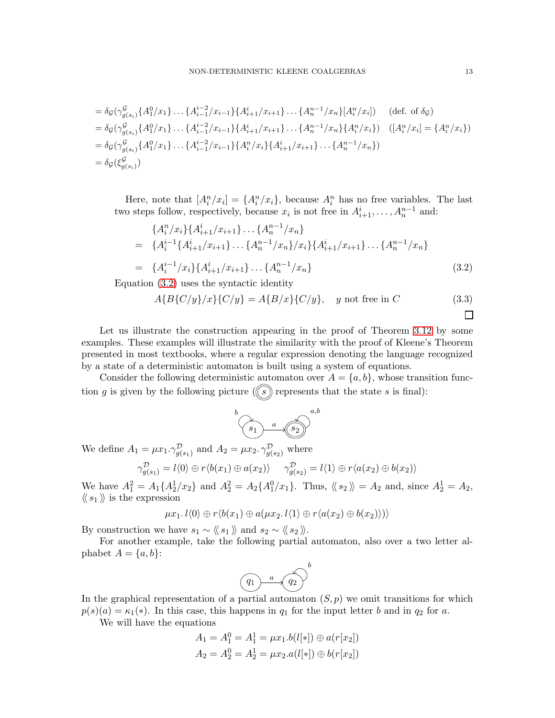$$
= \delta_{\mathcal{G}}(\gamma^{\mathcal{G}}_{g(s_i)}\{A^0_1/x_1\} \dots \{A^{i-2}_{i-1}/x_{i-1}\}\{A^{i}_{i+1}/x_{i+1}\} \dots \{A^{n-1}_n/x_n\}\{A^n_i/x_i]\} \quad \text{(def. of } \delta_{\mathcal{G}}\)
$$
  
\n
$$
= \delta_{\mathcal{G}}(\gamma^{\mathcal{G}}_{g(s_i)}\{A^0_1/x_1\} \dots \{A^{i-2}_{i-1}/x_{i-1}\}\{A^{i}_{i+1}/x_{i+1}\} \dots \{A^{n-1}_n/x_n\}\{A^n_i/x_i\} \} \quad \text{(}[A^n_i/x_i] = \{A^n_i/x_i\}\)
$$
  
\n
$$
= \delta_{\mathcal{G}}(\gamma^{\mathcal{G}}_{g(s_i)}\{A^0_1/x_1\} \dots \{A^{i-2}_{i-1}/x_{i-1}\}\{A^n_i/x_i\}\{A^{i}_{i+1}/x_{i+1}\} \dots \{A^{n-1}_n/x_n\} \} \quad \text{([} \delta_{g(s_i)}^{\mathcal{G}}\{A^0_1/x_i\} \dots \{A^{n-2}_n/x_{n-1}\}\{A^n_i/x_i\}\{A^{i}_{i+1}/x_{i+1}\} \dots \{A^{n-1}_n/x_n\} \} \quad \text{([} \delta_{g(s_i)}^{\mathcal{G}}\{A^0_1/x_i\} \dots \{A^{n-2}_n/x_n\}\{A^n_i/x_i\}\{A^n_i/x_i\} \} \quad \text{([} \delta_{g(s_i)}^{\mathcal{G}}\{A^0_1/x_i\} \dots \{A^{n-2}_n/x_n\}\{A^n_i/x_i\} \} \quad \text{([} \delta_{g(s_i)}^{\mathcal{G}}\{A^0_1/x_i\} \dots \{A^{n-2}_n/x_n\}\{A^n_i/x_i\} \} \quad \text{([} \delta_{g(s_i)}^{\mathcal{G}}\{A^0_1/x_i\} \dots \{A^{n-2}_n/x_n\}\{A^n_i/x_i\} \} \quad \text{([} \delta_{g(s_i)}^{\mathcal{G}}\{A^0_1/x_i\} \dots \{A^{n-2}_n/x_i\}\{A^n_i/x_i\} \} \quad \text{([} \delta_{g(s_i)}^{\mathcal
$$

Here, note that  $[A_i^n/x_i] = \{A_i^n/x_i\}$ , because  $A_i^n$  has no free variables. The last two steps follow, respectively, because  $x_i$  is not free in  $A_{i+1}^i, \ldots, A_n^{n-1}$  and:

<span id="page-12-0"></span>
$$
\{A_i^n/x_i\}\{A_{i+1}^i/x_{i+1}\}\dots\{A_n^{n-1}/x_n\}
$$
\n
$$
= \{A_i^{i-1}\{A_{i+1}^i/x_{i+1}\}\dots\{A_n^{n-1}/x_n\}/x_i\}\{A_{i+1}^i/x_{i+1}\}\dots\{A_n^{n-1}/x_n\}
$$
\n
$$
= \{A_i^{i-1}/x_i\}\{A_{i+1}^i/x_{i+1}\}\dots\{A_n^{n-1}/x_n\}
$$
\n(3.2)

Equation [\(3.2\)](#page-12-0) uses the syntactic identity

<span id="page-12-1"></span>
$$
A{B{C/y}/x}{C/y} = A{B/x}{C/y}, \quad y \text{ not free in } C
$$
\n(3.3)

Let us illustrate the construction appearing in the proof of Theorem [3.12](#page-10-0) by some examples. These examples will illustrate the similarity with the proof of Kleene's Theorem presented in most textbooks, where a regular expression denoting the language recognized by a state of a deterministic automaton is built using a system of equations.

Consider the following deterministic automaton over  $A = \{a, b\}$ , whose transition function g is given by the following picture  $(\circled{s})$  represents that the state s is final):

$$
\begin{pmatrix} & & & a & b \\ & & & & c \\ & & & & & c \end{pmatrix}
$$

We define  $A_1 = \mu x_1 \cdot \gamma_{g(s_1)}^{\mathcal{D}}$  and  $A_2 = \mu x_2 \cdot \gamma_{g(s_2)}^{\mathcal{D}}$  where

$$
\gamma_{g(s_1)}^{\mathcal{D}} = l \langle 0 \rangle \oplus r \langle b(x_1) \oplus a(x_2) \rangle \qquad \gamma_{g(s_2)}^{\mathcal{D}} = l \langle 1 \rangle \oplus r \langle a(x_2) \oplus b(x_2) \rangle
$$

We have  $A_1^2 = A_1 \{A_2^1/x_2\}$  and  $A_2^2 = A_2 \{A_1^0/x_1\}$ . Thus,  $\langle \langle s_2 \rangle \rangle = A_2$  and, since  $A_2^1 = A_2$ ,  $\langle \langle s_1 \rangle \rangle$  is the expression

$$
\mu x_1.\,l\langle 0\rangle \oplus r\langle b(x_1)\oplus a(\mu x_2.\,l\langle 1\rangle \oplus r\langle a(x_2)\oplus b(x_2)\rangle)\rangle
$$

By construction we have  $s_1 \sim \langle \langle s_1 \rangle \rangle$  and  $s_2 \sim \langle \langle s_2 \rangle \rangle$ .

For another example, take the following partial automaton, also over a two letter alphabet  $A = \{a, b\}$ :



In the graphical representation of a partial automaton  $(S, p)$  we omit transitions for which  $p(s)(a) = \kappa_1(*)$ . In this case, this happens in  $q_1$  for the input letter b and in  $q_2$  for a.

We will have the equations

$$
A_1 = A_1^0 = A_1^1 = \mu x_1.b(l[*]) \oplus a(r[x_2])
$$
  

$$
A_2 = A_2^0 = A_2^1 = \mu x_2.a(l[*]) \oplus b(r[x_2])
$$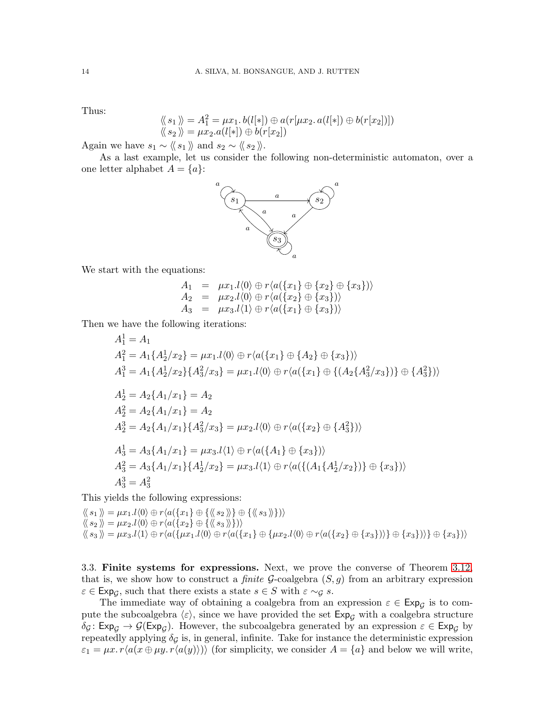Thus:

$$
\langle \langle s_1 \rangle \rangle = A_1^2 = \mu x_1 \cdot b(l[\ast]) \oplus a(r[\mu x_2, a(l[\ast]) \oplus b(r[x_2])])
$$
  

$$
\langle \langle s_2 \rangle \rangle = \mu x_2 \cdot a(l[\ast]) \oplus b(r[x_2])
$$

Again we have  $s_1 \sim \langle \langle s_1 \rangle \rangle$  and  $s_2 \sim \langle \langle s_2 \rangle \rangle$ .

As a last example, let us consider the following non-deterministic automaton, over a one letter alphabet  $A = \{a\}$ :



We start with the equations:

$$
A_1 = \mu x_1.l \langle 0 \rangle \oplus r \langle a(\{x_1\} \oplus \{x_2\} \oplus \{x_3\}) \rangle A_2 = \mu x_2.l \langle 0 \rangle \oplus r \langle a(\{x_2\} \oplus \{x_3\}) \rangle A_3 = \mu x_3.l \langle 1 \rangle \oplus r \langle a(\{x_1\} \oplus \{x_3\}) \rangle
$$

Then we have the following iterations:

$$
A_1^1 = A_1
$$
  
\n
$$
A_1^2 = A_1 \{ A_2^1 / x_2 \} = \mu x_1 . l \langle 0 \rangle \oplus r \langle a(\{x_1\} \oplus \{A_2\} \oplus \{x_3\}) \rangle
$$
  
\n
$$
A_1^3 = A_1 \{ A_2^1 / x_2 \} \{ A_3^2 / x_3 \} = \mu x_1 . l \langle 0 \rangle \oplus r \langle a(\{x_1\} \oplus \{ (A_2 \{ A_3^2 / x_3 \}) \} \oplus \{ A_3^2 \}) \rangle
$$
  
\n
$$
A_2^1 = A_2 \{ A_1 / x_1 \} = A_2
$$
  
\n
$$
A_2^2 = A_2 \{ A_1 / x_1 \} = A_2
$$
  
\n
$$
A_2^3 = A_2 \{ A_1 / x_1 \} \{ A_3^2 / x_3 \} = \mu x_2 . l \langle 0 \rangle \oplus r \langle a(\{ x_2 \} \oplus \{ A_3^2 \}) \rangle
$$
  
\n
$$
A_3^1 = A_3 \{ A_1 / x_1 \} = \mu x_3 . l \langle 1 \rangle \oplus r \langle a(\{ A_1 \} \oplus \{ x_3 \}) \rangle
$$
  
\n
$$
A_3^2 = A_3 \{ A_1 / x_1 \} \{ A_2^1 / x_2 \} = \mu x_3 . l \langle 1 \rangle \oplus r \langle a(\{ (A_1 \{ A_2^1 / x_2 \}) \} \oplus \{ x_3 \}) \rangle
$$
  
\n
$$
A_3^3 = A_3^2
$$

This yields the following expressions:

 $\langle\!\langle s_1 \rangle\!\rangle = \mu x_1 \cdot l \langle 0 \rangle \oplus r \langle a(\lbrace x_1 \rbrace \oplus \lbrace \langle \langle s_2 \rangle \rangle \rbrace \oplus \lbrace \langle \langle s_3 \rangle \rangle \rbrace \rangle)$  $\langle\!\langle s_2\rangle\!\rangle = \mu x_2.l \langle 0 \rangle \oplus r \langle a(\lbrace x_2 \rbrace \oplus \lbrace \langle\!\langle s_3 \rangle\!\rangle \rbrace)) \rangle$  $\langle \langle s_3 \rangle \rangle = \mu x_3.l(1) \oplus r \langle a({\mu x_1.l(0) \oplus r \langle a({x_1} \} \oplus {\mu x_2.l(0) \oplus r \langle a({x_2} \} \oplus {\{x_3}\}) \rangle} \oplus {\{x_3\}}) \rangle \oplus {\{x_3\}})$ 

<span id="page-13-0"></span>3.3. Finite systems for expressions. Next, we prove the converse of Theorem [3.12,](#page-10-0) that is, we show how to construct a *finite*  $G$ -coalgebra  $(S, q)$  from an arbitrary expression  $\varepsilon \in \text{Exp}_{\mathcal{G}}$ , such that there exists a state  $s \in S$  with  $\varepsilon \sim_{\mathcal{G}} s$ .

The immediate way of obtaining a coalgebra from an expression  $\varepsilon \in \text{Exp}_{\mathcal{G}}$  is to compute the subcoalgebra  $\langle \varepsilon \rangle$ , since we have provided the set  $Exp<sub>G</sub>$  with a coalgebra structure  $\delta_{\mathcal{G}}: \mathsf{Exp}_{\mathcal{G}} \to \mathcal{G}(\mathsf{Exp}_{\mathcal{G}})$ . However, the subcoalgebra generated by an expression  $\varepsilon \in \mathsf{Exp}_{\mathcal{G}}$  by repeatedly applying  $\delta_{\mathcal{G}}$  is, in general, infinite. Take for instance the deterministic expression  $\varepsilon_1 = \mu x. r\langle a(x \oplus \mu y. r\langle a(y)\rangle)\rangle$  (for simplicity, we consider  $A = \{a\}$  and below we will write,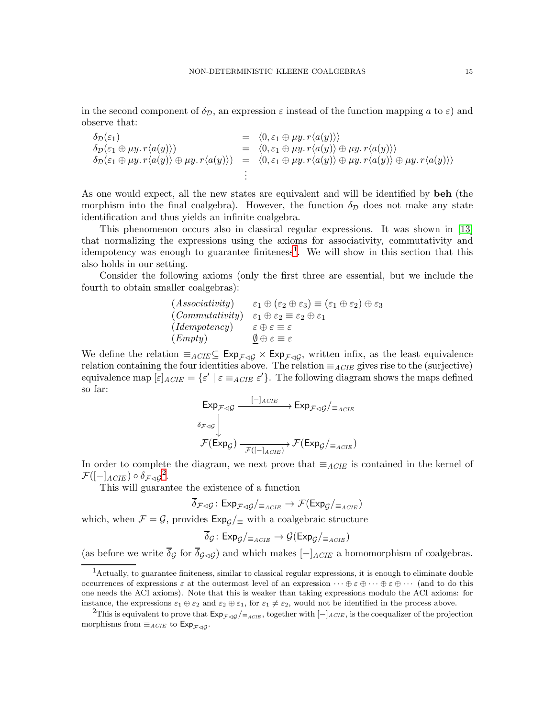in the second component of  $\delta_{\mathcal{D}}$ , an expression  $\varepsilon$  instead of the function mapping a to  $\varepsilon$ ) and observe that:

$$
\delta_{\mathcal{D}}(\varepsilon_{1}) = \langle 0, \varepsilon_{1} \oplus \mu y. r \langle a(y) \rangle \rangle \n\delta_{\mathcal{D}}(\varepsilon_{1} \oplus \mu y. r \langle a(y) \rangle) = \langle 0, \varepsilon_{1} \oplus \mu y. r \langle a(y) \rangle \oplus \mu y. r \langle a(y) \rangle \rangle \n\delta_{\mathcal{D}}(\varepsilon_{1} \oplus \mu y. r \langle a(y) \rangle \oplus \mu y. r \langle a(y) \rangle) = \langle 0, \varepsilon_{1} \oplus \mu y. r \langle a(y) \rangle \oplus \mu y. r \langle a(y) \rangle \oplus \mu y. r \langle a(y) \rangle \rangle \n\vdots
$$

As one would expect, all the new states are equivalent and will be identified by beh (the morphism into the final coalgebra). However, the function  $\delta_{\mathcal{D}}$  does not make any state identification and thus yields an infinite coalgebra.

This phenomenon occurs also in classical regular expressions. It was shown in [\[13\]](#page-37-3) that normalizing the expressions using the axioms for associativity, commutativity and idempotency was enough to guarantee finiteness<sup>[1](#page-14-0)</sup>. We will show in this section that this also holds in our setting.

Consider the following axioms (only the first three are essential, but we include the fourth to obtain smaller coalgebras):

| (Associativity) | $\varepsilon_1 \oplus (\varepsilon_2 \oplus \varepsilon_3) \equiv (\varepsilon_1 \oplus \varepsilon_2) \oplus \varepsilon_3$ |
|-----------------|------------------------------------------------------------------------------------------------------------------------------|
| (Commutativity) | $\varepsilon_1 \oplus \varepsilon_2 \equiv \varepsilon_2 \oplus \varepsilon_1$                                               |
| (Idempotency)   | $\varepsilon \oplus \varepsilon \equiv \varepsilon$                                                                          |
| (Empty)         | $\emptyset \oplus \varepsilon \equiv \varepsilon$                                                                            |

We define the relation  $\equiv_{ACIE} \subseteq \text{Exp}_{\mathcal{F}\triangleleft\mathcal{G}} \times \text{Exp}_{\mathcal{F}\triangleleft\mathcal{G}}$ , written infix, as the least equivalence relation containing the four identities above. The relation  $\equiv_{ACIE}$  gives rise to the (surjective) equivalence map  $[\varepsilon]_{ACIE} = {\varepsilon' | \varepsilon \equiv_{ACIE} \varepsilon'}.$  The following diagram shows the maps defined so far:

$$
\begin{aligned}\n\text{Exp}_{\mathcal{F}\triangleleft\mathcal{G}} & \xrightarrow{\begin{bmatrix} -\end{bmatrix}_{ACIE} \end{aligned}} \text{Exp}_{\mathcal{F}\triangleleft\mathcal{G}}/\text{Exp}_{G}
$$
\n
$$
\mathcal{F}(\text{Exp}_{\mathcal{G}}) & \xrightarrow{\mathcal{F}(\begin{bmatrix} -\end{bmatrix}_{ACIE})} \mathcal{F}(\text{Exp}_{\mathcal{G}}/\text{Exp}_{G})\text{Exp}_{\mathcal{G}} \\
\text{Exp}_{\mathcal{G}} & \xrightarrow{\mathcal{F}(\begin{bmatrix} -\end{bmatrix}_{ACIE})} \text{Exp}_{\mathcal{G}}\text{Exp}_{\mathcal{G}} \\
\text{Exp}_{\mathcal{G}} & \xrightarrow{\mathcal{F}(\begin{bmatrix} -\end{bmatrix}_{ACIE})}\n\end{aligned}
$$

In order to complete the diagram, we next prove that  $\equiv_{ACIE}$  is contained in the kernel of  $\mathcal{F}([-\rceil_{ACIE}) \circ \delta_{\mathcal{F}\lhd\mathcal{G}}^2.$  $\mathcal{F}([-\rceil_{ACIE}) \circ \delta_{\mathcal{F}\lhd\mathcal{G}}^2.$  $\mathcal{F}([-\rceil_{ACIE}) \circ \delta_{\mathcal{F}\lhd\mathcal{G}}^2.$ 

This will guarantee the existence of a function

$$
\overline{\delta}_{\mathcal{F}\lhd\mathcal{G}}\colon \mathsf{Exp}_{\mathcal{F}\lhd\mathcal{G}}/_{\equiv_{ACIE}} \to \mathcal{F}(\mathsf{Exp}_{\mathcal{G}}/_{\equiv_{ACIE}})
$$

which, when  $\mathcal{F} = \mathcal{G}$ , provides  $Exp_{\mathcal{G}}/E$  with a coalgebraic structure

$$
\overline{\delta}_{\mathcal{G}}\colon \mathsf{Exp}_{\mathcal{G}}/_{\equiv_{ACIE}} \to \mathcal{G}(\mathsf{Exp}_{\mathcal{G}}/_{\equiv_{ACIE}})
$$

(as before we write  $\overline{\delta}_{\mathcal{G}}$  for  $\overline{\delta}_{\mathcal{G}\lhd\mathcal{G}}$ ) and which makes  $[-]_{ACIE}$  a homomorphism of coalgebras.

<span id="page-14-0"></span><sup>1</sup>Actually, to guarantee finiteness, similar to classical regular expressions, it is enough to eliminate double occurrences of expressions  $\varepsilon$  at the outermost level of an expression  $\cdots \oplus \varepsilon \oplus \cdots \oplus \varepsilon \oplus \cdots$  (and to do this one needs the ACI axioms). Note that this is weaker than taking expressions modulo the ACI axioms: for instance, the expressions  $\varepsilon_1 \oplus \varepsilon_2$  and  $\varepsilon_2 \oplus \varepsilon_1$ , for  $\varepsilon_1 \neq \varepsilon_2$ , would not be identified in the process above.

<span id="page-14-1"></span><sup>&</sup>lt;sup>2</sup>This is equivalent to prove that  $Exp_{\mathcal{F}\triangleleft\mathcal{G}}/_{\equiv_{ACIE}}$ , together with  $[-]_{ACIE}$ , is the coequalizer of the projection morphisms from  $\equiv_{ACIE}$  to  $Exp_{\mathcal{F}\lhd\mathcal{G}}$ .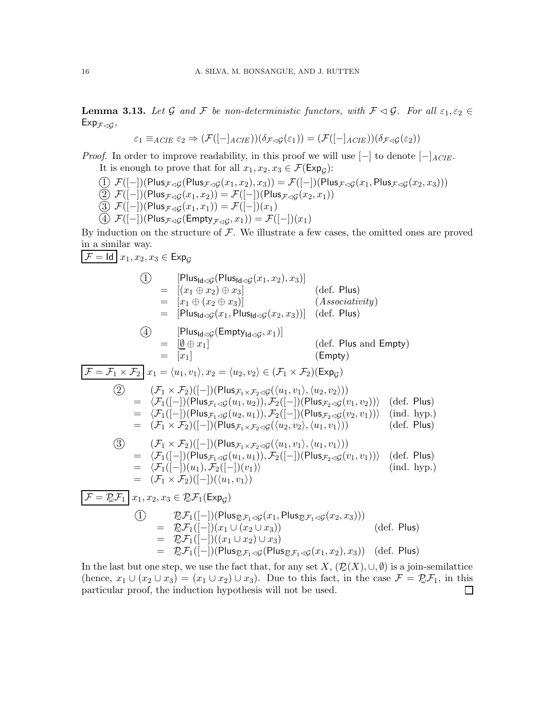<span id="page-15-0"></span>**Lemma 3.13.** Let G and F be non-deterministic functors, with  $\mathcal{F} \triangleleft \mathcal{G}$ . For all  $\varepsilon_1, \varepsilon_2 \in$  $\mathsf{Exp}_{\mathcal{F}\lhd\mathcal{G}},$ 

$$
\varepsilon_1 \equiv_{ACIE} \varepsilon_2 \Rightarrow (\mathcal{F}([-]_{ACIE}))(\delta_{\mathcal{F}\triangleleft\mathcal{G}}(\varepsilon_1)) = (\mathcal{F}([-]_{ACIE}))(\delta_{\mathcal{F}\triangleleft\mathcal{G}}(\varepsilon_2))
$$

*Proof.* In order to improve readability, in this proof we will use  $[-]$  to denote  $[-]$ ACIE. It is enough to prove that for all  $x_1, x_2, x_3 \in \mathcal{F}(\text{Exp}_\mathcal{G})$ :

$$
\begin{array}{llll} & \text{(1)} \ \mathcal{F}([-])(\mathsf{Plus}_{\mathcal{F}\lhd\mathcal{G}}(\mathsf{Plus}_{\mathcal{F}\lhd\mathcal{G}}(x_1,x_2),x_3)) = \mathcal{F}([-])(\mathsf{Plus}_{\mathcal{F}\lhd\mathcal{G}}(x_1,\mathsf{Plus}_{\mathcal{F}\lhd\mathcal{G}}(x_2,x_3))) \\ & \text{(2)} \ \mathcal{F}([-])(\mathsf{Plus}_{\mathcal{F}\lhd\mathcal{G}}(x_1,x_2)) = \mathcal{F}([-])(\mathsf{Plus}_{\mathcal{F}\lhd\mathcal{G}}(x_2,x_1)) \\ & \text{(3)} \ \mathcal{F}([-])(\mathsf{Plus}_{\mathcal{F}\lhd\mathcal{G}}(x_1,x_1)) = \mathcal{F}([-])(x_1) \\ & \text{(4)} \ \mathcal{F}([-])(\mathsf{Plus}_{\mathcal{F}\lhd\mathcal{G}}(\mathsf{Empty}_{\mathcal{F}\lhd\mathcal{G}},x_1)) = \mathcal{F}([-])(x_1) \end{array}
$$

By induction on the structure of  $\mathcal F$ . We illustrate a few cases, the omitted ones are proved in a similar way.

$$
\begin{aligned}\n[\mathcal{F} &= \text{Id} \mid x_1, x_2, x_3 \in \text{Exp}_{\mathcal{G}} \\
\text{(I)} \quad [\text{Plus}_{\text{Id} \triangle \mathcal{G}}(\text{Plus}_{\text{Id} \triangle \mathcal{G}}(x_1, x_2), x_3)] \\
&= [(x_1 \oplus x_2) \oplus x_3] \\
&= [P \text{Us}_{\text{Id} \triangle \mathcal{G}}(x_1, \text{Plus}_{\text{Id} \triangle \mathcal{G}}(x_2, x_3))] \quad (\text{dof. Plus}) \\
\text{(Associativity)} \\
&= [\text{Plus}_{\text{Id} \triangle \mathcal{G}}(\text{Empty}_{\text{Id} \triangle \mathcal{G}}(x_2, x_3))] \quad (\text{def. Plus and Empty}) \\
&= [p \text{lus}_{\text{Id} \triangle \mathcal{G}}(\text{Empty}_{\text{Id} \triangle \mathcal{G}}(x_2, x_3))] \quad (\text{def. Plus and Empty}) \\
&= [x_1] \quad (\text{Empty}) \\
[\mathcal{F} &= \mathcal{F}_1 \times \mathcal{F}_2] x_1 = \langle u_1, v_1 \rangle, x_2 = \langle u_2, v_2 \rangle \in (\mathcal{F}_1 \times \mathcal{F}_2)(\text{Exp}_{\mathcal{G}}) \\
&= \langle \mathcal{F}_1([-)] (\text{Plus}_{\mathcal{F}_1 \times \mathcal{F}_2 \triangle \mathcal{G}}(\langle u_1, v_1 \rangle, \langle u_2, v_2 \rangle)) \\
&= \langle \mathcal{F}_1([-)] (\text{Plus}_{\mathcal{F}_1 \triangle \mathcal{G}}(u_2, u_1)), \mathcal{F}_2([-)] (\text{Plus}_{\mathcal{F}_2 \triangle \mathcal{G}}(v_1, v_2)) \rangle \quad (\text{def. Plus}) \\
&= (\mathcal{F}_1 \times \mathcal{F}_2)([-]) (\text{Plus}_{\mathcal{F}_1 \times \mathcal{F}_2 \triangle \mathcal{G}}(\langle u_2, v_2 \rangle, \langle u_1, v_1 \rangle)) \quad (\text{ind. hyp.}) \\
&= (\mathcal{F}_1 \times \mathcal{F}_2)([-]) (\text{Plus}_{\mathcal{F}_1 \times \mathcal{F}_2 \triangle \mathcal{G}}(\langle u_1, v_1 \rangle, \langle u_1, v_1 \rangle)) \quad (\text{def. Plus}) \\
&= \langle \mathcal{F}_1([-)]
$$

In the last but one step, we use the fact that, for any set  $X, (\mathcal{D}(X), \cup, \emptyset)$  is a join-semilattice (hence,  $x_1 \cup (x_2 \cup x_3) = (x_1 \cup x_2) \cup x_3$ ). Due to this fact, in the case  $\mathcal{F} = \mathcal{D}\mathcal{F}_1$ , in this particular proof, the induction hypothesis will not be used. particular proof, the induction hypothesis will not be used.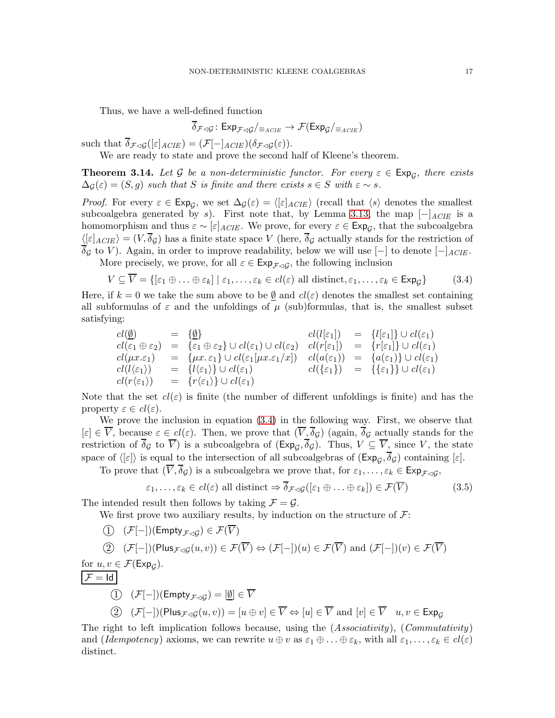Thus, we have a well-defined function

$$
\overline{\delta}_{\mathcal{F}\lhd\mathcal{G}}\colon \mathsf{Exp}_{\mathcal{F}\lhd\mathcal{G}}/_{\equiv_{ACIE}}\to \mathcal{F}(\mathsf{Exp}_{\mathcal{G}}/_{\equiv_{ACIE}})
$$

such that  $\overline{\delta}_{\mathcal{F}\lhd\mathcal{G}}([\varepsilon]_{ACIE}) = (\mathcal{F}[-]_{ACIE})(\delta_{\mathcal{F}\lhd\mathcal{G}}(\varepsilon)).$ 

We are ready to state and prove the second half of Kleene's theorem.

<span id="page-16-0"></span>**Theorem 3.14.** Let G be a non-deterministic functor. For every  $\varepsilon \in \text{Exp}_\mathcal{G}$ , there exists  $\Delta_{\mathcal{G}}(\varepsilon) = (S, q)$  *such that* S *is finite and there exists*  $s \in S$  *with*  $\varepsilon \sim s$ *.* 

*Proof.* For every  $\varepsilon \in \text{Exp}_{\mathcal{G}}$ , we set  $\Delta_{\mathcal{G}}(\varepsilon) = \langle [\varepsilon]_{ACIE} \rangle$  (recall that  $\langle s \rangle$  denotes the smallest subcoalgebra generated by s). First note that, by Lemma [3.13,](#page-15-0) the map  $[-]_{ACIE}$  is a homomorphism and thus  $\varepsilon \sim [\varepsilon]_{ACIE}$ . We prove, for every  $\varepsilon \in \text{Exp}_{\mathcal{G}}$ , that the subcoalgebra  $\langle \epsilon |_{ACIE} \rangle = (V, \overline{\delta}_{\mathcal{G}})$  has a finite state space V (here,  $\overline{\delta}_{\mathcal{G}}$  actually stands for the restriction of  $\overline{\delta}_{\mathcal{G}}$  to V). Again, in order to improve readability, below we will use  $[-]$  to denote  $[-]$ <sub>ACIE</sub>.

More precisely, we prove, for all  $\varepsilon \in \text{Exp}_{\mathcal{F} \lhd \mathcal{G}}$ , the following inclusion

<span id="page-16-1"></span>
$$
V \subseteq V = \{[\varepsilon_1 \oplus \ldots \oplus \varepsilon_k] \mid \varepsilon_1, \ldots, \varepsilon_k \in cl(\varepsilon) \text{ all distinct}, \varepsilon_1, \ldots, \varepsilon_k \in \text{Exp}_{\mathcal{G}}\}\
$$
 (3.4)

Here, if  $k = 0$  we take the sum above to be  $\emptyset$  and  $cl(\varepsilon)$  denotes the smallest set containing all subformulas of  $\varepsilon$  and the unfoldings of  $\mu$  (sub)formulas, that is, the smallest subset satisfying:

$$
cl(\underline{\emptyset}) = {\underline{\emptyset}} \quad cl(l[\varepsilon_1]) = {l[\varepsilon_1] \cup cl(\varepsilon_1)}\ncl(\varepsilon_1 \oplus \varepsilon_2) = {\varepsilon_1 \oplus \varepsilon_2} \cup cl(\varepsilon_1) \cup cl(\varepsilon_2) \quad cl(r[\varepsilon_1]) = {r[\varepsilon_1]} \cup cl(\varepsilon_1) \ncl(\mu x.\varepsilon_1) = {\mu x.\varepsilon_1} \cup cl(\varepsilon_1[\mu x.\varepsilon_1/x]) \quad cl(a(\varepsilon_1)) = {a(\varepsilon_1)} \cup cl(\varepsilon_1) \ncl(l(\varepsilon_1)) = {l(\varepsilon_1)} \cup cl(\varepsilon_1) \quad cl(\{\varepsilon_1\}) = {\varepsilon(\varepsilon_1)} \cup cl(\varepsilon_1) \ncl(r(\varepsilon_1)) = {r(\varepsilon_1)} \cup cl(\varepsilon_1)
$$

Note that the set  $cl(\varepsilon)$  is finite (the number of different unfoldings is finite) and has the property  $\varepsilon \in cl(\varepsilon)$ .

We prove the inclusion in equation [\(3.4\)](#page-16-1) in the following way. First, we observe that  $[\varepsilon] \in \overline{V}$ , because  $\varepsilon \in cl(\varepsilon)$ . Then, we prove that  $(\overline{V}, \overline{\delta}_{\mathcal{G}})$  (again,  $\overline{\delta}_{\mathcal{G}}$  actually stands for the restriction of  $\delta_{\mathcal{G}}$  to  $\overline{V}$ ) is a subcoalgebra of  $(\text{Exp}_{\mathcal{G}}, \delta_{\mathcal{G}})$ . Thus,  $V \subseteq \overline{V}$ , since V, the state space of  $\langle \epsilon | \epsilon \rangle$  is equal to the intersection of all subcoalgebras of  $(\text{Exp}_g, \delta_g)$  containing  $[\epsilon]$ .

To prove that  $(V, \delta_{\mathcal{G}})$  is a subcoalgebra we prove that, for  $\varepsilon_1, \ldots, \varepsilon_k \in \text{Exp}_{\mathcal{F}\lhd\mathcal{G}}$ ,

<span id="page-16-2"></span>
$$
\varepsilon_1, \dots, \varepsilon_k \in cl(\varepsilon) \text{ all distinct } \Rightarrow \delta_{\mathcal{F} \lhd \mathcal{G}}([\varepsilon_1 \oplus \dots \oplus \varepsilon_k]) \in \mathcal{F}(\overline{V}) \tag{3.5}
$$

The intended result then follows by taking  $\mathcal{F} = \mathcal{G}$ .

We first prove two auxiliary results, by induction on the structure of  $\mathcal{F}$ :

$$
(1) \quad (\mathcal{F}[-])(\mathsf{Empty}_{\mathcal{F}\lhd\mathcal{G}}) \in \mathcal{F}(V)
$$
\n
$$
(2) \quad (\mathcal{F}[-])(\mathsf{Plus}_{\mathcal{F}\lhd\mathcal{G}}(u,v)) \in \mathcal{F}(\overline{V}) \Leftrightarrow (\mathcal{F}[-])(u) \in \mathcal{F}(\overline{V}) \text{ and } (\mathcal{F}[-])(v) \in \mathcal{F}(\overline{V})
$$
\nfor  $u, v \in \mathcal{F}(\mathsf{Exp}_{\mathcal{G}}).$ \n
$$
\boxed{\mathcal{F} = \text{Id}}
$$
\n
$$
(1) \quad (\mathcal{F}[-])(\mathsf{Empty}_{\mathcal{F}\lhd\mathcal{G}}) = [\underline{\emptyset}] \in \overline{V}
$$
\n
$$
(2) \quad (\mathcal{F}[-])(\mathsf{Plus}_{\mathcal{F}\lhd\mathcal{G}}(u,v)) = [u \oplus v] \in \overline{V} \Leftrightarrow [u] \in \overline{V} \text{ and } [v] \in \overline{V} \quad u, v \in \mathsf{Exp}_{\mathcal{G}}
$$

The right to left implication follows because, using the (*Associativity*), (*Commutativity*) and (*Idempotency*) axioms, we can rewrite  $u \oplus v$  as  $\varepsilon_1 \oplus \ldots \oplus \varepsilon_k$ , with all  $\varepsilon_1, \ldots, \varepsilon_k \in cl(\varepsilon)$ distinct.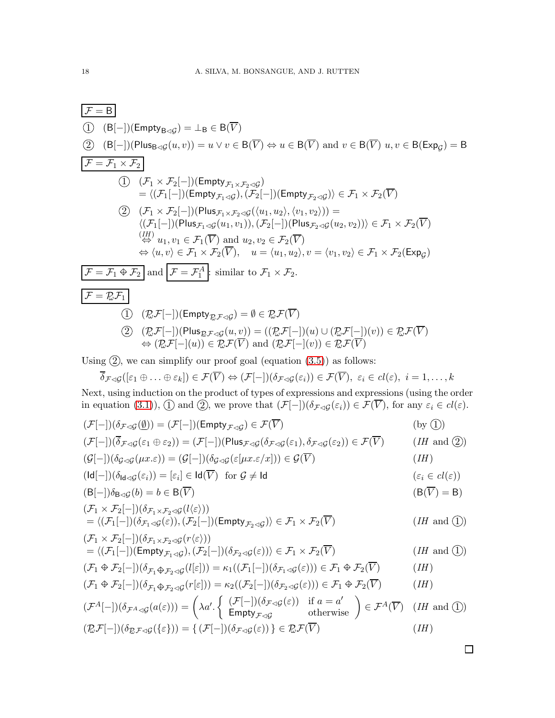| $F = B$                                                                           |                                                                                                                                                                                                      |                                   |
|-----------------------------------------------------------------------------------|------------------------------------------------------------------------------------------------------------------------------------------------------------------------------------------------------|-----------------------------------|
| (i)                                                                               | $(B[-])$ (Empty <sub>B<math>\triangleleft</math>g)</sub>                                                                                                                                             | $= \perp_{B} \in B(\overline{V})$ |
| (2)                                                                               | $(B[-])$ (Plus <sub>B<math>\triangleleft</math>g(u,v)) = u \vee v \in B(\overline{V}) \Leftrightarrow u \in B(\overline{V}) and <math>v \in B(\overline{V}) u, v \in B(\text{Expg}) = B</math></sub> |                                   |
| $F = \overline{F_1 \times F_2}$                                                   |                                                                                                                                                                                                      |                                   |
| (i)                                                                               | $(F_1 \times F_2[-])$ (Empty <sub><math>F_1 \times F_2 \triangleleft</math>)</sub>                                                                                                                   |                                   |
| $= \langle (F_1[-])$ (Empty <sub><math>F_1 \triangleleft</math>g)</sub>           |                                                                                                                                                                                                      |                                   |
| $(F_1 \vee F_2[-])$ (Plus <sub><math>F_1 \times F_2 \triangleleft</math>g]</sub>  |                                                                                                                                                                                                      |                                   |
| $= \langle (F_1[-])$ (Plus <sub><math>F_1 \triangleleft</math>g)</sub>            |                                                                                                                                                                                                      |                                   |
| $\langle (F_1[-])$ (Plus <sub><math>F_1 \triangleleft</math>g)</sub>              |                                                                                                                                                                                                      |                                   |
| $\langle (F_1[-])$ (Plus <sub><math>F_1 \triangleleft</math>g)</sub>              |                                                                                                                                                                                                      |                                   |
| $\langle (F_1[-])$ (Plus <sub><math>F_1 \triangleleft</math>g)</sub>              |                                                                                                                                                                                                      |                                   |
| $\langle (F_1[-])$ (Plus <sub><math>F_1 \triangleleft</math>g)</sub>              |                                                                                                                                                                                                      |                                   |
| $\langle (F_1[-])$ (Plus <sub><math>F_1 \triangleleft</math>g)</sub>              |                                                                                                                                                                                                      |                                   |
| $\langle (F_1[-])$ (Plus <sub><math>F_1 \triangleleft</math>g)</sub>              |                                                                                                                                                                                                      |                                   |
| $\langle (F_1[-])$ (Plus <sub><math>F_1 \triangleleft</math>g)</sub>              |                                                                                                                                                                                                      |                                   |
| $\langle (F_1[-])$ (Class <sub><math>F_1 \triangleleft</math>g)</sub>             |                                                                                                                                                                                                      |                                   |
| $\langle (F_1[-])$ (Class <sub><math>F_1 \triangleleft</math>g)<!--</sub--></sub> |                                                                                                                                                                                                      |                                   |

Next, using induction on the product of types of expressions and expressions (using the order in equation [\(3.1\)](#page-9-0)), (1) and (2), we prove that  $(\mathcal{F}[-])(\delta_{\mathcal{F}\lhd\mathcal{G}}(\varepsilon_i))\in\mathcal{F}(V)$ , for any  $\varepsilon_i\in cl(\varepsilon)$ .

$$
(\mathcal{F}[-])(\delta_{\mathcal{F}\lhd\mathcal{G}}(\underline{\emptyset})) = (\mathcal{F}[-])(\text{Empty}_{\mathcal{F}\lhd\mathcal{G}}) \in \mathcal{F}(\overline{V})
$$
\n
$$
(\mathcal{F}[-])(\overline{\delta}_{\mathcal{F}\lhd\mathcal{G}}(\varepsilon_{1} \oplus \varepsilon_{2})) = (\mathcal{F}[-])(\text{Plus}_{\mathcal{F}\lhd\mathcal{G}}(\delta_{\mathcal{F}\lhd\mathcal{G}}(\varepsilon_{1}), \delta_{\mathcal{F}\lhd\mathcal{G}}(\varepsilon_{2})) \in \mathcal{F}(\overline{V})
$$
\n
$$
(\text{If and } \underline{\emptyset})
$$
\n
$$
(\mathcal{G}[-])(\delta_{\mathcal{G}\lhd\mathcal{G}}(\mu x.\varepsilon)) = (\mathcal{G}[-])(\delta_{\mathcal{G}\lhd\mathcal{G}}(\varepsilon[\mu x.\varepsilon/x])) \in \mathcal{G}(\overline{V})
$$
\n
$$
(\text{If } \underline{\emptyset})
$$
\n
$$
(\text{Id}[-])(\delta_{\text{Id}\lhd\mathcal{G}}(\varepsilon_{i})) = [\varepsilon_{i}] \in \text{Id}(\overline{V}) \text{ for } \mathcal{G} \neq \text{Id} \qquad (\varepsilon_{i} \in \text{cl}(\varepsilon))
$$
\n
$$
(\text{B}[-])\delta_{\text{B}\lhd\mathcal{G}}(b) = b \in \text{B}(\overline{V})
$$
\n
$$
(\text{B}[-])(\delta_{\mathcal{F}_{1}\lhd\mathcal{F}_{2}\lhd\mathcal{G}}(\varepsilon_{i}))
$$
\n
$$
= \langle (\mathcal{F}_{1}[-])(\delta_{\mathcal{F}_{1}\lhd\mathcal{F}_{2}\lhd\mathcal{G}}(\varepsilon_{i})) \rangle
$$
\n
$$
= \langle (\mathcal{F}_{1}[-])(\delta_{\mathcal{F}_{1}\lhd\mathcal{F}_{2}\lhd\mathcal{G}}(\varepsilon_{i})) \in \mathcal{F}_{1} \times \mathcal{F}_{2}(\overline{V})
$$
\n
$$
= \langle (\mathcal{F}_{1}[-])(\delta_{\mathcal{F}_{1}\lhd\mathcal{G}}(\varepsilon_{i}))
$$

 $\Box$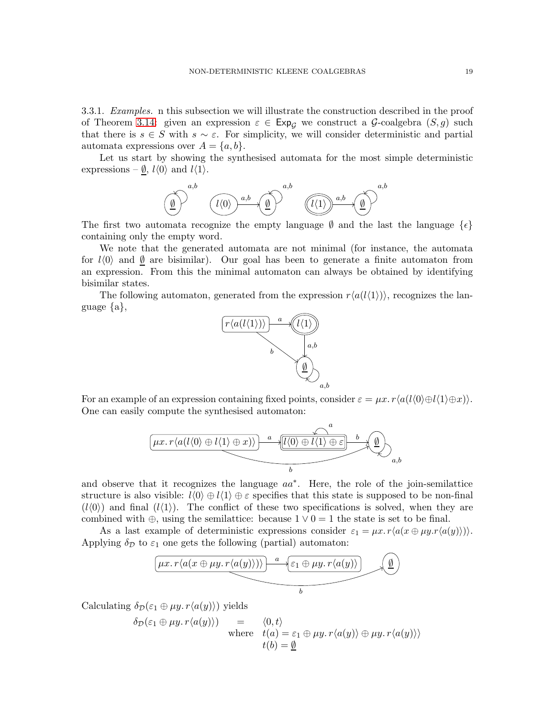<span id="page-18-0"></span>3.3.1. *Examples.* n this subsection we will illustrate the construction described in the proof of Theorem [3.14:](#page-16-0) given an expression  $\varepsilon \in \text{Exp}_{G}$  we construct a G-coalgebra  $(S, g)$  such that there is  $s \in S$  with  $s \sim \varepsilon$ . For simplicity, we will consider deterministic and partial automata expressions over  $A = \{a, b\}.$ 

Let us start by showing the synthesised automata for the most simple deterministic expressions –  $\underline{\emptyset}$ ,  $l\langle 0 \rangle$  and  $l\langle 1 \rangle$ .



The first two automata recognize the empty language  $\emptyset$  and the last the language  $\{\epsilon\}$ containing only the empty word.

We note that the generated automata are not minimal (for instance, the automata for  $l\langle 0\rangle$  and  $\emptyset$  are bisimilar). Our goal has been to generate a finite automaton from an expression. From this the minimal automaton can always be obtained by identifying bisimilar states.

The following automaton, generated from the expression  $r\langle a(l\langle 1 \rangle) \rangle$ , recognizes the language {a},



For an example of an expression containing fixed points, consider  $\varepsilon = \mu x. r\langle a(l\langle0\rangle \oplus l\langle1\rangle \oplus x)\rangle$ . One can easily compute the synthesised automaton:



and observe that it recognizes the language  $aa^*$ . Here, the role of the join-semilattice structure is also visible:  $l(0) \oplus l(1) \oplus \varepsilon$  specifies that this state is supposed to be non-final  $(l(0))$  and final  $(l(1))$ . The conflict of these two specifications is solved, when they are combined with  $\oplus$ , using the semilattice: because  $1 \vee 0 = 1$  the state is set to be final.

As a last example of deterministic expressions consider  $\varepsilon_1 = \mu x. r\langle a(x \oplus \mu y.r\langle a(y)\rangle)\rangle$ . Applying  $\delta_{\mathcal{D}}$  to  $\varepsilon_1$  one gets the following (partial) automaton:

$$
\underbrace{\left(\mu x.\, r\langle a(x\oplus \mu y.\, r\langle a(y)\rangle)\rangle\right)\, a\, \underbrace{\left\{\varepsilon_1\oplus \mu y.\, r\langle a(y)\rangle\right\}}_{b}\, \underbrace{\emptyset}
$$

Calculating  $\delta_{\mathcal{D}}(\varepsilon_1 \oplus \mu y. r\langle a(y)\rangle)$  yields

$$
\delta_{\mathcal{D}}(\varepsilon_1 \oplus \mu y. r \langle a(y) \rangle) = \langle 0, t \rangle
$$
  
where  $t(a) = \varepsilon_1 \oplus \mu y. r \langle a(y) \rangle \oplus \mu y. r \langle a(y) \rangle$   
 $t(b) = \underline{\emptyset}$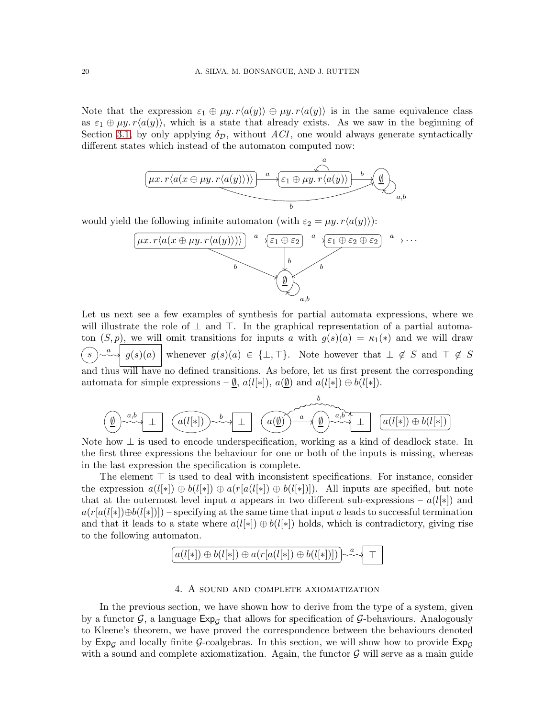Note that the expression  $\varepsilon_1 \oplus \mu y$ .  $r\langle a(y) \rangle \oplus \mu y$ .  $r\langle a(y) \rangle$  is in the same equivalence class as  $\varepsilon_1 \oplus \mu y$ .  $r\langle a(y) \rangle$ , which is a state that already exists. As we saw in the beginning of Section [3.1,](#page-8-0) by only applying  $\delta_{\mathcal{D}}$ , without *ACI*, one would always generate syntactically different states which instead of the automaton computed now:

$$
\underbrace{\left(\mu x.\, r\langle a(x\oplus \mu y.\, r\langle a(y)\rangle)\rangle\right)\, a\,}_{b}\,\underbrace{\downarrow}_{c_1\,\oplus\,\mu y.\,r\langle a(y)\rangle}\,\underbrace{b}_{a,b}
$$

would yield the following infinite automaton (with  $\varepsilon_2 = \mu y \cdot r \langle a(y) \rangle$ ):



Let us next see a few examples of synthesis for partial automata expressions, where we will illustrate the role of  $\perp$  and  $\top$ . In the graphical representation of a partial automaton  $(S, p)$ , we will omit transitions for inputs a with  $g(s)(a) = \kappa_1(*)$  and we will draw  $(s)$ a  $\Box \left\{ g(s)(a) \mid \text{whenever} \ g(s)(a) \in \{\bot, \top\}.$  Note however that  $\bot \notin S$  and  $\top \notin S$ and thus will have no defined transitions. As before, let us first present the corresponding automata for simple expressions –  $\underline{\emptyset}$ ,  $a(l[*])$ ,  $a(\underline{\emptyset})$  and  $a(l[*]) \oplus b(l[*])$ .

∅ a,b <sup>⊥</sup> <sup>a</sup>(l[∗]) <sup>b</sup> ⊥ a(∅) a b ∅ a,b ⊥ a(l[∗]) ⊕ b(l[∗])

Note how  $\perp$  is used to encode underspecification, working as a kind of deadlock state. In the first three expressions the behaviour for one or both of the inputs is missing, whereas in the last expression the specification is complete.

The element ⊤ is used to deal with inconsistent specifications. For instance, consider the expression  $a(l[*]) \oplus b(l[*]) \oplus a(r[a(l[*])) \oplus b(l[*)])$ . All inputs are specified, but note that at the outermost level input a appears in two different sub-expressions –  $a(l[*])$  and  $a(r[a(l[*)])\oplus b(l[*)])$  – specifying at the same time that input a leads to successful termination and that it leads to a state where  $a(l[*]) \oplus b(l[*])$  holds, which is contradictory, giving rise to the following automaton.



## 4. A sound and complete axiomatization

<span id="page-19-0"></span>In the previous section, we have shown how to derive from the type of a system, given by a functor  $G$ , a language  $Exp_G$  that allows for specification of  $G$ -behaviours. Analogously to Kleene's theorem, we have proved the correspondence between the behaviours denoted by  $Exp_G$  and locally finite G-coalgebras. In this section, we will show how to provide  $Exp_G$ with a sound and complete axiomatization. Again, the functor  $\mathcal G$  will serve as a main guide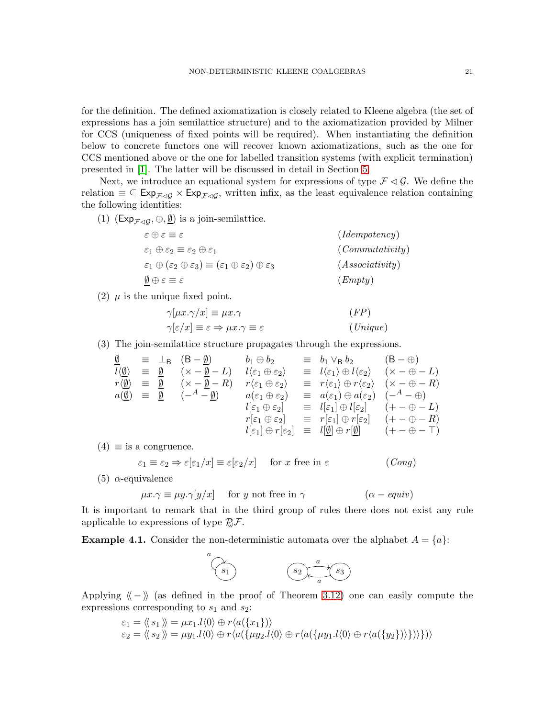for the definition. The defined axiomatization is closely related to Kleene algebra (the set of expressions has a join semilattice structure) and to the axiomatization provided by Milner for CCS (uniqueness of fixed points will be required). When instantiating the definition below to concrete functors one will recover known axiomatizations, such as the one for CCS mentioned above or the one for labelled transition systems (with explicit termination) presented in [\[1\]](#page-37-4). The latter will be discussed in detail in Section [5.](#page-29-0)

Next, we introduce an equational system for expressions of type  $\mathcal{F} \lhd \mathcal{G}$ . We define the relation  $\equiv \subseteq \text{Exp}_{\mathcal{F}\triangleleft\mathcal{G}} \times \text{Exp}_{\mathcal{F}\triangleleft\mathcal{G}}$ , written infix, as the least equivalence relation containing the following identities:

(1)  $(\text{Exp}_{\mathcal{F}\triangleleft\mathcal{G}}, \oplus, \underline{\emptyset})$  is a join-semilattice.

$$
\varepsilon \oplus \varepsilon \equiv \varepsilon \qquad (Idempotency)
$$
  
\n
$$
\varepsilon_1 \oplus \varepsilon_2 \equiv \varepsilon_2 \oplus \varepsilon_1 \qquad (Commutativity)
$$
  
\n
$$
\varepsilon_1 \oplus (\varepsilon_2 \oplus \varepsilon_3) \equiv (\varepsilon_1 \oplus \varepsilon_2) \oplus \varepsilon_3 \qquad (Associativity)
$$
  
\n
$$
\underline{\emptyset} \oplus \varepsilon \equiv \varepsilon \qquad (Empty)
$$

(2)  $\mu$  is the unique fixed point.

$$
\gamma[\mu x.\gamma/x] \equiv \mu x.\gamma \qquad (FP)
$$
  

$$
\gamma[\varepsilon/x] \equiv \varepsilon \Rightarrow \mu x.\gamma \equiv \varepsilon \qquad (Unique)
$$

(3) The join-semilattice structure propagates through the expressions.

$$
\frac{\emptyset}{l \langle \underline{\emptyset} \rangle} \equiv \frac{\bot_{\mathsf{B}} ( \mathsf{B} - \underline{\emptyset} )}{l \langle \underline{\emptyset} \rangle} \equiv \frac{\emptyset}{l \langle \underline{\emptyset} \rangle} \quad (\times - \underline{\emptyset} - L) \quad l \langle \varepsilon_1 \oplus \varepsilon_2 \rangle \equiv l \langle \varepsilon_1 \rangle \oplus l \langle \varepsilon_2 \rangle \quad (\times - \oplus - L) \nr \langle \underline{\emptyset} \rangle \equiv \frac{\emptyset}{l \langle \underline{\emptyset} \rangle} \quad (\times - \underline{\emptyset} - R) \quad r \langle \varepsilon_1 \oplus \varepsilon_2 \rangle \equiv r \langle \varepsilon_1 \rangle \oplus r \langle \varepsilon_2 \rangle \quad (\times - \oplus - R) \na(\underline{\emptyset}) \equiv \frac{\emptyset}{l \langle -A - \underline{\emptyset} \rangle} \quad a(\varepsilon_1 \oplus \varepsilon_2) \equiv a(\varepsilon_1) \oplus a(\varepsilon_2) \quad (-A - \oplus) \nl \langle \varepsilon_1 \oplus \varepsilon_2 \rangle \equiv l \langle \varepsilon_1 \rangle \oplus l \langle \varepsilon_2 \rangle \quad (+ - \oplus - L) \nr \langle \varepsilon_1 \oplus \varepsilon_2 \rangle \equiv r \langle \varepsilon_1 \rangle \oplus r \langle \varepsilon_2 \rangle \quad (+ - \oplus - R) \nl \langle \varepsilon_1 \oplus \varepsilon_2 \rangle \equiv l \langle \underline{\emptyset} \rangle \oplus r \langle \underline{\emptyset} \rangle \quad (+ - \oplus - T)
$$

 $(4) \equiv$  is a congruence.

$$
\varepsilon_1 \equiv \varepsilon_2 \Rightarrow \varepsilon[\varepsilon_1/x] \equiv \varepsilon[\varepsilon_2/x] \quad \text{for } x \text{ free in } \varepsilon \tag{Cong}
$$

(5)  $\alpha$ -equivalence

$$
\mu x. \gamma \equiv \mu y. \gamma[y/x] \quad \text{ for } y \text{ not free in } \gamma \tag{ \alpha - equiv }
$$

It is important to remark that in the third group of rules there does not exist any rule applicable to expressions of type  $\mathbb{Z} \mathcal{F}$ .

**Example 4.1.** Consider the non-deterministic automata over the alphabet  $A = \{a\}$ :



Applying  $\langle - \rangle$  (as defined in the proof of Theorem [3.12\)](#page-10-0) one can easily compute the expressions corresponding to  $s_1$  and  $s_2$ :

$$
\varepsilon_1 = \langle \langle s_1 \rangle \rangle = \mu x_1.l \langle 0 \rangle \oplus r \langle a(\{x_1\}) \rangle \n\varepsilon_2 = \langle \langle s_2 \rangle \rangle = \mu y_1.l \langle 0 \rangle \oplus r \langle a(\{\mu y_2.l \langle 0 \rangle \oplus r \langle a(\{\mu y_1.l \langle 0 \rangle \oplus r \langle a(\{y_2\}) \rangle\}) \rangle \rangle)
$$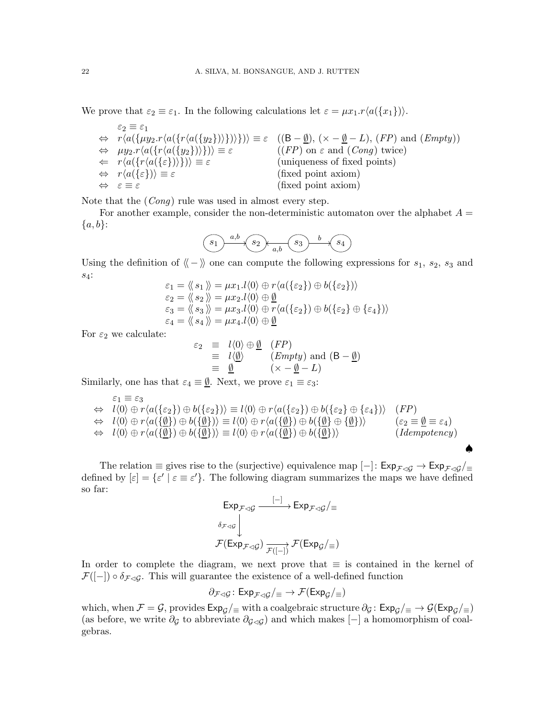We prove that  $\varepsilon_2 \equiv \varepsilon_1$ . In the following calculations let  $\varepsilon = \mu x_1 \cdot r \langle a(\{x_1\}) \rangle$ .

| $\varepsilon_2 \equiv \varepsilon_1$                                                                                   |                                                                                                                                                                                                            |
|------------------------------------------------------------------------------------------------------------------------|------------------------------------------------------------------------------------------------------------------------------------------------------------------------------------------------------------|
|                                                                                                                        | $\Leftrightarrow r\langle a(\lbrace \mu y_2.r\langle a(\lbrace \nu(a(\lbrace y_2 \rbrace) \rangle) \rbrace)) \rbrace) \equiv \varepsilon$ ((B - <u>Ø</u> ), (x - <u>Ø</u> - L), (FP) and ( <i>Empty</i> )) |
| $\Leftrightarrow \mu y_2.r\langle a(\lbrace r\langle a(\lbrace y_2 \rbrace \rangle)\rbrace)\rangle \equiv \varepsilon$ | $((FP)$ on $\varepsilon$ and $(Conq)$ twice)                                                                                                                                                               |
| $\Leftarrow r\langle a(\lbrace r\langle a(\lbrace \varepsilon \rbrace)\rangle)\rbrace)\rangle \equiv \varepsilon$      | (uniqueness of fixed points)                                                                                                                                                                               |
| $\Leftrightarrow r\langle a(\{\varepsilon\})\rangle \equiv \varepsilon$                                                | (fixed point axiom)                                                                                                                                                                                        |
| $\Leftrightarrow$ $\varepsilon \equiv \varepsilon$                                                                     | (fixed point axiom)                                                                                                                                                                                        |

Note that the (*Cong*) rule was used in almost every step.

For another example, consider the non-deterministic automaton over the alphabet  $A =$  ${a,b}$ :

$$
(s_1) \xrightarrow{a,b} (s_2) \xrightarrow{a,b} (s_3) \xrightarrow{b} (s_4)
$$

Using the definition of  $\langle - \rangle$  one can compute the following expressions for  $s_1$ ,  $s_2$ ,  $s_3$  and s4:

$$
\varepsilon_1 = \langle \langle s_1 \rangle \rangle = \mu x_1.l \langle 0 \rangle \oplus r \langle a(\{\varepsilon_2\}) \oplus b(\{\varepsilon_2\}) \rangle \n\varepsilon_2 = \langle \langle s_2 \rangle \rangle = \mu x_2.l \langle 0 \rangle \oplus \underline{\emptyset} \n\varepsilon_3 = \langle \langle s_3 \rangle \rangle = \mu x_3.l \langle 0 \rangle \oplus r \langle a(\{\varepsilon_2\}) \oplus b(\{\varepsilon_2\} \oplus \{\varepsilon_4\}) \rangle \n\varepsilon_4 = \langle \langle s_4 \rangle \rangle = \mu x_4.l \langle 0 \rangle \oplus \underline{\emptyset}
$$

For  $\varepsilon_2$  we calculate:

$$
\varepsilon_2 \equiv l \langle 0 \rangle \oplus \underline{\emptyset} \quad (FP)
$$
  
\n
$$
\equiv l \langle \underline{\emptyset} \rangle \qquad (Empty) \text{ and } (\mathsf{B} - \underline{\emptyset})
$$
  
\n
$$
\equiv \underline{\emptyset} \qquad (\times - \underline{\emptyset} - L)
$$

Similarly, one has that  $\varepsilon_4 \equiv \underline{\emptyset}$ . Next, we prove  $\varepsilon_1 \equiv \varepsilon_3$ :

$$
\varepsilon_1 \equiv \varepsilon_3
$$
  
\n
$$
\Leftrightarrow l\langle 0 \rangle \oplus r\langle a(\{\varepsilon_2\}) \oplus b(\{\varepsilon_2\}) \rangle \equiv l\langle 0 \rangle \oplus r\langle a(\{\varepsilon_2\}) \oplus b(\{\varepsilon_2\} \oplus \{\varepsilon_4\}) \rangle \quad (FP)
$$
  
\n
$$
\Leftrightarrow l\langle 0 \rangle \oplus r\langle a(\{\underline{\emptyset}\}) \oplus b(\{\underline{\emptyset}\}) \rangle \equiv l\langle 0 \rangle \oplus r\langle a(\{\underline{\emptyset}\}) \oplus b(\{\underline{\emptyset}\}) \oplus \{\underline{\emptyset}\}) \rangle \qquad (\varepsilon_2 \equiv \underline{\emptyset} \equiv \varepsilon_4)
$$
  
\n
$$
\Leftrightarrow l\langle 0 \rangle \oplus r\langle a(\{\underline{\emptyset}\}) \oplus b(\{\underline{\emptyset}\}) \rangle \equiv l\langle 0 \rangle \oplus r\langle a(\{\underline{\emptyset}\}) \oplus b(\{\underline{\emptyset}\}) \rangle \qquad (Idempotency)
$$

♠

The relation  $\equiv$  gives rise to the (surjective) equivalence map [-]:  $Exp_{\mathcal{F}\triangleleft\mathcal{G}} \rightarrow Exp_{\mathcal{F}\triangleleft\mathcal{G}}$ / $\equiv$ defined by  $[\varepsilon] = {\varepsilon' | \varepsilon \equiv \varepsilon' }$ . The following diagram summarizes the maps we have defined so far:  $\| \cdot \|$ 

$$
\begin{aligned}\n\text{Exp}_{\mathcal{F}\triangleleft\mathcal{G}} & \xrightarrow{\left|\begin{array}{c} -\right|} \text{Exp}_{\mathcal{F}\triangleleft\mathcal{G}}/\equiv \\
\delta_{\mathcal{F}\triangleleft\mathcal{G}}\end{array}\right| \\
\mathcal{F}(\text{Exp}_{\mathcal{F}\triangleleft\mathcal{G}}) & \xrightarrow{\mathcal{F}(\left|\begin{array}{c} -\right| \end{array}\right)} \mathcal{F}(\text{Exp}_{\mathcal{G}}/\equiv)\n\end{aligned}
$$

In order to complete the diagram, we next prove that ≡ is contained in the kernel of  $\mathcal{F}([-]) \circ \delta_{\mathcal{F} \lhd \mathcal{G}}$ . This will guarantee the existence of a well-defined function

$$
\partial_{\mathcal{F}\triangleleft\mathcal{G}}\colon \mathsf{Exp}_{\mathcal{F}\triangleleft\mathcal{G}}/\equiv \rightarrow \mathcal{F}(\mathsf{Exp}_{\mathcal{G}}/\equiv)
$$

which, when  $\mathcal{F} = \mathcal{G}$ , provides  $Exp_G/\equiv$  with a coalgebraic structure  $\partial_{\mathcal{G}}$ :  $Exp_G/\equiv \rightarrow \mathcal{G}(Exp_G/\equiv)$ (as before, we write  $\partial_{\mathcal{G}}$  to abbreviate  $\partial_{\mathcal{G}\lhd\mathcal{G}}$ ) and which makes  $[-]$  a homomorphism of coalgebras.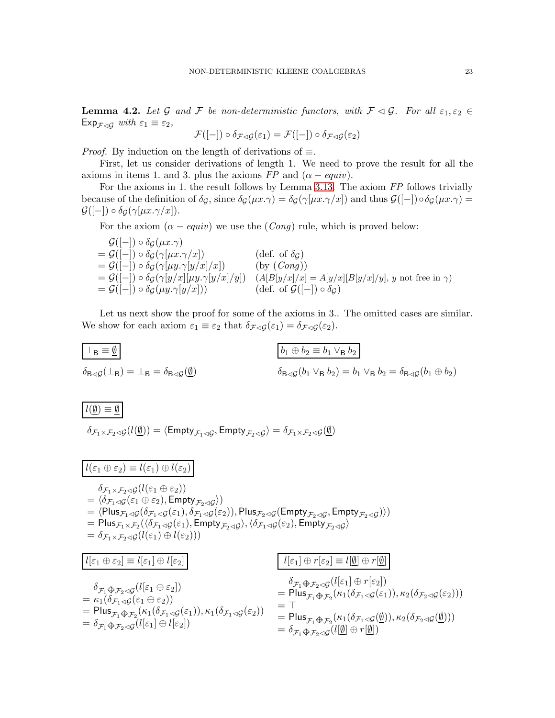**Lemma 4.2.** Let G and F be non-deterministic functors, with  $\mathcal{F} \triangleleft \mathcal{G}$ . For all  $\varepsilon_1, \varepsilon_2 \in$  $Exp_{\mathcal{F}\triangleleft\mathcal{G}}$  *with*  $\varepsilon_1 \equiv \varepsilon_2$ ,

$$
\mathcal{F}([-]) \circ \delta_{\mathcal{F} \lhd \mathcal{G}}(\varepsilon_1) = \mathcal{F}([-]) \circ \delta_{\mathcal{F} \lhd \mathcal{G}}(\varepsilon_2)
$$

*Proof.* By induction on the length of derivations of  $\equiv$ .

First, let us consider derivations of length 1. We need to prove the result for all the axioms in items 1. and 3. plus the axioms  $FP$  and  $(\alpha - equiv)$ .

For the axioms in 1. the result follows by Lemma [3.13.](#page-15-0) The axiom *FP* follows trivially because of the definition of  $\delta_{\mathcal{G}}$ , since  $\delta_{\mathcal{G}}(\mu x.\gamma) = \delta_{\mathcal{G}}(\gamma[\mu x.\gamma/x])$  and thus  $\mathcal{G}([-]) \circ \delta_{\mathcal{G}}(\mu x.\gamma) =$  $\mathcal{G}([-]) \circ \delta_G(\gamma[\mu x.\gamma/x]).$ 

For the axiom  $(\alpha - \text{equiv})$  we use the  $(\text{Conq})$  rule, which is proved below:

 $\mathcal{G}([-]) \circ \delta_{\mathcal{G}}(\mu x. \gamma)$ =  $\mathcal{G}([-]) \circ \delta_{\mathcal{G}}(\gamma[\mu x.\gamma/x])$  (def. of  $\delta_{\mathcal{G}}$ )<br>=  $\mathcal{G}([-]) \circ \delta_{\mathcal{G}}(\gamma[\mu y.\gamma[y/x]/x])$  (by  $(Conq))$  $\mathcal{G}(\widetilde{[-]})\circ\widetilde{\delta_{\mathcal{G}}}(\gamma[\mu y.\gamma[y/x]/x])\ \widetilde{\phantom{I}}$  $= \mathcal{G}([-]) \circ \delta_{\mathcal{G}}(\gamma[y/x][\mu y.\gamma[y/x]/y])$  (A[B[y/x]/x] = A[y/x][B[y/x]/y], y not free in  $\gamma$ )<br>  $= \mathcal{G}([-]) \circ \delta_{\mathcal{G}}(\mu y.\gamma[y/x]))$  (def. of  $\mathcal{G}([-]) \circ \delta_{\mathcal{G}}$ )  $=\mathcal{G}([-]) \circ \delta_G(\mu y. \gamma[y/x]))$ 

Let us next show the proof for some of the axioms in 3.. The omitted cases are similar. We show for each axiom  $\varepsilon_1 \equiv \varepsilon_2$  that  $\delta_{\mathcal{F}\lhd\mathcal{G}}(\varepsilon_1) = \delta_{\mathcal{F}\lhd\mathcal{G}}(\varepsilon_2)$ .

$$
\boxed{\begin{array}{l} \bot_{\mathsf{B}} \equiv \underline{\emptyset} \\ \delta_{\mathsf{B}\lhd\mathcal{G}}(\bot_{\mathsf{B}}) = \bot_{\mathsf{B}} = \delta_{\mathsf{B}\lhd\mathcal{G}}(\underline{\emptyset}) \end{array}} \qquad \qquad \boxed{b_1 \oplus b_2 \equiv b_1 \vee_{\mathsf{B}} b_2}
$$
\n
$$
\delta_{\mathsf{B}\lhd\mathcal{G}}(b_1 \vee_{\mathsf{B}} b_2) = b_1 \vee_{\mathsf{B}} b_2 = \delta_{\mathsf{B}\lhd\mathcal{G}}(b_1 \oplus b_2)
$$

 $l(\emptyset) \equiv \emptyset$ 

 $\delta_{{\cal F}_1\times{\cal F}_2\lhd {\cal G}}(l(\underline{\emptyset}))=\langle \mathsf{Empty}_{{\cal F}_1\lhd {\cal G}}, \mathsf{Empty}_{{\cal F}_2\lhd {\cal G}}\rangle=\delta_{{\cal F}_1\times{\cal F}_2\lhd {\cal G}}(\underline{\emptyset})$ 

 $l(\varepsilon_1 \oplus \varepsilon_2) \equiv l(\varepsilon_1) \oplus l(\varepsilon_2)$  $\delta_{\mathcal{F}_1 \times \mathcal{F}_2 \lhd \mathcal{G}}(l(\varepsilon_1 \oplus \varepsilon_2))$  $= \langle \delta_{\mathcal{F}_1 \lhd \mathcal{G}} (\varepsilon_1 \oplus \varepsilon_2), \mathsf{Empty}_{\mathcal{F}_2 \lhd \mathcal{G}} \rangle)$  $=\langle \mathsf{Plus}_{\mathcal{F}_1\lhd\mathcal{G}}(\delta_{\mathcal{F}_1\lhd\mathcal{G}}(\varepsilon_1),\delta_{\mathcal{F}_1\lhd\mathcal{G}}(\varepsilon_2)), \mathsf{Plus}_{\mathcal{F}_2\lhd\mathcal{G}}(\mathsf{Empty}_{\mathcal{F}_2\lhd\mathcal{G}}, \mathsf{Empty}_{\mathcal{F}_2\lhd\mathcal{G}})\rangle)$  $= \mathsf{Plus}_{\mathcal{F}_1 \times \mathcal{F}_2}(\langle \delta_{\mathcal{F}_1 \lhd \mathcal{G}}(\varepsilon_1), \mathsf{Empty}_{\mathcal{F}_2 \lhd \mathcal{G}}\rangle, \langle \delta_{\mathcal{F}_1 \lhd \mathcal{G}}(\varepsilon_2), \mathsf{Empty}_{\mathcal{F}_2 \lhd \mathcal{G}}\rangle$  $= \delta_{\mathcal{F}_1 \times \mathcal{F}_2 \lhd \mathcal{G}}(l(\varepsilon_1) \oplus l(\varepsilon_2)))$ 

$$
l[\varepsilon_{1} \oplus \varepsilon_{2}] \equiv l[\varepsilon_{1}] \oplus l[\varepsilon_{2}]
$$
\n
$$
\delta_{\mathcal{F}_{1} \oplus \mathcal{F}_{2} \trianglelefteq \mathcal{G}}(l[\varepsilon_{1} \oplus \varepsilon_{2}])
$$
\n
$$
= \kappa_{1}(\delta_{\mathcal{F}_{1} \trianglelefteq \mathcal{G}}(\varepsilon_{1} \oplus \varepsilon_{2}))
$$
\n
$$
= \rho_{\text{Ius}} \delta_{\mathcal{F}_{1} \oplus \mathcal{F}_{2} \trianglelefteq \mathcal{G}}(l[\varepsilon_{1}] \oplus \varepsilon_{2}))
$$
\n
$$
= \rho_{\text{Ius}} \delta_{\mathcal{F}_{1} \oplus \mathcal{F}_{2}}(\kappa_{1}(\delta_{\mathcal{F}_{1} \trianglelefteq \mathcal{G}}(\varepsilon_{1})), \kappa_{2}(\delta_{\mathcal{F}_{2} \trianglelefteq \mathcal{G}}(\varepsilon_{2})))
$$
\n
$$
= \rho_{\text{Ius}} \delta_{\mathcal{F}_{1} \oplus \mathcal{F}_{2}}(\kappa_{1}(\delta_{\mathcal{F}_{1} \trianglelefteq \mathcal{G}}(\varepsilon_{1})), \kappa_{2}(\delta_{\mathcal{F}_{2} \trianglelefteq \mathcal{G}}(\varepsilon_{2})))
$$
\n
$$
= \delta_{\mathcal{F}_{1} \oplus \mathcal{F}_{2} \trianglelefteq \mathcal{G}}(l[\varepsilon_{1}] \oplus l[\varepsilon_{2}])
$$
\n
$$
= \delta_{\mathcal{F}_{1} \oplus \mathcal{F}_{2} \trianglelefteq \mathcal{G}}(l[\emptyset] \oplus \varepsilon_{1}[\emptyset])
$$
\n
$$
= \delta_{\mathcal{F}_{1} \oplus \mathcal{F}_{2} \trianglelefteq \mathcal{G}}(l[\emptyset] \oplus \varepsilon_{1}[\emptyset])
$$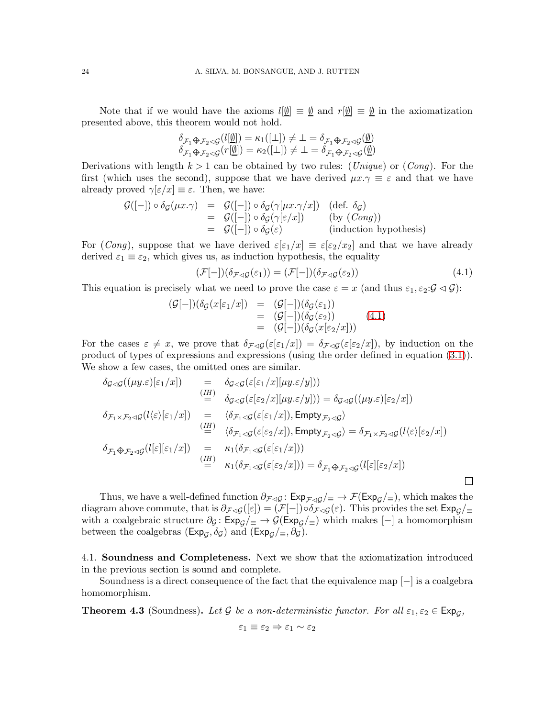Note that if we would have the axioms  $l[\emptyset] \equiv \emptyset$  and  $r[\emptyset] \equiv \emptyset$  in the axiomatization presented above, this theorem would not hold.

$$
\delta_{\mathcal{F}_1 \oplus \mathcal{F}_2 \lhd \mathcal{G}}(l[\underline{\emptyset}]) = \kappa_1([\bot]) \neq \bot = \delta_{\mathcal{F}_1 \oplus \mathcal{F}_2 \lhd \mathcal{G}}(\underline{\emptyset})
$$
  

$$
\delta_{\mathcal{F}_1 \oplus \mathcal{F}_2 \lhd \mathcal{G}}(r[\underline{\emptyset}]) = \kappa_2([\bot]) \neq \bot = \delta_{\mathcal{F}_1 \oplus \mathcal{F}_2 \lhd \mathcal{G}}(\underline{\emptyset})
$$

Derivations with length k > 1 can be obtained by two rules: (*Unique*) or (*Cong*). For the first (which uses the second), suppose that we have derived  $\mu x.\gamma \equiv \varepsilon$  and that we have already proved  $\gamma[\varepsilon/x] \equiv \varepsilon$ . Then, we have:

$$
\begin{array}{rcl}\n\mathcal{G}([-]) \circ \delta_{\mathcal{G}}(\mu x. \gamma) & = & \mathcal{G}([-]) \circ \delta_{\mathcal{G}}(\gamma[\mu x. \gamma/x]) \quad (\text{def. } \delta_{\mathcal{G}}) \\
& = & \mathcal{G}([-]) \circ \delta_{\mathcal{G}}(\gamma[\varepsilon/x]) \quad (\text{by } (Cong)) \\
& = & \mathcal{G}([-]) \circ \delta_{\mathcal{G}}(\varepsilon) \quad (\text{induction hypothesis})\n\end{array}
$$

For (*Cong*), suppose that we have derived  $\varepsilon[\varepsilon_1/x] \equiv \varepsilon[\varepsilon_2/x_2]$  and that we have already derived  $\varepsilon_1 \equiv \varepsilon_2$ , which gives us, as induction hypothesis, the equality

<span id="page-23-0"></span>
$$
(\mathcal{F}[-])(\delta_{\mathcal{F}\lhd\mathcal{G}}(\varepsilon_1)) = (\mathcal{F}[-])(\delta_{\mathcal{F}\lhd\mathcal{G}}(\varepsilon_2))
$$
\n(4.1)

This equation is precisely what we need to prove the case  $\varepsilon = x$  (and thus  $\varepsilon_1, \varepsilon_2 \cdot \mathcal{G} \lhd \mathcal{G}$ ):

$$
\begin{array}{rcl} (\mathcal{G}[-])(\delta_{\mathcal{G}}(x[\varepsilon_{1}/x]) & = & (\mathcal{G}[-])(\delta_{\mathcal{G}}(\varepsilon_{1})) \\ & = & (\mathcal{G}[-])(\delta_{\mathcal{G}}(\varepsilon_{2})) \\ & = & (\mathcal{G}[-])(\delta_{\mathcal{G}}(x[\varepsilon_{2}/x])) \end{array} \tag{4.1}
$$

For the cases  $\varepsilon \neq x$ , we prove that  $\delta_{\mathcal{F}\triangleleft\mathcal{G}}(\varepsilon[\varepsilon_1/x]) = \delta_{\mathcal{F}\triangleleft\mathcal{G}}(\varepsilon[\varepsilon_2/x])$ , by induction on the product of types of expressions and expressions (using the order defined in equation [\(3.1\)](#page-9-0)). We show a few cases, the omitted ones are similar.

$$
\delta_{\mathcal{G}\lhd\mathcal{G}}((\mu y.\varepsilon)[\varepsilon_1/x]) = \delta_{\mathcal{G}\lhd\mathcal{G}}(\varepsilon[\varepsilon_1/x][\mu y.\varepsilon/y]))
$$
\n
$$
\stackrel{(IH)}{=} \delta_{\mathcal{G}\lhd\mathcal{G}}(\varepsilon[\varepsilon_2/x][\mu y.\varepsilon/y])) = \delta_{\mathcal{G}\lhd\mathcal{G}}((\mu y.\varepsilon)[\varepsilon_2/x])
$$
\n
$$
\delta_{\mathcal{F}_1\times\mathcal{F}_2\lhd\mathcal{G}}(l\langle\varepsilon\rangle[\varepsilon_1/x]) = \langle\delta_{\mathcal{F}_1\lhd\mathcal{G}}(\varepsilon[\varepsilon_1/x]), \text{Empty}_{\mathcal{F}_2\lhd\mathcal{G}}\rangle
$$
\n
$$
\stackrel{(IH)}{=} \langle\delta_{\mathcal{F}_1\lhd\mathcal{G}}(\varepsilon[\varepsilon_2/x]), \text{Empty}_{\mathcal{F}_2\lhd\mathcal{G}}\rangle = \delta_{\mathcal{F}_1\times\mathcal{F}_2\lhd\mathcal{G}}(l\langle\varepsilon\rangle[\varepsilon_2/x])
$$
\n
$$
\delta_{\mathcal{F}_1\bigoplus\mathcal{F}_2\lhd\mathcal{G}}(l[\varepsilon][\varepsilon_1/x]) = \kappa_1(\delta_{\mathcal{F}_1\lhd\mathcal{G}}(\varepsilon[\varepsilon_1/x]))
$$
\n
$$
\stackrel{(IH)}{=} \kappa_1(\delta_{\mathcal{F}_1\lhd\mathcal{G}}(\varepsilon[\varepsilon_2/x])) = \delta_{\mathcal{F}_1\bigoplus\mathcal{F}_2\lhd\mathcal{G}}(l[\varepsilon][\varepsilon_2/x])
$$

Thus, we have a well-defined function  $\partial_{\mathcal{F}\lhd\mathcal{G}}\colon \mathsf{Exp}_{\mathcal{F}\lhd\mathcal{G}}/\mathcal{F} \to \mathcal{F}(\mathsf{Exp}_{\mathcal{G}}/\mathcal{F})$ , which makes the diagram above commute, that is  $\partial_{\mathcal{F}\triangleleft\mathcal{G}}([\varepsilon]) = (\mathcal{F}[-]) \circ \delta_{\mathcal{F}\triangleleft\mathcal{G}}(\varepsilon)$ . This provides the set  $Exp_{\mathcal{G}}/_{\equiv}$ with a coalgebraic structure  $\partial_{\mathcal{G}}: \mathsf{Exp}_{\mathcal{G}}/\equiv \rightarrow \mathcal{G}(\mathsf{Exp}_{\mathcal{G}}/\equiv)$  which makes  $[-]$  a homomorphism between the coalgebras  $(\text{Exp}_{\mathcal{G}}, \delta_{\mathcal{G}})$  and  $(\text{Exp}_{\mathcal{G}}/_{\equiv}, \partial_{\mathcal{G}})$ .

4.1. Soundness and Completeness. Next we show that the axiomatization introduced in the previous section is sound and complete.

Soundness is a direct consequence of the fact that the equivalence map [−] is a coalgebra homomorphism.

**Theorem 4.3** (Soundness). Let G be a non-deterministic functor. For all  $\varepsilon_1, \varepsilon_2 \in \text{Exp}_g$ ,

$$
\varepsilon_1 \equiv \varepsilon_2 \Rightarrow \varepsilon_1 \sim \varepsilon_2
$$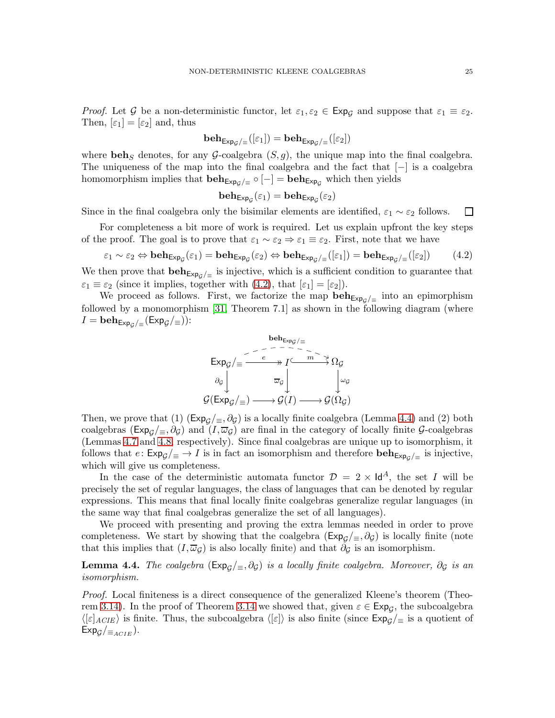*Proof.* Let G be a non-deterministic functor, let  $\varepsilon_1$ ,  $\varepsilon_2 \in \text{Exp}_G$  and suppose that  $\varepsilon_1 \equiv \varepsilon_2$ . Then,  $[\varepsilon_1] = [\varepsilon_2]$  and, thus

$$
\mathbf{beh}_{\mathsf{Exp}_{\mathcal{G}}/\equiv}([\varepsilon_1]) = \mathbf{beh}_{\mathsf{Exp}_{\mathcal{G}}/\equiv}([\varepsilon_2])
$$

where beh<sub>S</sub> denotes, for any G-coalgebra  $(S, q)$ , the unique map into the final coalgebra. The uniqueness of the map into the final coalgebra and the fact that  $[-]$  is a coalgebra homomorphism implies that  $\mathbf{beh}_{\mathsf{Exp}_{\mathcal{G}}/\equiv} \circ [-] = \mathbf{beh}_{\mathsf{Exp}_{\mathcal{G}}}$  which then yields

$$
\mathbf{beh}_{\mathsf{Exp}_{\mathcal{G}}}(\varepsilon_1) = \mathbf{beh}_{\mathsf{Exp}_{\mathcal{G}}}(\varepsilon_2)
$$

Since in the final coalgebra only the bisimilar elements are identified,  $\varepsilon_1 \sim \varepsilon_2$  follows.  $\Box$ 

For completeness a bit more of work is required. Let us explain upfront the key steps of the proof. The goal is to prove that  $\varepsilon_1 \sim \varepsilon_2 \Rightarrow \varepsilon_1 \equiv \varepsilon_2$ . First, note that we have

<span id="page-24-0"></span>
$$
\varepsilon_1 \sim \varepsilon_2 \Leftrightarrow \mathbf{beh}_{\mathsf{Exp}_{\mathcal{G}}}(\varepsilon_1) = \mathbf{beh}_{\mathsf{Exp}_{\mathcal{G}}}(\varepsilon_2) \Leftrightarrow \mathbf{beh}_{\mathsf{Exp}_{\mathcal{G}}/\equiv}([\varepsilon_1]) = \mathbf{beh}_{\mathsf{Exp}_{\mathcal{G}}/\equiv}([\varepsilon_2])
$$
(4.2)

We then prove that  $\mathbf{beh}_{\mathsf{Exp}_{\mathcal{G}}/\equiv}$  is injective, which is a sufficient condition to guarantee that  $\varepsilon_1 \equiv \varepsilon_2$  (since it implies, together with [\(4.2\)](#page-24-0), that  $[\varepsilon_1] = [\varepsilon_2]$ ).

We proceed as follows. First, we factorize the map  $\mathbf{beh}_{\mathsf{Exp}_{\mathcal{G}}/\equiv}$  into an epimorphism followed by a monomorphism [\[31,](#page-38-3) Theorem 7.1] as shown in the following diagram (where  $I = \mathbf{beh}_{\mathsf{Exp}_{\mathcal{G}}/\equiv}(\mathsf{Exp}_{\mathcal{G}}/\equiv))$ :



Then, we prove that (1)  $(\text{Exp}_\mathcal{G}/\equiv, \partial_\mathcal{G})$  is a locally finite coalgebra (Lemma [4.4\)](#page-24-1) and (2) both coalgebras ( $Exp_{\mathcal{G}}/\equiv, \partial_{\mathcal{G}}$ ) and  $(I, \overline{\omega}_{\mathcal{G}})$  are final in the category of locally finite  $\mathcal{G}$ -coalgebras (Lemmas [4.7](#page-27-0) and [4.8,](#page-28-0) respectively). Since final coalgebras are unique up to isomorphism, it follows that  $e: \text{Exp}_\mathcal{G}/\equiv \rightarrow I$  is in fact an isomorphism and therefore  $\text{beh}_{\text{Exp}_\mathcal{G}/\equiv}$  is injective, which will give us completeness.

In the case of the deterministic automata functor  $\mathcal{D} = 2 \times \mathsf{Id}^A$ , the set I will be precisely the set of regular languages, the class of languages that can be denoted by regular expressions. This means that final locally finite coalgebras generalize regular languages (in the same way that final coalgebras generalize the set of all languages).

We proceed with presenting and proving the extra lemmas needed in order to prove completeness. We start by showing that the coalgebra ( $Exp<sub>G</sub>/≡$ ,  $\partial<sub>G</sub>$ ) is locally finite (note that this implies that  $(I, \overline{\omega}_\mathcal{G})$  is also locally finite) and that  $\partial_\mathcal{G}$  is an isomorphism.

<span id="page-24-1"></span>**Lemma 4.4.** *The coalgebra* ( $Exp<sub>G</sub>/\equiv$ ,  $\partial$ <sub>*G*</sub>) *is a locally finite coalgebra. Moreover*,  $\partial$ <sub>*G</sub> is an*</sub> *isomorphism.*

*Proof.* Local finiteness is a direct consequence of the generalized Kleene's theorem (Theo-rem [3.14\)](#page-16-0). In the proof of Theorem [3.14](#page-16-0) we showed that, given  $\varepsilon \in \text{Exp}_{\mathcal{G}}$ , the subcoalgebra  $\langle [\varepsilon]_{ACIE} \rangle$  is finite. Thus, the subcoalgebra  $\langle [\varepsilon] \rangle$  is also finite (since  $Exp_{\mathcal{G}}/_{\equiv}$  is a quotient of  $Exp<sub>G</sub>/_{\equiv_{ACIE}}$ ).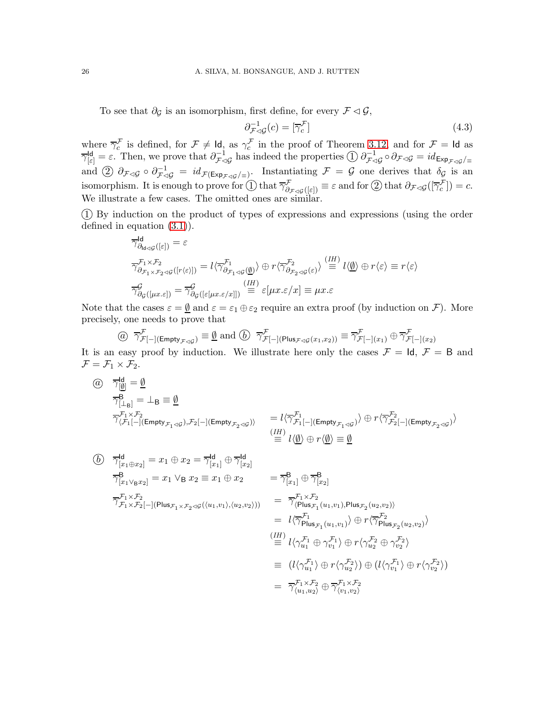To see that  $\partial_{\mathcal{G}}$  is an isomorphism, first define, for every  $\mathcal{F} \lhd \mathcal{G}$ ,

<span id="page-25-0"></span>
$$
\partial_{\mathcal{F}\triangleleft\mathcal{G}}^{-1}(c) = [\overline{\gamma}_c^{\mathcal{F}}] \tag{4.3}
$$

where  $\overline{\gamma}_c^{\mathcal{F}}$  is defined, for  $\mathcal{F} \neq \text{Id}$ , as  $\gamma_c^{\mathcal{F}}$  in the proof of Theorem [3.12,](#page-10-0) and for  $\mathcal{F} = \text{Id}$  as  $\overline{\gamma}_{\left[\varepsilon\right]}^{\mathsf{Id}} = \varepsilon$ . Then, we prove that  $\partial_{\mathcal{F}\triangleleft\mathcal{G}}^{-1}$  has indeed the properties  $\textcircled{1}$   $\partial_{\mathcal{F}\triangleleft\mathcal{G}}^{-1} \circ \partial_{\mathcal{F}\triangleleft\mathcal{G}} = id_{\mathsf{Exp}_{\mathcal{F}\triangleleft\mathcal{G}}/\equiv}$ and  $(2)$   $\partial_{\mathcal{F}\triangleleft\mathcal{G}}\circ\partial_{\mathcal{F}\triangleleft\mathcal{G}}^{-1} = id_{\mathcal{F}(\mathsf{Exp}_{\mathcal{F}\triangleleft\mathcal{G}}/\equiv)}$ . Instantiating  $\mathcal{F} = \mathcal{G}$  one derives that  $\delta_{\mathcal{G}}$  is an isomorphism. It is enough to prove for  $\overline{(\cdot)}$  that  $\overline{\gamma}^{\mathcal{F}}_{\partial_{\mathcal{F}}\triangleleft\mathcal{G}}([\varepsilon])} \equiv \varepsilon$  and for  $\overline{(\cdot)}$  that  $\partial_{\mathcal{F}\triangleleft\mathcal{G}}([\overline{\gamma}^{\mathcal{F}}_c]) = c$ . We illustrate a few cases. The omitted ones are similar.

1 By induction on the product of types of expressions and expressions (using the order defined in equation [\(3.1\)](#page-9-0)).

$$
\overline{\gamma}_{\partial_{\mathbf{d}\triangleleft\mathcal{G}}}^{\mathbf{d}}([\varepsilon]) = \varepsilon
$$
\n
$$
\overline{\gamma}_{\partial_{\mathcal{F}_{1}\times\mathcal{F}_{2}\triangleleft\mathcal{G}}([r\langle\varepsilon\rangle])}^{\mathcal{F}_{1}} = l\langle \overline{\gamma}_{\partial_{\mathcal{F}_{1}\triangleleft\mathcal{G}}}^{\mathcal{F}_{1}}(\underline{\emptyset})\rangle \oplus r\langle \overline{\gamma}_{\partial_{\mathcal{F}_{2}\triangleleft\mathcal{G}}(\varepsilon)}^{\mathcal{F}_{2}}\rangle \stackrel{(IH)}{=} l\langle\underline{\emptyset}\rangle \oplus r\langle\varepsilon\rangle \equiv r\langle\varepsilon\rangle
$$
\n
$$
\overline{\gamma}_{\partial_{\mathcal{G}}([\mu x.\varepsilon])}^{\mathcal{G}} = \overline{\gamma}_{\partial_{\mathcal{G}}([\varepsilon[\mu x.\varepsilon/x]])}^{\mathcal{G}} \stackrel{(IH)}{=} \varepsilon[\mu x.\varepsilon/x] \equiv \mu x.\varepsilon
$$

Note that the cases  $\varepsilon = \underline{\emptyset}$  and  $\varepsilon = \varepsilon_1 \oplus \varepsilon_2$  require an extra proof (by induction on  $\mathcal{F}$ ). More precisely, one needs to prove that

$$
\textcircled{a} \quad \overline{\gamma}^{\mathcal{F}}_{\mathcal{F}[-](\mathsf{Empty}_{\mathcal{F}\triangleleft\mathcal{G}})} \equiv \underline{\emptyset} \text{ and } \textcircled{b} \quad \overline{\gamma}^{\mathcal{F}}_{\mathcal{F}[-](\mathsf{Plus}_{\mathcal{F}\triangleleft\mathcal{G}}(x_1, x_2))} \equiv \overline{\gamma}^{\mathcal{F}}_{\mathcal{F}[-](x_1)} \oplus \overline{\gamma}^{\mathcal{F}}_{\mathcal{F}[-](x_2)}
$$

It is an easy proof by induction. We illustrate here only the cases  $\mathcal{F} = Id$ ,  $\mathcal{F} = B$  and  $\mathcal{F} = \mathcal{F}_1 \times \mathcal{F}_2.$ 

$$
\begin{array}{ll}\n\textcircled{a} & \overline{\gamma}_{[\underline{\emptyset}]}^{\mathsf{Id}} = \underline{\emptyset} \\
& \overline{\gamma}_{[\bot_\mathsf{B}]}^{\mathsf{B}} = \bot_\mathsf{B} \equiv \underline{\emptyset} \\
& \overline{\gamma}_{\langle \mathcal{F}_1[-](\mathsf{Empty}_{\mathcal{F}_1 \lhd \mathcal{G}}), \mathcal{F}_2[-](\mathsf{Empty}_{\mathcal{F}_2 \lhd \mathcal{G}}) \rangle} & = l \langle \overline{\gamma}_{\mathcal{F}_1[-](\mathsf{Empty}_{\mathcal{F}_1 \lhd \mathcal{G}})}^{\mathsf{F}_1} \rangle \oplus r \langle \overline{\gamma}_{\mathcal{F}_2[-](\mathsf{Empty}_{\mathcal{F}_2 \lhd \mathcal{G}})}^{\mathsf{F}_2} \rangle \\
& \stackrel{\textcircled{\scriptsize{1H}}} = l \langle \underline{\emptyset} \rangle \oplus r \langle \underline{\emptyset} \rangle \equiv \underline{\emptyset}\n\end{array}
$$

$$
\begin{aligned}\n\textcircled{b} \quad & \overline{\gamma}_{[x_1 \oplus x_2]}^{\text{Id}} = x_1 \oplus x_2 = \overline{\gamma}_{[x_1]}^{\text{Id}} \oplus \overline{\gamma}_{[x_2]}^{\text{Id}} \\
& \overline{\gamma}_{[x_1 \vee_{\text{B}} x_2]}^{\text{B}} = x_1 \vee_{\text{B}} x_2 \equiv x_1 \oplus x_2 \qquad = \overline{\gamma}_{[x_1]}^{\text{B}} \oplus \overline{\gamma}_{[x_2]}^{\text{B}} \\
& \overline{\gamma}_{\mathcal{F}_1 \times \mathcal{F}_2}^{\mathcal{F}_1 \times \mathcal{F}_2} \\
& \overline{\gamma}_{\mathcal{F}_1 \times \mathcal{F}_2}^{\mathcal{F}_1 \times \mathcal{F}_2} = \overline{\gamma}_{\langle \text{Plus}_{\mathcal{F}_1}(u_1, v_1), \text{Plus}_{\mathcal{F}_2}(u_2, v_2) \rangle}^{\text{B}} \\
& = \ l \langle \overline{\gamma}_{\text{Plus}_{\mathcal{F}_1}(u_1, v_1)}^{\mathcal{F}_1} \rangle \oplus r \langle \overline{\gamma}_{\text{Plus}_{\mathcal{F}_2}(u_2, v_2)}^{\mathcal{F}_2} \rangle \\
& \stackrel{\text{(III)}}{=} l \langle \gamma_{u_1}^{\mathcal{F}_1} \oplus \gamma_{v_1}^{\mathcal{F}_1} \rangle \oplus r \langle \gamma_{u_2}^{\mathcal{F}_2} \oplus \gamma_{v_2}^{\mathcal{F}_2} \rangle \\
& = \ (l \langle \gamma_{u_1}^{\mathcal{F}_1} \rangle \oplus r \langle \gamma_{u_2}^{\mathcal{F}_2} \rangle) \oplus (l \langle \gamma_{v_1}^{\mathcal{F}_1} \rangle \oplus r \langle \gamma_{v_2}^{\mathcal{F}_2} \rangle) \\
& = \overline{\gamma}_{\langle u_1, u_2 \rangle}^{\mathcal{F}_1 \times \mathcal{F}_2} \oplus \overline{\gamma}_{\langle v_1, v_2 \rangle}^{\mathcal{F}_1 \times \mathcal{F}_2}\n\end{aligned}
$$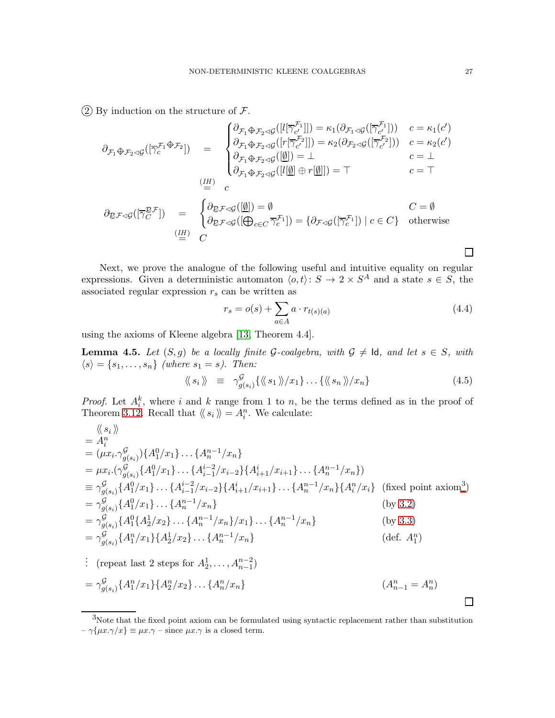$(2)$  By induction on the structure of  $\mathcal{F}$ .

$$
\partial_{\mathcal{F}_1 \oplus \mathcal{F}_2 \lhd \mathcal{G}}([\overline{\gamma}_c^{\mathcal{F}_1 \oplus \mathcal{F}_2}]) = \begin{cases}\n\partial_{\mathcal{F}_1 \oplus \mathcal{F}_2 \lhd \mathcal{G}}([l[\overline{\gamma}_c^{\mathcal{F}_1}]]) = \kappa_1(\partial_{\mathcal{F}_1 \lhd \mathcal{G}}([\overline{\gamma}_c^{\mathcal{F}_1}])) & c = \kappa_1(c') \\
\partial_{\mathcal{F}_1 \oplus \mathcal{F}_2 \lhd \mathcal{G}}([r[\overline{\gamma}_c^{\mathcal{F}_2}]]) = \kappa_2(\partial_{\mathcal{F}_2 \lhd \mathcal{G}}([\overline{\gamma}_c^{\mathcal{F}_2}])) & c = \kappa_2(c') \\
\partial_{\mathcal{F}_1 \oplus \mathcal{F}_2 \lhd \mathcal{G}}([l\omega]) = \bot & c = \bot \\
\partial_{\mathcal{F}_1 \oplus \mathcal{F}_2 \lhd \mathcal{G}}([l\omega]) = \bot & c = \top \\
\partial_{\mathcal{E}} \mathcal{F} \lhd \mathcal{G}([\overline{\gamma}_c^{\mathcal{E}}]) = c & c = \top \\
\partial_{\mathcal{E}} \mathcal{F} \lhd \mathcal{G}([\overline{\gamma}_c^{\mathcal{E}_1}]) = \emptyset & c = \emptyset \\
\partial_{\mathcal{E}} \mathcal{F} \lhd \mathcal{G}([\overline{\gamma}_c^{\mathcal{E}_1}]) = \{\partial_{\mathcal{F} \lhd \mathcal{G}}([\overline{\gamma}_c^{\mathcal{F}_1}]) \mid c \in C\} & \text{otherwise} \\
\vdots & c & \vdots \\
\partial_{\mathcal{E}} \mathcal{F} \lhd \mathcal{G}([\overline{\gamma}_c^{\mathcal{E}_1}]) = \{\partial_{\mathcal{F} \lhd \mathcal{G}}([\overline{\gamma}_c^{\mathcal{F}_1}]) \mid c \in C\} & \text{otherwise}\n\end{cases}
$$

Next, we prove the analogue of the following useful and intuitive equality on regular expressions. Given a deterministic automaton  $\langle o, t \rangle : S \to 2 \times S^A$  and a state  $s \in S$ , the associated regular expression  $r_s$  can be written as

<span id="page-26-2"></span>
$$
r_s = o(s) + \sum_{a \in A} a \cdot r_{t(s)(a)} \tag{4.4}
$$

using the axioms of Kleene algebra [\[13,](#page-37-3) Theorem 4.4].

<span id="page-26-3"></span>**Lemma 4.5.** Let  $(S, g)$  be a locally finite G-coalgebra, with  $G \neq \text{Id}$ , and let  $s \in S$ , with  $\langle s \rangle = \{s_1, \ldots, s_n\}$  *(where*  $s_1 = s$ *). Then:* 

<span id="page-26-1"></span>
$$
\langle\!\langle s_i \rangle\!\rangle \equiv \gamma^{\mathcal{G}}_{g(s_i)} \{ \langle\!\langle s_1 \rangle\!\rangle / x_1 \} \dots \{ \langle\!\langle s_n \rangle\!\rangle / x_n \} \tag{4.5}
$$

*Proof.* Let  $A_i^k$ , where i and k range from 1 to n, be the terms defined as in the proof of Theorem [3.12.](#page-10-0) Recall that  $\langle s_i \rangle = A_i^n$ . We calculate:

$$
\langle s_{i} \rangle
$$
\n=  $A_{i}^{n}$ \n  
\n=  $(\mu x_{i} \cdot \gamma_{g(s_{i})}^{G}) \{ A_{1}^{0}/x_{1} \} \dots \{ A_{n}^{n-1}/x_{n} \}$ \n  
\n=  $\mu x_{i} \cdot (\gamma_{g(s_{i})}^{G} \{ A_{1}^{0}/x_{1} \} \dots \{ A_{i-1}^{i-2}/x_{i-2} \} \{ A_{i+1}^{i}/x_{i+1} \} \dots \{ A_{n}^{n-1}/x_{n} \})$ \n  
\n=  $\gamma_{g(s_{i})}^{G} \{ A_{1}^{0}/x_{1} \} \dots \{ A_{i-1}^{i-2}/x_{i-2} \} \{ A_{i+1}^{i}/x_{i+1} \} \dots \{ A_{n}^{n-1}/x_{n} \} \{ A_{i}^{n}/x_{i} \}$  (fixed point axiom<sup>3</sup>)\n  
\n=  $\gamma_{g(s_{i})}^{G} \{ A_{1}^{0}/x_{1} \} \dots \{ A_{n}^{n-1}/x_{n} \}$  (by 3.2)\n  
\n=  $\gamma_{g(s_{i})}^{G} \{ A_{1}^{0} \{ A_{2}^{1}/x_{2} \} \dots \{ A_{n}^{n-1}/x_{n} \} \times \{ A_{n}^{n-1}/x_{n} \}$  (by 3.3)\n  
\n=  $\gamma_{g(s_{i})}^{G} \{ A_{1}^{n}/x_{1} \} \{ A_{2}^{1}/x_{2} \} \dots \{ A_{n}^{n-1}/x_{n} \}$  (def.  $A_{1}^{n}$ )

: (repeat last 2 steps for  $A_2^1, \ldots, A_{n-1}^{n-2}$ )

$$
= \gamma_{g(s_i)}^{\mathcal{G}} \{A_1^n/x_1\} \{A_2^n/x_2\} \dots \{A_n^n/x_n\} \qquad (A_{n-1}^n = A_n^n)
$$

 $\Box$ 

<span id="page-26-0"></span><sup>3</sup>Note that the fixed point axiom can be formulated using syntactic replacement rather than substitution  $-\gamma \{\mu x.\gamma/x\} \equiv \mu x.\gamma$  – since  $\mu x.\gamma$  is a closed term.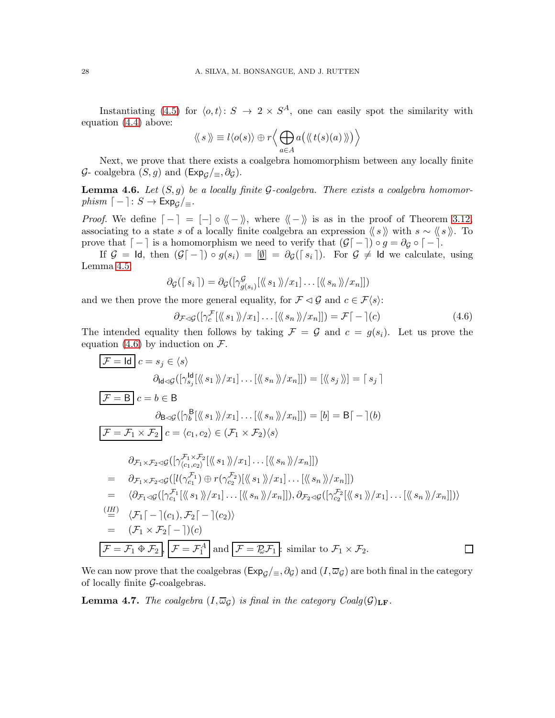Instantiating [\(4.5\)](#page-26-1) for  $\langle o, t \rangle : S \to 2 \times S^A$ , one can easily spot the similarity with equation [\(4.4\)](#page-26-2) above:

$$
\langle\!\langle s \rangle\!\rangle \equiv l \langle o(s) \rangle \oplus r \Big\langle \bigoplus_{a \in A} a \big( \langle\!\langle t(s)(a) \rangle\!\rangle \big) \Big\rangle
$$

Next, we prove that there exists a coalgebra homomorphism between any locally finite  $G$ - coalgebra  $(S, g)$  and  $(\text{Exp}_{\mathcal{G}}/_{\equiv}, \partial_{\mathcal{G}})$ .

<span id="page-27-2"></span>Lemma 4.6. *Let* (S, g) *be a locally finite* G*-coalgebra. There exists a coalgebra homomorphism*  $\lceil - \rceil$ :  $S \rightarrow \text{Exp}_G / \equiv$ .

*Proof.* We define  $\lceil - \rceil = \lceil - \rceil \circ \langle \rceil - \rangle$ , where  $\langle \rceil - \rangle$  is as in the proof of Theorem [3.12,](#page-10-0) associating to a state s of a locally finite coalgebra an expression  $\langle \langle s \rangle \rangle$  with s ~  $\langle \langle s \rangle \rangle$ . To prove that  $\lceil - \rceil$  is a homomorphism we need to verify that  $(\mathcal{G} \lceil - \rceil) \circ g = \partial_{\mathcal{G}} \circ \lceil - \rceil$ .

If  $\mathcal{G} = \mathsf{Id}$ , then  $(\mathcal{G} \mathsf{I} - \mathsf{I}) \circ g(s_i) = [\underline{\emptyset}] = \partial_{\mathcal{G}}(\mathsf{I} \mid s_i)$ . For  $\mathcal{G} \neq \mathsf{Id}$  we calculate, using Lemma [4.5:](#page-26-3)

$$
\partial_{\mathcal{G}}(\lceil s_i \rceil) = \partial_{\mathcal{G}}(\lceil \gamma^{\mathcal{G}}_{g(s_i)}[\langle \langle s_1 \rangle \rangle / x_1] \dots [\langle \langle s_n \rangle \rangle / x_n \rceil])
$$

and we then prove the more general equality, for  $\mathcal{F} \lhd \mathcal{G}$  and  $c \in \mathcal{F}\langle s \rangle$ :

<span id="page-27-1"></span>
$$
\partial_{\mathcal{F}\triangleleft\mathcal{G}}([\gamma_c^{\mathcal{F}}[\langle\!\langle s_1 \rangle\!\rangle/x_1] \dots [\langle\!\langle s_n \rangle\!\rangle/x_n]]) = \mathcal{F}[\,-\,](c) \tag{4.6}
$$

The intended equality then follows by taking  $\mathcal{F} = \mathcal{G}$  and  $c = g(s_i)$ . Let us prove the equation [\(4.6\)](#page-27-1) by induction on  $\mathcal{F}$ .

$$
\mathcal{F} = \text{Id} \ c = s_j \in \langle s \rangle
$$
\n
$$
\partial_{\text{Id} \triangleleft \mathcal{G}}([\gamma_{s_j}^{\text{Id}}(\langle s_1 \rangle \rangle / x_1] \dots [\langle \langle s_n \rangle \rangle / x_n]]) = [\langle \langle s_j \rangle \rangle] = [s_j]
$$
\n
$$
\mathcal{F} = \mathbf{B} \ c = b \in \mathbf{B}
$$
\n
$$
\partial_{\text{B} \triangleleft \mathcal{G}}([\gamma_b^{\text{B}}(\langle \langle s_1 \rangle \rangle / x_1] \dots [\langle \langle s_n \rangle \rangle / x_n]]) = [b] = \mathbf{B} \lceil - |(b)
$$
\n
$$
\mathcal{F} = \mathcal{F}_1 \times \mathcal{F}_2 \ c = \langle c_1, c_2 \rangle \in (\mathcal{F}_1 \times \mathcal{F}_2) \langle s \rangle
$$
\n
$$
\partial_{\mathcal{F}_1 \times \mathcal{F}_2 \triangleleft \mathcal{G}}([\gamma_{(c_1, c_2)}^{\mathcal{F}_1 \times \mathcal{F}_2}[\langle \langle s_1 \rangle \rangle / x_1] \dots [\langle \langle s_n \rangle \rangle / x_n]])
$$
\n
$$
= \partial_{\mathcal{F}_1 \times \mathcal{F}_2 \triangleleft \mathcal{G}}([\langle \gamma_{c_1}^{\mathcal{F}_1} \rangle \oplus r(\gamma_{c_2}^{\mathcal{F}_2})[\langle \langle s_1 \rangle \rangle / x_1] \dots [\langle \langle s_n \rangle \rangle / x_n]])
$$
\n
$$
= \langle \partial_{\mathcal{F}_1 \triangleleft \mathcal{G}}([\gamma_{c_1}^{\mathcal{F}_1}[\langle \langle s_1 \rangle \rangle / x_1] \dots [\langle \langle s_n \rangle \rangle / x_n]]), \partial_{\mathcal{F}_2 \triangleleft \mathcal{G}}([\gamma_{c_2}^{\mathcal{F}_2}[\langle \langle s_1 \rangle \rangle / x_1] \dots [\langle \langle s_n \rangle \rangle / x_n]])
$$
\n
$$
\stackrel{(IH)}{=} \langle \mathcal{F}_1 \lceil - |(c_1), \mathcal{F}_2 \lceil - |(c_2) \rangle
$$
\n
$$
= (\mathcal{F}_1 \times \mathcal{F}_2 \lceil - |)(c)
$$
\n
$$
\mathcal{F} = \
$$

We can now prove that the coalgebras ( $Exp_G/\equiv, \partial_G$ ) and  $(I, \overline{\omega}_G)$  are both final in the category of locally finite  $G$ -coalgebras.

<span id="page-27-0"></span>**Lemma 4.7.** *The coalgebra*  $(I, \overline{\omega}_G)$  *is final in the category Coalg* $(\mathcal{G})_{\text{LF}}$ *.*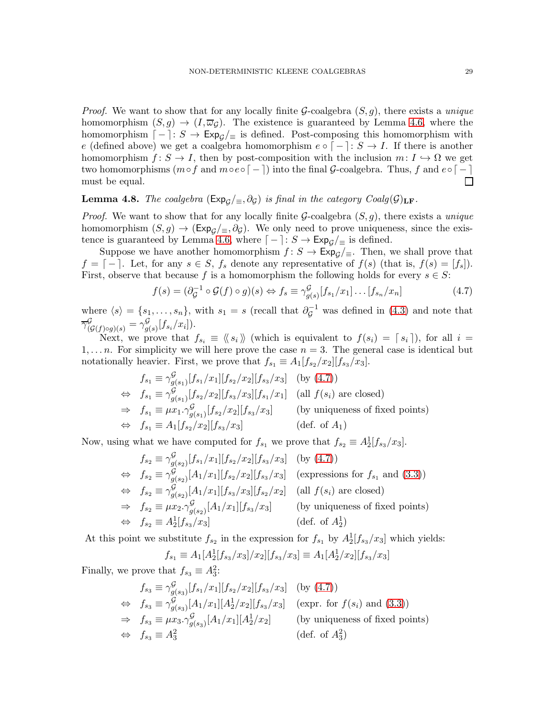*Proof.* We want to show that for any locally finite G-coalgebra (S, g), there exists a *unique* homomorphism  $(S, g) \to (I, \overline{\omega}_G)$ . The existence is guaranteed by Lemma [4.6,](#page-27-2) where the homomorphism  $\lceil - \rceil: S \to \mathsf{Exp}_G / \equiv$  is defined. Post-composing this homomorphism with e (defined above) we get a coalgebra homomorphism  $e \circ [-]: S \to I$ . If there is another homomorphism  $f: S \to I$ , then by post-composition with the inclusion  $m: I \hookrightarrow \Omega$  we get two homomorphisms  $(m \circ f \text{ and } m \circ e \circ [ - ])$  into the final  $G$ -coalgebra. Thus, f and  $e \circ [ - ]$  must be equal. must be equal.

# <span id="page-28-0"></span>**Lemma 4.8.** *The coalgebra* ( $Exp_{\mathcal{G}}/\equiv$ ,  $\partial_{\mathcal{G}}$ ) *is final in the category Coalg*( $\mathcal{G})_{LF}$ .

*Proof.* We want to show that for any locally finite G-coalgebra (S, g), there exists a *unique* homomorphism  $(S, g) \to (\text{Exp}_{\mathcal{G}}/_{\equiv}, \partial_{\mathcal{G}})$ . We only need to prove uniqueness, since the exis-tence is guaranteed by Lemma [4.6,](#page-27-2) where  $\lceil - \rceil: S \to \text{Exp}_c \rceil$  is defined.

Suppose we have another homomorphism  $f: S \to \text{Exp}_q/\text{E}$ . Then, we shall prove that  $f = \lceil - \rceil$ . Let, for any  $s \in S$ ,  $f_s$  denote any representative of  $f(s)$  (that is,  $f(s) = [f_s]$ ). First, observe that because f is a homomorphism the following holds for every  $s \in S$ :

<span id="page-28-1"></span>
$$
f(s) = (\partial_{\mathcal{G}}^{-1} \circ \mathcal{G}(f) \circ g)(s) \Leftrightarrow f_s \equiv \gamma^{\mathcal{G}}_{g(s)}[f_{s_1}/x_1] \dots [f_{s_n}/x_n]
$$
(4.7)

where  $\langle s \rangle = \{s_1, \ldots, s_n\}$ , with  $s_1 = s$  (recall that  $\partial_{\mathcal{G}}^{-1}$  was defined in [\(4.3\)](#page-25-0) and note that  $\overline{\gamma}^{\mathcal{G}}_{(\mathcal{G}(f)\circ g)(s)}=\gamma^{\mathcal{G}}_{g(s)}$  $g_{(s)}^{g}[f_{s_i}/x_i]).$ 

Next, we prove that  $f_{s_i} \equiv \langle \langle s_i \rangle \rangle$  (which is equivalent to  $f(s_i) = [s_i]$ ), for all  $i =$  $1, \ldots n$ . For simplicity we will here prove the case  $n = 3$ . The general case is identical but notationally heavier. First, we prove that  $f_{s_1} \equiv A_1[f_{s_2}/x_2][f_{s_3}/x_3]$ .

$$
f_{s_1} \equiv \gamma^{\mathcal{G}}_{g(s_1)}[f_{s_1}/x_1][f_{s_2}/x_2][f_{s_3}/x_3] \text{ (by (4.7))}
$$
  
\n
$$
\Leftrightarrow f_{s_1} \equiv \gamma^{\mathcal{G}}_{g(s_1)}[f_{s_2}/x_2][f_{s_3}/x_3][f_{s_1}/x_1] \text{ (all } f(s_i) \text{ are closed})
$$
  
\n
$$
\Rightarrow f_{s_1} \equiv \mu x_1 \cdot \gamma^{\mathcal{G}}_{g(s_1)}[f_{s_2}/x_2][f_{s_3}/x_3] \text{ (by uniqueness of fixed points)}
$$
  
\n
$$
\Leftrightarrow f_{s_1} \equiv A_1[f_{s_2}/x_2][f_{s_3}/x_3] \text{ (def. of } A_1)
$$

Now, using what we have computed for  $f_{s_1}$  we prove that  $f_{s_2} \equiv A_2^1[f_{s_3}/x_3]$ .

$$
f_{s_2} \equiv \gamma^{\mathcal{G}}_{g(s_2)}[f_{s_1}/x_1][f_{s_2}/x_2][f_{s_3}/x_3] \text{ (by (4.7))}
$$
  
\n
$$
\Leftrightarrow f_{s_2} \equiv \gamma^{\mathcal{G}}_{g(s_2)}[A_1/x_1][f_{s_2}/x_2][f_{s_3}/x_3] \text{ (expressions for } f_{s_1} \text{ and (3.3))}
$$
  
\n
$$
\Leftrightarrow f_{s_2} \equiv \gamma^{\mathcal{G}}_{g(s_2)}[A_1/x_1][f_{s_3}/x_3][f_{s_2}/x_2] \text{ (all } f(s_i) \text{ are closed)}
$$
  
\n
$$
\Rightarrow f_{s_2} \equiv \mu x_2 \cdot \gamma^{\mathcal{G}}_{g(s_2)}[A_1/x_1][f_{s_3}/x_3] \text{ (by uniqueness of fixed points)}
$$
  
\n
$$
\Leftrightarrow f_{s_2} \equiv A_2^1[f_{s_3}/x_3] \text{ (def. of } A_2^1)
$$

At this point we substitute  $f_{s_2}$  in the expression for  $f_{s_1}$  by  $A_2^1[f_{s_3}/x_3]$  which yields:

$$
f_{s_1} \equiv A_1[A_2^1[f_{s_3}/x_3]/x_2][f_{s_3}/x_3] \equiv A_1[A_2^1/x_2][f_{s_3}/x_3]
$$

Finally, we prove that  $f_{s_3} \equiv A_3^2$ :

$$
f_{s_3} \equiv \gamma^{\mathcal{G}}_{g(s_3)}[f_{s_1}/x_1][f_{s_2}/x_2][f_{s_3}/x_3] \text{ (by (4.7))}
$$
  
\n
$$
\Leftrightarrow f_{s_3} \equiv \gamma^{\mathcal{G}}_{g(s_3)}[A_1/x_1][A_2^1/x_2][f_{s_3}/x_3] \text{ (expr. for } f(s_i) \text{ and (3.3))}
$$
  
\n
$$
\Rightarrow f_{s_3} \equiv \mu x_3 \cdot \gamma^{\mathcal{G}}_{g(s_3)}[A_1/x_1][A_2^1/x_2] \text{ (by uniqueness of fixed points)}
$$
  
\n
$$
\Leftrightarrow f_{s_3} \equiv A_3^2 \text{ (def. of } A_3^2)
$$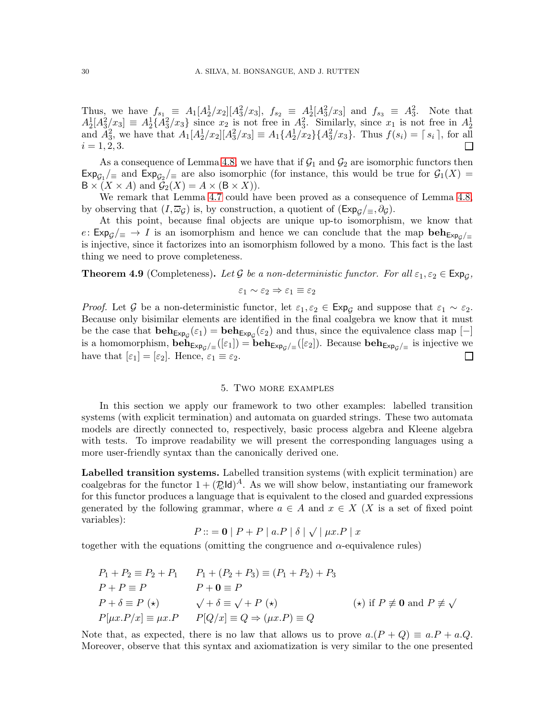Thus, we have  $f_{s_1} \equiv A_1[A_2^1/x_2][A_3^2/x_3]$ ,  $f_{s_2} \equiv A_2^1[A_3^2/x_3]$  and  $f_{s_3} \equiv A_3^2$ . Note that  $A_2^1[A_3^2/x_3] \equiv A_2^1\{A_3^2/x_3\}$  since  $x_2$  is not free in  $A_3^2$ . Similarly, since  $x_1$  is not free in  $A_2^1$  and  $A_3^2$ , we have that  $A_1[A_2^1/x_2][A_3^2/x_3] \equiv A_1\{A_2^1/x_2\}\{A_3^2/x_3\}$ . Thus  $f(s_i) = \lceil s_i \rceil$ , fo  $i = 1, 2, 3.$ 

As a consequence of Lemma [4.8,](#page-28-0) we have that if  $G_1$  and  $G_2$  are isomorphic functors then  $\exp_{\mathcal{G}_1}/\equiv$  and  $\exp_{\mathcal{G}_2}/\equiv$  are also isomorphic (for instance, this would be true for  $\mathcal{G}_1(X)$ )  $B \times (X \times A)$  and  $\mathcal{G}_2(X) = A \times (B \times X)$ .

We remark that Lemma [4.7](#page-27-0) could have been proved as a consequence of Lemma [4.8,](#page-28-0) by observing that  $(I, \overline{\omega}_G)$  is, by construction, a quotient of  $(\text{Exp}_G/\equiv, \partial_G)$ .

At this point, because final objects are unique up-to isomorphism, we know that e:  $Exp_G/\equiv \rightarrow I$  is an isomorphism and hence we can conclude that the map  $beh_{Exp_G/\equiv}$ is injective, since it factorizes into an isomorphism followed by a mono. This fact is the last thing we need to prove completeness.

**Theorem 4.9** (Completeness). Let G be a non-deterministic functor. For all  $\varepsilon_1, \varepsilon_2 \in \text{Exp}_\mathcal{G}$ ,

$$
\varepsilon_1 \sim \varepsilon_2 \Rightarrow \varepsilon_1 \equiv \varepsilon_2
$$

*Proof.* Let G be a non-deterministic functor, let  $\varepsilon_1$ ,  $\varepsilon_2 \in \text{Exp}_G$  and suppose that  $\varepsilon_1 \sim \varepsilon_2$ . Because only bisimilar elements are identified in the final coalgebra we know that it must be the case that  $\mathbf{beh}_{\mathsf{Exp}_{\mathcal{G}}}( \varepsilon_1) = \mathbf{beh}_{\mathsf{Exp}_{\mathcal{G}}}( \varepsilon_2)$  and thus, since the equivalence class map  $[-]$ is a homomorphism,  $\mathbf{beh}_{\mathsf{Exp}_{\mathcal{G}}/\equiv}([\varepsilon_1]) = \mathbf{beh}_{\mathsf{Exp}_{\mathcal{G}}/\equiv}([\varepsilon_2])$ . Because  $\mathbf{beh}_{\mathsf{Exp}_{\mathcal{G}}/\equiv}$  is injective we have that  $[\varepsilon_1] = [\varepsilon_2]$ . Hence,  $\varepsilon_1 \equiv \varepsilon_2$ .  $\Box$ 

## 5. Two more examples

<span id="page-29-0"></span>In this section we apply our framework to two other examples: labelled transition systems (with explicit termination) and automata on guarded strings. These two automata models are directly connected to, respectively, basic process algebra and Kleene algebra with tests. To improve readability we will present the corresponding languages using a more user-friendly syntax than the canonically derived one.

Labelled transition systems. Labelled transition systems (with explicit termination) are coalgebras for the functor  $1 + (\mathbb{Z} \mathsf{Id})^A$ . As we will show below, instantiating our framework for this functor produces a language that is equivalent to the closed and guarded expressions generated by the following grammar, where  $a \in A$  and  $x \in X$  (X is a set of fixed point variables):

$$
P ::= \mathbf{0} | P + P | a.P | \delta | \sqrt{ | \mu x.P | x}
$$

together with the equations (omitting the congruence and  $\alpha$ -equivalence rules)

$$
P_1 + P_2 \equiv P_2 + P_1 \qquad P_1 + (P_2 + P_3) \equiv (P_1 + P_2) + P_3
$$
  
\n
$$
P + P \equiv P \qquad P + \mathbf{0} \equiv P
$$
  
\n
$$
P + \delta \equiv P (\star) \qquad \sqrt{+ \delta} \equiv \sqrt{+ P (\star)}
$$
  
\n
$$
P[\mu x. P/x] \equiv \mu x. P \qquad P[Q/x] \equiv Q \Rightarrow (\mu x. P) \equiv Q
$$
  
\n
$$
(*) \text{ if } P \not\equiv \mathbf{0} \text{ and } P \not\equiv \sqrt{+ P (\star)}
$$

Note that, as expected, there is no law that allows us to prove  $a.(P+Q) \equiv a.P + a.Q$ . Moreover, observe that this syntax and axiomatization is very similar to the one presented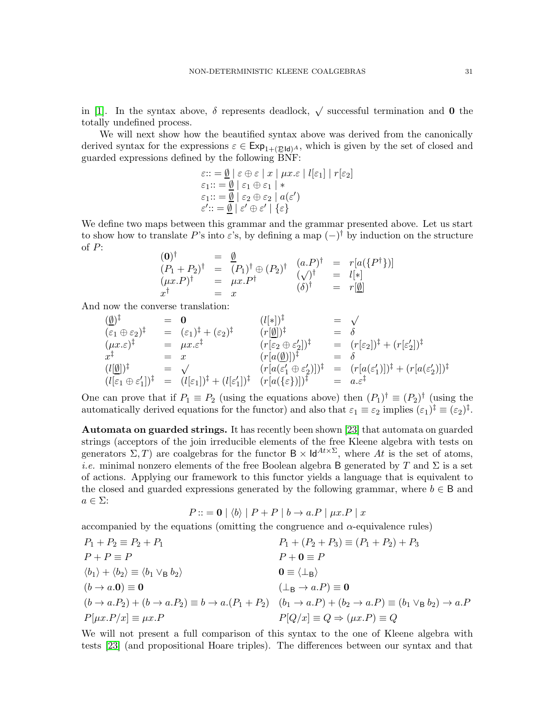in [\[1\]](#page-37-4). In the syntax above,  $\delta$  represents deadlock,  $\sqrt{\ }$  successful termination and **0** the totally undefined process.

We will next show how the beautified syntax above was derived from the canonically derived syntax for the expressions  $\varepsilon \in \text{Exp}_{1+(E\text{Id})^A}$ , which is given by the set of closed and guarded expressions defined by the following BNF:

$$
\varepsilon ::= \underline{\emptyset} \mid \varepsilon \oplus \varepsilon \mid x \mid \mu x. \varepsilon \mid l[\varepsilon_1] \mid r[\varepsilon_2]
$$
  

$$
\varepsilon_1 ::= \underline{\emptyset} \mid \varepsilon_1 \oplus \varepsilon_1 \mid *
$$
  

$$
\varepsilon_1 ::= \underline{\emptyset} \mid \varepsilon_2 \oplus \varepsilon_2 \mid a(\varepsilon')
$$
  

$$
\varepsilon' ::= \underline{\emptyset} \mid \varepsilon' \oplus \varepsilon' \mid \{\varepsilon\}
$$

We define two maps between this grammar and the grammar presented above. Let us start to show how to translate P's into  $\varepsilon$ 's, by defining a map  $(-)^\dagger$  by induction on the structure of  $P$ :  $(2)$ 

$$
(0)† = 0
$$
  
\n
$$
(P1 + P2)† = (P1)† \oplus (P2)† (a.P)† = r[a({P†})]
$$
  
\n
$$
( \mu x.P)† = \mu x.P†
$$
  
\n
$$
(x)† = x
$$
  
\n
$$
(a)† = r[a]{P†}]
$$

And now the converse translation:

$$
\begin{array}{lllllll} (\underline{\emptyset})^{\ddagger} & = & \mathbf{0} & (l[*])^{\ddagger} & = & \sqrt{ } \\ (\varepsilon_{1} \oplus \varepsilon_{2})^{\ddagger} & = & (\varepsilon_{1})^{\ddagger} + (\varepsilon_{2})^{\ddagger} & (r[\underline{\emptyset}])^{\ddagger} & = & \delta \\ (\mu x. \varepsilon)^{\ddagger} & = & \mu x. \varepsilon^{\ddagger} & (r[\varepsilon_{2} \oplus \varepsilon_{2}'])^{\ddagger} & = & (r[\varepsilon_{2}])^{\ddagger} + (r[\varepsilon_{2}'])^{\ddagger} \\ x^{\ddagger} & = & x & (r[a(\underline{\emptyset})])^{\ddagger} & = & \delta \\ (l[\underline{\emptyset}])^{\ddagger} & = & \sqrt{ } & (r[a(\varepsilon_{1}' \oplus \varepsilon_{2}')] )^{\ddagger} & = & (r[a(\varepsilon_{1}')] )^{\ddagger} + (r[a(\varepsilon_{2})])^{\ddagger} \\ (l[\varepsilon_{1} \oplus \varepsilon_{1}'])^{\ddagger} & = & (l[\varepsilon_{1}])^{\ddagger} + (l[\varepsilon_{1}'])^{\ddagger} & (r[a(\{\varepsilon\}')] )^{\ddagger} & = & a. \varepsilon^{\ddagger} \end{array}
$$

One can prove that if  $P_1 \equiv P_2$  (using the equations above) then  $(P_1)^{\dagger} \equiv (P_2)^{\dagger}$  (using the automatically derived equations for the functor) and also that  $\varepsilon_1 \equiv \varepsilon_2$  implies  $(\varepsilon_1)^\dagger \equiv (\varepsilon_2)^\dagger$ .

Automata on guarded strings. It has recently been shown [\[23\]](#page-38-7) that automata on guarded strings (acceptors of the join irreducible elements of the free Kleene algebra with tests on generators  $\Sigma$ , T) are coalgebras for the functor  $B \times \mathsf{Id}^{At \times \Sigma}$ , where At is the set of atoms, *i.e.* minimal nonzero elements of the free Boolean algebra B generated by T and  $\Sigma$  is a set of actions. Applying our framework to this functor yields a language that is equivalent to the closed and guarded expressions generated by the following grammar, where  $b \in B$  and  $a \in \Sigma$ :

$$
P ::= \mathbf{0} | \langle b \rangle | P + P | b \rightarrow a.P | \mu x.P | x
$$

accompanied by the equations (omitting the congruence and  $\alpha$ -equivalence rules)

$$
P_1 + P_2 \equiv P_2 + P_1
$$
  
\n
$$
P_1 + (P_2 + P_3) \equiv (P_1 + P_2) + P_3
$$
  
\n
$$
P_1 + (P_2 + P_3) \equiv (P_1 + P_2) + P_3
$$
  
\n
$$
P_1 + (P_2 + P_3) \equiv (P_1 + P_2) + P_3
$$
  
\n
$$
P_1 + (P_2 + P_3) \equiv (P_1 + P_2) + P_3
$$
  
\n
$$
P_1 + (P_2 + P_3) \equiv (P_1 + P_2) + P_3
$$
  
\n
$$
P_1 + (P_2 + P_3) \equiv (P_1 + P_2) + P_3
$$
  
\n
$$
P_2 + P_3 \equiv P_1
$$
  
\n
$$
P_3 = P_2
$$
  
\n
$$
P_4 = P_3
$$
  
\n
$$
P_5 = P_4
$$
  
\n
$$
P_6 = P_5
$$
  
\n
$$
P_7 = P_5
$$
  
\n
$$
P_8 = P_5
$$
  
\n
$$
P_9 = P_6
$$
  
\n
$$
P_1 + (P_2 + P_3) \equiv (P_1 + P_2) + P_3
$$
  
\n
$$
P_2 = P_3
$$
  
\n
$$
P_3 = P_4
$$
  
\n
$$
P_4 = P_5
$$
  
\n
$$
P_5 = P_6
$$
  
\n
$$
P_6 = P_7
$$
  
\n
$$
P_7 = P_7
$$
  
\n
$$
P_8 = P_5
$$
  
\n
$$
P_9 = P_6
$$
  
\n
$$
P_1 = P_2
$$
  
\n
$$
P_2 = P_3
$$
  
\n
$$
P_3 = P_4
$$
  
\n
$$
P_5 = P_5
$$
  
\n
$$
P_6 = P_6
$$
  
\n
$$
P_7 = P_7
$$
  
\n
$$
P_8 = P_7
$$
  
\n
$$
P_9 = P_8
$$

We will not present a full comparison of this syntax to the one of Kleene algebra with tests [\[23\]](#page-38-7) (and propositional Hoare triples). The differences between our syntax and that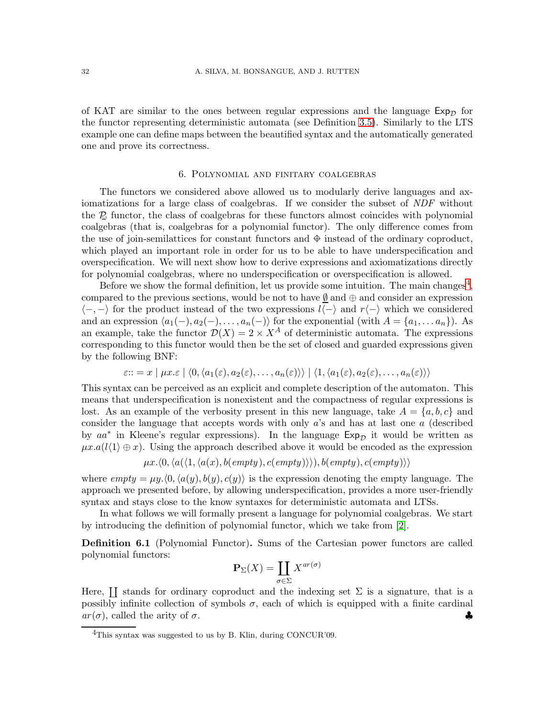of KAT are similar to the ones between regular expressions and the language  $Exp_{\mathcal{D}}$  for the functor representing deterministic automata (see Definition [3.5\)](#page-6-0). Similarly to the LTS example one can define maps between the beautified syntax and the automatically generated one and prove its correctness.

#### 6. Polynomial and finitary coalgebras

<span id="page-31-0"></span>The functors we considered above allowed us to modularly derive languages and axiomatizations for a large class of coalgebras. If we consider the subset of *NDF* without the  $\mathcal{D}_{\alpha}$  functor, the class of coalgebras for these functors almost coincides with polynomial coalgebras (that is, coalgebras for a polynomial functor). The only difference comes from the use of join-semilattices for constant functors and  $\oplus$  instead of the ordinary coproduct, which played an important role in order for us to be able to have underspecification and overspecification. We will next show how to derive expressions and axiomatizations directly for polynomial coalgebras, where no underspecification or overspecification is allowed.

Before we show the formal definition, let us provide some intuition. The main changes<sup>[4](#page-31-1)</sup>, compared to the previous sections, would be not to have  $\emptyset$  and  $\oplus$  and consider an expression  $\langle -,-\rangle$  for the product instead of the two expressions  $l\langle -\rangle$  and  $r\langle -\rangle$  which we considered and an expression  $\langle a_1(-), a_2(-), \ldots, a_n(-) \rangle$  for the exponential (with  $A = \{a_1, \ldots a_n\}$ ). As an example, take the functor  $\mathcal{D}(X) = 2 \times X^A$  of deterministic automata. The expressions corresponding to this functor would then be the set of closed and guarded expressions given by the following BNF:

$$
\varepsilon ::= x \mid \mu x. \varepsilon \mid \langle 0, \langle a_1(\varepsilon), a_2(\varepsilon), \dots, a_n(\varepsilon) \rangle \rangle \mid \langle 1, \langle a_1(\varepsilon), a_2(\varepsilon), \dots, a_n(\varepsilon) \rangle \rangle
$$

This syntax can be perceived as an explicit and complete description of the automaton. This means that underspecification is nonexistent and the compactness of regular expressions is lost. As an example of the verbosity present in this new language, take  $A = \{a, b, c\}$  and consider the language that accepts words with only a's and has at last one a (described by  $aa^*$  in Kleene's regular expressions). In the language  $Exp_{\mathcal{D}}$  it would be written as  $\mu x.a(l_1)\oplus x$ . Using the approach described above it would be encoded as the expression

$$
\mu x. \langle 0, \langle a(\langle 1, \langle a(x), b(empty), c(empty) \rangle \rangle), b(empty), c(empty) \rangle \rangle
$$

where  $empty = \mu y. \langle 0, \langle a(y), b(y), c(y) \rangle$  is the expression denoting the empty language. The approach we presented before, by allowing underspecification, provides a more user-friendly syntax and stays close to the know syntaxes for deterministic automata and LTSs.

In what follows we will formally present a language for polynomial coalgebras. We start by introducing the definition of polynomial functor, which we take from [\[2\]](#page-37-5).

Definition 6.1 (Polynomial Functor). Sums of the Cartesian power functors are called polynomial functors:

$$
\mathbf{P}_{\Sigma}(X) = \coprod_{\sigma \in \Sigma} X^{ar(\sigma)}
$$

Here,  $\coprod$  stands for ordinary coproduct and the indexing set  $\Sigma$  is a signature, that is a possibly infinite collection of symbols  $\sigma$ , each of which is equipped with a finite cardinal  $ar(\sigma)$ , called the arity of  $\sigma$ .

<span id="page-31-1"></span><sup>&</sup>lt;sup>4</sup>This syntax was suggested to us by B. Klin, during CONCUR'09.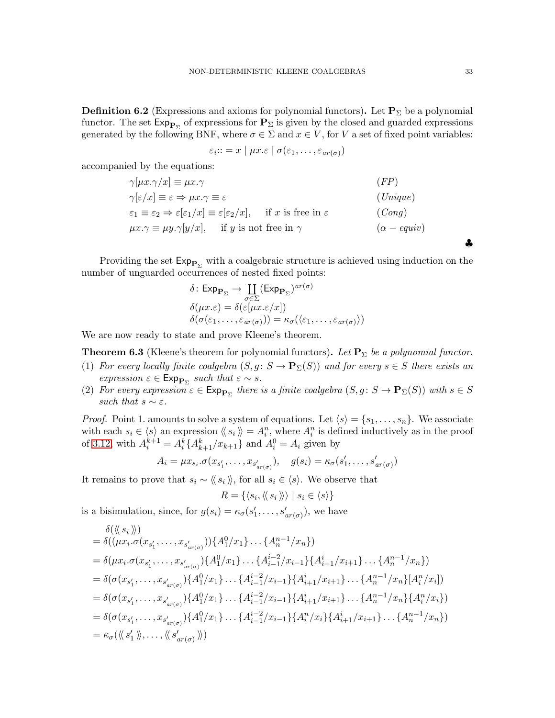**Definition 6.2** (Expressions and axioms for polynomial functors). Let  $P_{\Sigma}$  be a polynomial functor. The set  $\mathsf{Exp}_{\mathbf{P}_{\Sigma}}$  of expressions for  $\mathbf{P}_{\Sigma}$  is given by the closed and guarded expressions generated by the following BNF, where  $\sigma \in \Sigma$  and  $x \in V$ , for V a set of fixed point variables:

$$
\varepsilon_i :: = x \mid \mu x. \varepsilon \mid \sigma(\varepsilon_1, \ldots, \varepsilon_{ar(\sigma)})
$$

accompanied by the equations:

| $\gamma[\mu x.\gamma/x] \equiv \mu x.\gamma$                                                                                                      | (FP)                      |
|---------------------------------------------------------------------------------------------------------------------------------------------------|---------------------------|
| $\gamma[\varepsilon/x] \equiv \varepsilon \Rightarrow \mu x. \gamma \equiv \varepsilon$                                                           | (Unique)                  |
| $\varepsilon_1 \equiv \varepsilon_2 \Rightarrow \varepsilon[\varepsilon_1/x] \equiv \varepsilon[\varepsilon_2/x]$ , if x is free in $\varepsilon$ | (Conq)                    |
| $\mu x.\gamma \equiv \mu y.\gamma[y/x], \quad \text{if } y \text{ is not free in } \gamma$                                                        | $(\alpha - \text{equiv})$ |

Providing the set  $\mathsf{Exp}_{\mathbf{P}_{\Sigma}}$  with a coalgebraic structure is achieved using induction on the number of unguarded occurrences of nested fixed points:

$$
\delta: \mathsf{Exp}_{\mathbf{P}_{\Sigma}} \to \coprod_{\sigma \in \Sigma} (\mathsf{Exp}_{\mathbf{P}_{\Sigma}})^{ar(\sigma)}
$$

$$
\delta(\mu x.\varepsilon) = \delta(\varepsilon[\mu x.\varepsilon/x])
$$

$$
\delta(\sigma(\varepsilon_1, \dots, \varepsilon_{ar(\sigma)})) = \kappa_{\sigma}(\langle \varepsilon_1, \dots, \varepsilon_{ar(\sigma)} \rangle)
$$

We are now ready to state and prove Kleene's theorem.

**Theorem 6.3** (Kleene's theorem for polynomial functors). Let  $\mathbf{P}_{\Sigma}$  be a polynomial functor.

- (1) *For every locally finite coalgebra*  $(S, g: S \to \mathbf{P}_{\Sigma}(S))$  *and for every*  $s \in S$  *there exists an*  $\mathsf{expression} \varepsilon \in \mathsf{Exp}_{\mathbf{P}_{\Sigma}} \text{ such that } \varepsilon \sim s.$
- (2) *For every expression*  $\varepsilon \in \text{Exp}_{\mathbf{P}_{\Sigma}}$  *there is a finite coalgebra*  $(S, g: S \to \mathbf{P}_{\Sigma}(S))$  *with*  $s \in S$ *such that*  $s \sim \varepsilon$ *.*

*Proof.* Point 1. amounts to solve a system of equations. Let  $\langle s \rangle = \{s_1, \ldots, s_n\}$ . We associate with each  $s_i \in \langle s \rangle$  an expression  $\langle \langle s_i \rangle \rangle = A_i^n$ , where  $A_i^n$  is defined inductively as in the proof of [3.12,](#page-10-0) with  $A_i^{k+1} = A_i^k \{ A_{k+1}^k / x_{k+1} \}$  and  $A_i^0 = A_i$  given by

$$
A_i = \mu x_{s_i}.\sigma(x_{s'_1}, \dots, x_{s'_{a\tau(\sigma)}}), \quad g(s_i) = \kappa_\sigma(s'_1, \dots, s'_{a\tau(\sigma)})
$$

It remains to prove that  $s_i \sim \langle \langle s_i \rangle \rangle$ , for all  $s_i \in \langle s \rangle$ . We observe that

$$
R = \{ \langle s_i, \langle \! \langle s_i \rangle \! \rangle \mid s_i \in \langle s \rangle \}
$$

is a bisimulation, since, for  $g(s_i) = \kappa_{\sigma}(s'_1, \ldots, s'_{ar(\sigma)})$ , we have

$$
\delta(\langle s_i \rangle)
$$
\n
$$
= \delta((\mu x_i. \sigma(x_{s'_1}, \ldots, x_{s'_{ar(\sigma)}})) \{A_1^0/x_1\} \ldots \{A_n^{n-1}/x_n\})
$$
\n
$$
= \delta(\mu x_i. \sigma(x_{s'_1}, \ldots, x_{s'_{ar(\sigma)}}) \{A_1^0/x_1\} \ldots \{A_{i-1}^{i-2}/x_{i-1}\} \{A_{i+1}^i/x_{i+1}\} \ldots \{A_n^{n-1}/x_n\})
$$
\n
$$
= \delta(\sigma(x_{s'_1}, \ldots, x_{s'_{ar(\sigma)}}) \{A_1^0/x_1\} \ldots \{A_{i-1}^{i-2}/x_{i-1}\} \{A_{i+1}^i/x_{i+1}\} \ldots \{A_n^{n-1}/x_n\} [A_i^n/x_i])
$$
\n
$$
= \delta(\sigma(x_{s'_1}, \ldots, x_{s'_{ar(\sigma)}}) \{A_1^0/x_1\} \ldots \{A_{i-1}^{i-2}/x_{i-1}\} \{A_{i+1}^i/x_{i+1}\} \ldots \{A_n^{n-1}/x_n\} \{A_i^n/x_i\})
$$
\n
$$
= \delta(\sigma(x_{s'_1}, \ldots, x_{s'_{ar(\sigma)}}) \{A_1^0/x_1\} \ldots \{A_{i-1}^{i-2}/x_{i-1}\} \{A_i^n/x_i\} \{A_{i+1}^i/x_{i+1}\} \ldots \{A_n^{n-1}/x_n\})
$$
\n
$$
= \kappa_{\sigma}(\langle \langle s'_1 \rangle \rangle, \ldots, \langle \langle s'_{ar(\sigma)} \rangle \rangle)
$$

♣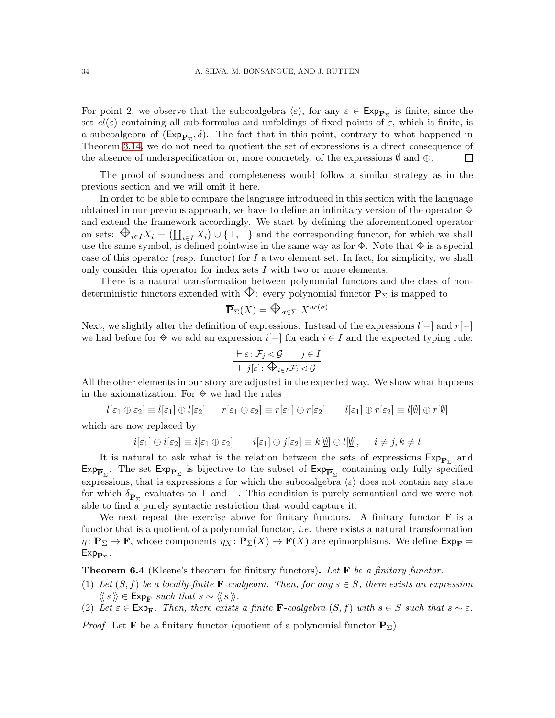For point 2, we observe that the subcoalgebra  $\langle \varepsilon \rangle$ , for any  $\varepsilon \in \text{Exp}_{\mathbf{P}_{\Sigma}}$  is finite, since the set  $cl(\varepsilon)$  containing all sub-formulas and unfoldings of fixed points of  $\varepsilon$ , which is finite, is a subcoalgebra of  $(\text{Exp}_{\mathbf{P}_{\Sigma}}, \delta)$ . The fact that in this point, contrary to what happened in Theorem [3.14,](#page-16-0) we do not need to quotient the set of expressions is a direct consequence of the absence of underspecification or, more concretely, of the expressions  $\emptyset$  and  $\oplus$ .  $\Box$ 

The proof of soundness and completeness would follow a similar strategy as in the previous section and we will omit it here.

In order to be able to compare the language introduced in this section with the language obtained in our previous approach, we have to define an infinitary version of the operator  $\oplus$ and extend the framework accordingly. We start by defining the aforementioned operator on sets:  $\bigoplus_{i\in I} X_i = (\coprod_{i\in I} X_i) \cup \{\perp, \top\}$  and the corresponding functor, for which we shall use the same symbol, is defined pointwise in the same way as for  $\oplus$ . Note that  $\oplus$  is a special case of this operator (resp. functor) for  $I$  a two element set. In fact, for simplicity, we shall only consider this operator for index sets I with two or more elements.

There is a natural transformation between polynomial functors and the class of nondeterministic functors extended with  $\bigoplus$ : every polynomial functor  $\mathbf{P}_{\Sigma}$  is mapped to

$$
\overline{\mathbf{P}}_{\Sigma}(X) = \bigoplus_{\sigma \in \Sigma} X^{ar(\sigma)}
$$

Next, we slightly alter the definition of expressions. Instead of the expressions  $l[-]$  and  $r[-]$ we had before for  $\oplus$  we add an expression i[-] for each  $i \in I$  and the expected typing rule:

$$
\frac{\vdash \varepsilon \colon \mathcal{F}_j \lhd \mathcal{G} \qquad j \in I}{\vdash j[\varepsilon] \colon \bigoplus_{i \in I} \mathcal{F}_i \lhd \mathcal{G}}
$$

All the other elements in our story are adjusted in the expected way. We show what happens in the axiomatization. For  $\Phi$  we had the rules

$$
l[\varepsilon_1 \oplus \varepsilon_2] \equiv l[\varepsilon_1] \oplus l[\varepsilon_2] \qquad r[\varepsilon_1 \oplus \varepsilon_2] \equiv r[\varepsilon_1] \oplus r[\varepsilon_2] \qquad l[\varepsilon_1] \oplus r[\varepsilon_2] \equiv l[\underline{\emptyset}] \oplus r[\underline{\emptyset}]
$$
  
which are now replaced by

which are now replaced by

$$
i[\varepsilon_1] \oplus i[\varepsilon_2] \equiv i[\varepsilon_1 \oplus \varepsilon_2] \qquad i[\varepsilon_1] \oplus j[\varepsilon_2] \equiv k[\underline{\emptyset}] \oplus l[\underline{\emptyset}], \qquad i \neq j, k \neq l
$$

It is natural to ask what is the relation between the sets of expressions  $Exp_{P_{\Sigma}}$  and  $Exp_{\overline{P}_{\Sigma}}$ . The set  $Exp_{P_{\Sigma}}$  is bijective to the subset of  $Exp_{\overline{P}_{\Sigma}}$  containing only fully specified expressions, that is expressions  $\varepsilon$  for which the subcoalgebra  $\langle \varepsilon \rangle$  does not contain any state for which  $\delta_{\overline{P}_{\Sigma}}$  evaluates to  $\bot$  and  $\top$ . This condition is purely semantical and we were not able to find a purely syntactic restriction that would capture it.

We next repeat the exercise above for finitary functors. A finitary functor  $\bf{F}$  is a functor that is a quotient of a polynomial functor, *i.e.* there exists a natural transformation  $\eta: \mathbf{P}_{\Sigma} \to \mathbf{F}$ , whose components  $\eta_X: \mathbf{P}_{\Sigma}(X) \to \mathbf{F}(X)$  are epimorphisms. We define  $\mathsf{Exp}_{\mathbf{F}} =$  $\mathsf{Exp}_{\mathbf{P}_{\Sigma}}.$ 

Theorem 6.4 (Kleene's theorem for finitary functors). *Let* F *be a finitary functor.*

- (1) Let  $(S, f)$  be a locally-finite **F**-coalgebra. Then, for any  $s \in S$ , there exists an expression  $\langle \langle s \rangle \rangle \in \text{Exp}_{\mathbf{F}} \text{ such that } s \sim \langle \langle s \rangle \rangle.$
- (2) Let  $\varepsilon \in \text{Exp}_{\mathbf{F}}$ . Then, there exists a finite **F**-coalgebra  $(S, f)$  with  $s \in S$  such that  $s \sim \varepsilon$ .

*Proof.* Let **F** be a finitary functor (quotient of a polynomial functor  $P_{\Sigma}$ ).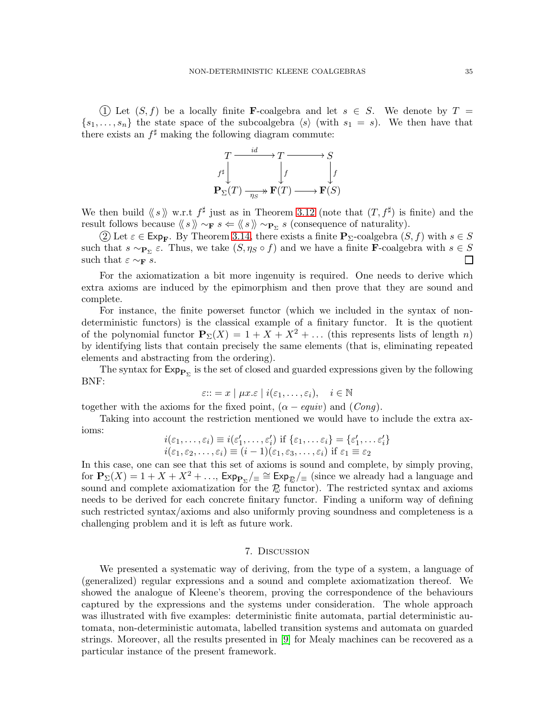1) Let  $(S, f)$  be a locally finite **F**-coalgebra and let  $s \in S$ . We denote by  $T =$  $\{s_1, \ldots, s_n\}$  the state space of the subcoalgebra  $\langle s \rangle$  (with  $s_1 = s$ ). We then have that there exists an  $f^{\sharp}$  making the following diagram commute:



We then build  $\langle s \rangle$  w.r.t  $f^{\sharp}$  just as in Theorem [3.12](#page-10-0) (note that  $(T, f^{\sharp})$  is finite) and the result follows because  $\langle s \rangle \sim_{\mathbf{F}} s \Leftarrow \langle s \rangle \sim_{\mathbf{P}_{\Sigma}} s$  (consequence of naturality).

2) Let  $\varepsilon \in \text{Exp}_{\mathbf{F}}$ . By Theorem [3.14,](#page-16-0) there exists a finite  $\mathbf{P}_{\Sigma}$ -coalgebra  $(S, f)$  with  $s \in S$ such that  $s \sim_{\mathbf{P}_{\Sigma}} \varepsilon$ . Thus, we take  $(S, \eta_S \circ f)$  and we have a finite **F**-coalgebra with  $s \in S$ such that  $\varepsilon \sim_{\mathbf{F}} s$ .

For the axiomatization a bit more ingenuity is required. One needs to derive which extra axioms are induced by the epimorphism and then prove that they are sound and complete.

For instance, the finite powerset functor (which we included in the syntax of nondeterministic functors) is the classical example of a finitary functor. It is the quotient of the polynomial functor  $\mathbf{P}_{\Sigma}(X) = 1 + X + X^2 + \dots$  (this represents lists of length n) by identifying lists that contain precisely the same elements (that is, eliminating repeated elements and abstracting from the ordering).

The syntax for  $\mathsf{Exp}_{\mathbf{P}_{\Sigma}}$  is the set of closed and guarded expressions given by the following BNF:

$$
\varepsilon ::= x \mid \mu x. \varepsilon \mid i(\varepsilon_1, \ldots, \varepsilon_i), \quad i \in \mathbb{N}
$$

together with the axioms for the fixed point,  $(\alpha - \text{equiv})$  and  $(\text{Cong})$ .

Taking into account the restriction mentioned we would have to include the extra axioms:

$$
i(\varepsilon_1,\ldots,\varepsilon_i) \equiv i(\varepsilon'_1,\ldots,\varepsilon'_i) \text{ if } \{\varepsilon_1,\ldots,\varepsilon_i\} = \{\varepsilon'_1,\ldots,\varepsilon'_i\} i(\varepsilon_1,\varepsilon_2,\ldots,\varepsilon_i) \equiv (i-1)(\varepsilon_1,\varepsilon_3,\ldots,\varepsilon_i) \text{ if } \varepsilon_1 \equiv \varepsilon_2
$$

In this case, one can see that this set of axioms is sound and complete, by simply proving, for  $P_{\Sigma}(X) = 1 + X + X^2 + \ldots$ ,  $\text{Exp}_{P_{\Sigma}}/\text{E} \cong \text{Exp}_{\mathcal{R}}/\text{E}$  (since we already had a language and sound and complete axiomatization for the  $\mathcal{D}$  functor). The restricted syntax and axioms needs to be derived for each concrete finitary functor. Finding a uniform way of defining such restricted syntax/axioms and also uniformly proving soundness and completeness is a challenging problem and it is left as future work.

## 7. Discussion

<span id="page-34-0"></span>We presented a systematic way of deriving, from the type of a system, a language of (generalized) regular expressions and a sound and complete axiomatization thereof. We showed the analogue of Kleene's theorem, proving the correspondence of the behaviours captured by the expressions and the systems under consideration. The whole approach was illustrated with five examples: deterministic finite automata, partial deterministic automata, non-deterministic automata, labelled transition systems and automata on guarded strings. Moreover, all the results presented in [\[9\]](#page-37-0) for Mealy machines can be recovered as a particular instance of the present framework.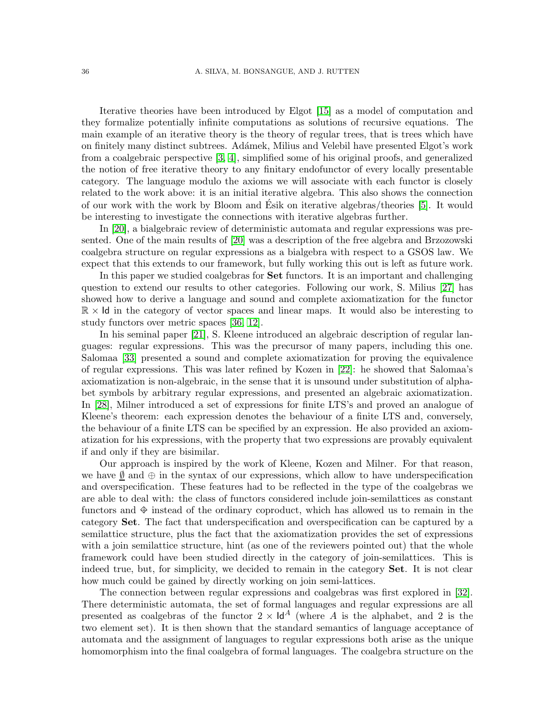Iterative theories have been introduced by Elgot [\[15\]](#page-37-6) as a model of computation and they formalize potentially infinite computations as solutions of recursive equations. The main example of an iterative theory is the theory of regular trees, that is trees which have on finitely many distinct subtrees. Ad´amek, Milius and Velebil have presented Elgot's work from a coalgebraic perspective [\[3,](#page-37-7) [4\]](#page-37-8), simplified some of his original proofs, and generalized the notion of free iterative theory to any finitary endofunctor of every locally presentable category. The language modulo the axioms we will associate with each functor is closely related to the work above: it is an initial iterative algebra. This also shows the connection of our work with the work by Bloom and Esik on iterative algebras/theories [\[5\]](#page-37-9). It would ´ be interesting to investigate the connections with iterative algebras further.

In [\[20\]](#page-38-8), a bialgebraic review of deterministic automata and regular expressions was presented. One of the main results of [\[20\]](#page-38-8) was a description of the free algebra and Brzozowski coalgebra structure on regular expressions as a bialgebra with respect to a GSOS law. We expect that this extends to our framework, but fully working this out is left as future work.

In this paper we studied coalgebras for Set functors. It is an important and challenging question to extend our results to other categories. Following our work, S. Milius [\[27\]](#page-38-9) has showed how to derive a language and sound and complete axiomatization for the functor  $\mathbb{R} \times \mathsf{Id}$  in the category of vector spaces and linear maps. It would also be interesting to study functors over metric spaces [\[36,](#page-38-10) [12\]](#page-37-10).

In his seminal paper [\[21\]](#page-38-0), S. Kleene introduced an algebraic description of regular languages: regular expressions. This was the precursor of many papers, including this one. Salomaa [\[33\]](#page-38-11) presented a sound and complete axiomatization for proving the equivalence of regular expressions. This was later refined by Kozen in [\[22\]](#page-38-1): he showed that Salomaa's axiomatization is non-algebraic, in the sense that it is unsound under substitution of alphabet symbols by arbitrary regular expressions, and presented an algebraic axiomatization. In [\[28\]](#page-38-2), Milner introduced a set of expressions for finite LTS's and proved an analogue of Kleene's theorem: each expression denotes the behaviour of a finite LTS and, conversely, the behaviour of a finite LTS can be specified by an expression. He also provided an axiomatization for his expressions, with the property that two expressions are provably equivalent if and only if they are bisimilar.

Our approach is inspired by the work of Kleene, Kozen and Milner. For that reason, we have  $\emptyset$  and  $\oplus$  in the syntax of our expressions, which allow to have underspecification and overspecification. These features had to be reflected in the type of the coalgebras we are able to deal with: the class of functors considered include join-semilattices as constant functors and  $\hat{\Phi}$  instead of the ordinary coproduct, which has allowed us to remain in the category Set. The fact that underspecification and overspecification can be captured by a semilattice structure, plus the fact that the axiomatization provides the set of expressions with a join semilattice structure, hint (as one of the reviewers pointed out) that the whole framework could have been studied directly in the category of join-semilattices. This is indeed true, but, for simplicity, we decided to remain in the category Set. It is not clear how much could be gained by directly working on join semi-lattices.

The connection between regular expressions and coalgebras was first explored in [\[32\]](#page-38-6). There deterministic automata, the set of formal languages and regular expressions are all presented as coalgebras of the functor  $2 \times \mathsf{Id}^A$  (where A is the alphabet, and 2 is the two element set). It is then shown that the standard semantics of language acceptance of automata and the assignment of languages to regular expressions both arise as the unique homomorphism into the final coalgebra of formal languages. The coalgebra structure on the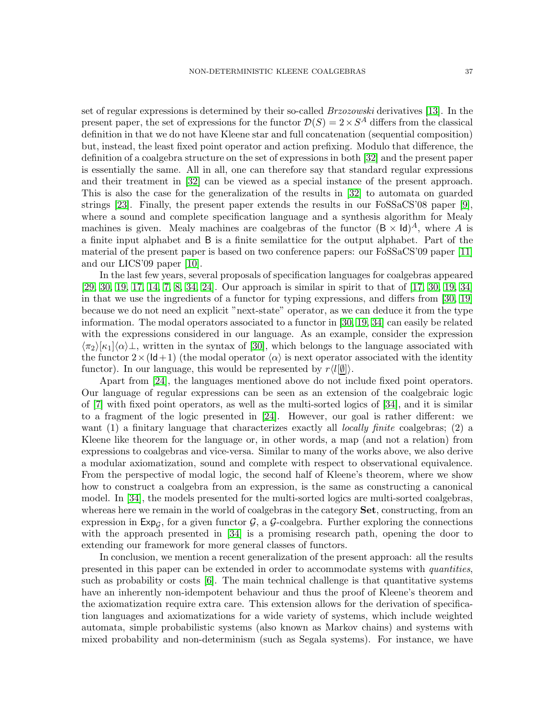set of regular expressions is determined by their so-called *Brzozowski* derivatives [\[13\]](#page-37-3). In the present paper, the set of expressions for the functor  $\mathcal{D}(S) = 2 \times S^A$  differs from the classical definition in that we do not have Kleene star and full concatenation (sequential composition) but, instead, the least fixed point operator and action prefixing. Modulo that difference, the definition of a coalgebra structure on the set of expressions in both [\[32\]](#page-38-6) and the present paper is essentially the same. All in all, one can therefore say that standard regular expressions and their treatment in [\[32\]](#page-38-6) can be viewed as a special instance of the present approach. This is also the case for the generalization of the results in [\[32\]](#page-38-6) to automata on guarded strings [\[23\]](#page-38-7). Finally, the present paper extends the results in our FoSSaCS'08 paper [\[9\]](#page-37-0), where a sound and complete specification language and a synthesis algorithm for Mealy machines is given. Mealy machines are coalgebras of the functor  $(\mathsf{B} \times \mathsf{Id})^A$ , where A is a finite input alphabet and B is a finite semilattice for the output alphabet. Part of the material of the present paper is based on two conference papers: our FoSSaCS'09 paper [\[11\]](#page-37-1) and our LICS'09 paper [\[10\]](#page-37-2).

In the last few years, several proposals of specification languages for coalgebras appeared [\[29,](#page-38-12) [30,](#page-38-13) [19,](#page-38-14) [17,](#page-38-15) [14,](#page-37-11) [7,](#page-37-12) [8,](#page-37-13) [34,](#page-38-16) [24\]](#page-38-17). Our approach is similar in spirit to that of [\[17,](#page-38-15) [30,](#page-38-13) [19,](#page-38-14) [34\]](#page-38-16) in that we use the ingredients of a functor for typing expressions, and differs from [\[30,](#page-38-13) [19\]](#page-38-14) because we do not need an explicit "next-state" operator, as we can deduce it from the type information. The modal operators associated to a functor in [\[30,](#page-38-13) [19,](#page-38-14) [34\]](#page-38-16) can easily be related with the expressions considered in our language. As an example, consider the expression  $\langle \pi_2 \rangle[\kappa_1]\langle \alpha \rangle$ , written in the syntax of [\[30\]](#page-38-13), which belongs to the language associated with the functor  $2\times$  (Id+1) (the modal operator  $\langle \alpha \rangle$  is next operator associated with the identity functor). In our language, this would be represented by  $r\langle l[\emptyset]\rangle$ .

Apart from [\[24\]](#page-38-17), the languages mentioned above do not include fixed point operators. Our language of regular expressions can be seen as an extension of the coalgebraic logic of [\[7\]](#page-37-12) with fixed point operators, as well as the multi-sorted logics of [\[34\]](#page-38-16), and it is similar to a fragment of the logic presented in [\[24\]](#page-38-17). However, our goal is rather different: we want (1) a finitary language that characterizes exactly all *locally finite* coalgebras; (2) a Kleene like theorem for the language or, in other words, a map (and not a relation) from expressions to coalgebras and vice-versa. Similar to many of the works above, we also derive a modular axiomatization, sound and complete with respect to observational equivalence. From the perspective of modal logic, the second half of Kleene's theorem, where we show how to construct a coalgebra from an expression, is the same as constructing a canonical model. In [\[34\]](#page-38-16), the models presented for the multi-sorted logics are multi-sorted coalgebras, whereas here we remain in the world of coalgebras in the category **Set**, constructing, from an expression in  $Exp_{\mathcal{G}}$ , for a given functor  $\mathcal{G}$ , a  $\mathcal{G}$ -coalgebra. Further exploring the connections with the approach presented in [\[34\]](#page-38-16) is a promising research path, opening the door to extending our framework for more general classes of functors.

In conclusion, we mention a recent generalization of the present approach: all the results presented in this paper can be extended in order to accommodate systems with *quantities*, such as probability or costs [\[6\]](#page-37-14). The main technical challenge is that quantitative systems have an inherently non-idempotent behaviour and thus the proof of Kleene's theorem and the axiomatization require extra care. This extension allows for the derivation of specification languages and axiomatizations for a wide variety of systems, which include weighted automata, simple probabilistic systems (also known as Markov chains) and systems with mixed probability and non-determinism (such as Segala systems). For instance, we have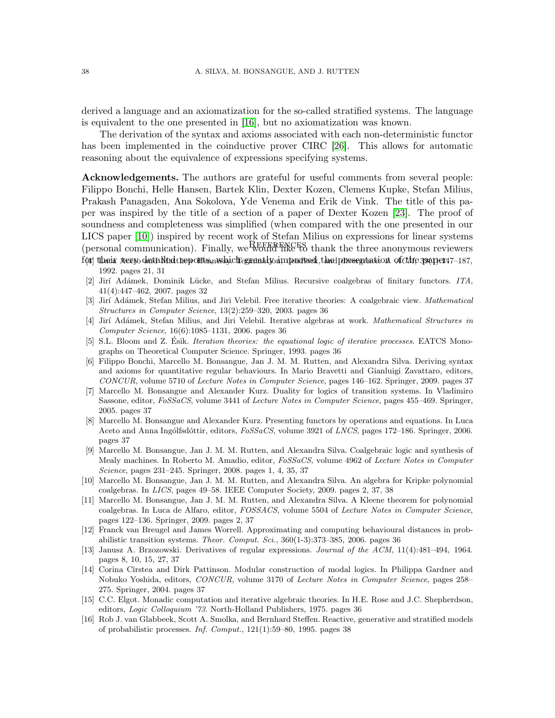derived a language and an axiomatization for the so-called stratified systems. The language is equivalent to the one presented in [\[16\]](#page-37-15), but no axiomatization was known.

The derivation of the syntax and axioms associated with each non-deterministic functor has been implemented in the coinductive prover CIRC [\[26\]](#page-38-18). This allows for automatic reasoning about the equivalence of expressions specifying systems.

Acknowledgements. The authors are grateful for useful comments from several people: Filippo Bonchi, Helle Hansen, Bartek Klin, Dexter Kozen, Clemens Kupke, Stefan Milius, Prakash Panagaden, Ana Sokolova, Yde Venema and Erik de Vink. The title of this paper was inspired by the title of a section of a paper of Dexter Kozen [\[23\]](#page-38-7). The proof of soundness and completeness was simplified (when compared with the one presented in our LICS paper [\[10\]](#page-37-2)) inspired by recent work of Stefan Milius on expressions for linear systems (personal communication). Finally, we work the section minus on expressions for mical systems for their weev detailed tep onts, wshich grantly improved that presentation of *chie* 39(1):147–187, 1992. pages 21, 31

- <span id="page-37-5"></span><span id="page-37-4"></span>[2] Jir´ı Ad´amek, Dominik L¨ucke, and Stefan Milius. Recursive coalgebras of finitary functors. *ITA*, 41(4):447–462, 2007. pages 32
- <span id="page-37-7"></span>[3] Jir´ı Ad´amek, Stefan Milius, and Jiri Velebil. Free iterative theories: A coalgebraic view. *Mathematical Structures in Computer Science*, 13(2):259–320, 2003. pages 36
- <span id="page-37-8"></span>[4] Jir´ı Ad´amek, Stefan Milius, and Jiri Velebil. Iterative algebras at work. *Mathematical Structures in Computer Science*, 16(6):1085–1131, 2006. pages 36
- <span id="page-37-9"></span>[5] S.L. Bloom and Z. Esik. *Iteration theories: the equational logic of iterative processes*. EATCS Monographs on Theoretical Computer Science. Springer, 1993. pages 36
- <span id="page-37-14"></span>[6] Filippo Bonchi, Marcello M. Bonsangue, Jan J. M. M. Rutten, and Alexandra Silva. Deriving syntax and axioms for quantitative regular behaviours. In Mario Bravetti and Gianluigi Zavattaro, editors, *CONCUR*, volume 5710 of *Lecture Notes in Computer Science*, pages 146–162. Springer, 2009. pages 37
- <span id="page-37-12"></span>[7] Marcello M. Bonsangue and Alexander Kurz. Duality for logics of transition systems. In Vladimiro Sassone, editor, *FoSSaCS*, volume 3441 of *Lecture Notes in Computer Science*, pages 455–469. Springer, 2005. pages 37
- <span id="page-37-13"></span>[8] Marcello M. Bonsangue and Alexander Kurz. Presenting functors by operations and equations. In Luca Aceto and Anna Ingólfsdóttir, editors, *FoSSaCS*, volume 3921 of *LNCS*, pages 172–186. Springer, 2006. pages 37
- <span id="page-37-0"></span>[9] Marcello M. Bonsangue, Jan J. M. M. Rutten, and Alexandra Silva. Coalgebraic logic and synthesis of Mealy machines. In Roberto M. Amadio, editor, *FoSSaCS*, volume 4962 of *Lecture Notes in Computer Science*, pages 231–245. Springer, 2008. pages 1, 4, 35, 37
- <span id="page-37-2"></span>[10] Marcello M. Bonsangue, Jan J. M. M. Rutten, and Alexandra Silva. An algebra for Kripke polynomial coalgebras. In *LICS*, pages 49–58. IEEE Computer Society, 2009. pages 2, 37, 38
- <span id="page-37-1"></span>[11] Marcello M. Bonsangue, Jan J. M. M. Rutten, and Alexandra Silva. A Kleene theorem for polynomial coalgebras. In Luca de Alfaro, editor, *FOSSACS*, volume 5504 of *Lecture Notes in Computer Science*, pages 122–136. Springer, 2009. pages 2, 37
- <span id="page-37-10"></span>[12] Franck van Breugel and James Worrell. Approximating and computing behavioural distances in probabilistic transition systems. *Theor. Comput. Sci.*, 360(1-3):373–385, 2006. pages 36
- <span id="page-37-3"></span>[13] Janusz A. Brzozowski. Derivatives of regular expressions. *Journal of the ACM*, 11(4):481–494, 1964. pages 8, 10, 15, 27, 37
- <span id="page-37-11"></span>[14] Corina Cîrstea and Dirk Pattinson. Modular construction of modal logics. In Philippa Gardner and Nobuko Yoshida, editors, *CONCUR*, volume 3170 of *Lecture Notes in Computer Science*, pages 258– 275. Springer, 2004. pages 37
- <span id="page-37-6"></span>[15] C.C. Elgot. Monadic computation and iterative algebraic theories. In H.E. Rose and J.C. Shepherdson, editors, *Logic Colloquium '73*. North-Holland Publishers, 1975. pages 36
- <span id="page-37-15"></span>[16] Rob J. van Glabbeek, Scott A. Smolka, and Bernhard Steffen. Reactive, generative and stratified models of probabilistic processes. *Inf. Comput.*, 121(1):59–80, 1995. pages 38